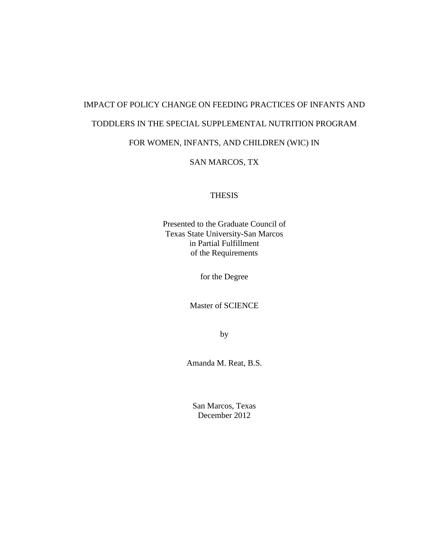# IMPACT OF POLICY CHANGE ON FEEDING PRACTICES OF INFANTS AND TODDLERS IN THE SPECIAL SUPPLEMENTAL NUTRITION PROGRAM FOR WOMEN, INFANTS, AND CHILDREN (WIC) IN

# SAN MARCOS, TX

### **THESIS**

Presented to the Graduate Council of Texas State University-San Marcos in Partial Fulfillment of the Requirements

for the Degree

Master of SCIENCE

by

Amanda M. Reat, B.S.

San Marcos, Texas December 2012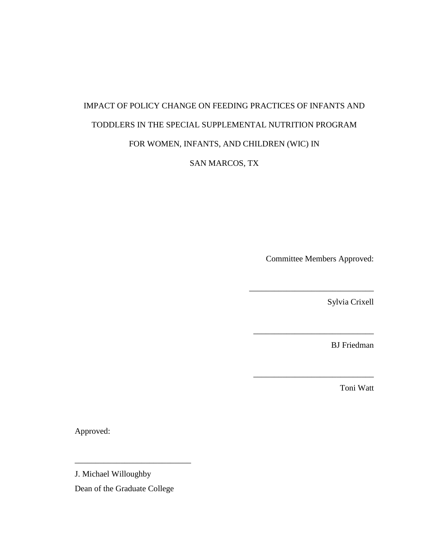# IMPACT OF POLICY CHANGE ON FEEDING PRACTICES OF INFANTS AND TODDLERS IN THE SPECIAL SUPPLEMENTAL NUTRITION PROGRAM FOR WOMEN, INFANTS, AND CHILDREN (WIC) IN

SAN MARCOS, TX

Committee Members Approved:

\_\_\_\_\_\_\_\_\_\_\_\_\_\_\_\_\_\_\_\_\_\_\_\_\_\_\_\_\_\_

\_\_\_\_\_\_\_\_\_\_\_\_\_\_\_\_\_\_\_\_\_\_\_\_\_\_\_\_\_

\_\_\_\_\_\_\_\_\_\_\_\_\_\_\_\_\_\_\_\_\_\_\_\_\_\_\_\_\_

Sylvia Crixell

BJ Friedman

Toni Watt

Approved:

J. Michael Willoughby

Dean of the Graduate College

\_\_\_\_\_\_\_\_\_\_\_\_\_\_\_\_\_\_\_\_\_\_\_\_\_\_\_\_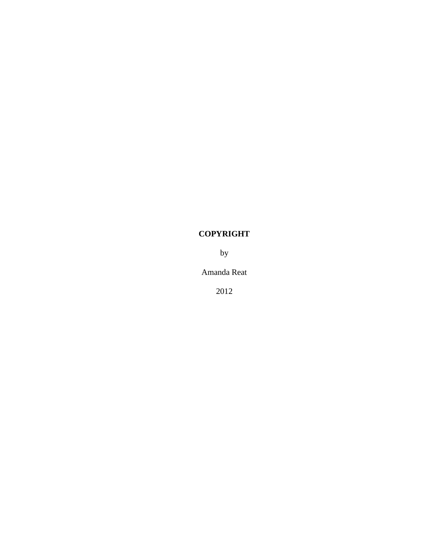# **COPYRIGHT**

by

Amanda Reat

2012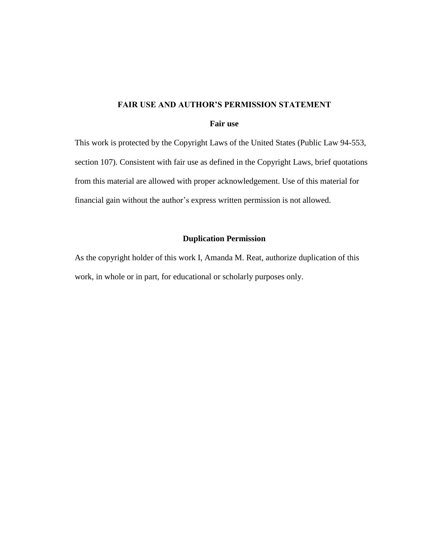#### **FAIR USE AND AUTHOR'S PERMISSION STATEMENT**

#### **Fair use**

This work is protected by the Copyright Laws of the United States (Public Law 94-553, section 107). Consistent with fair use as defined in the Copyright Laws, brief quotations from this material are allowed with proper acknowledgement. Use of this material for financial gain without the author's express written permission is not allowed.

### **Duplication Permission**

As the copyright holder of this work I, Amanda M. Reat, authorize duplication of this work, in whole or in part, for educational or scholarly purposes only.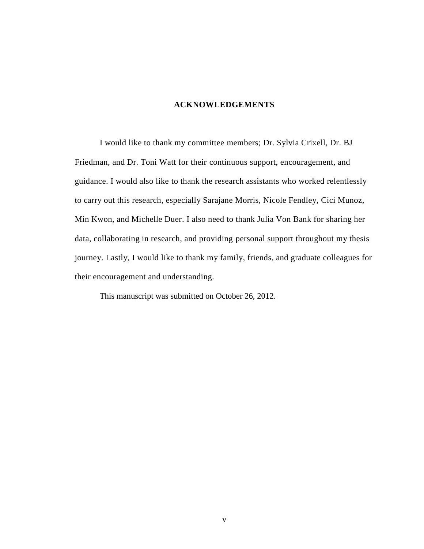#### **ACKNOWLEDGEMENTS**

I would like to thank my committee members; Dr. Sylvia Crixell, Dr. BJ Friedman, and Dr. Toni Watt for their continuous support, encouragement, and guidance. I would also like to thank the research assistants who worked relentlessly to carry out this research, especially Sarajane Morris, Nicole Fendley, Cici Munoz, Min Kwon, and Michelle Duer. I also need to thank Julia Von Bank for sharing her data, collaborating in research, and providing personal support throughout my thesis journey. Lastly, I would like to thank my family, friends, and graduate colleagues for their encouragement and understanding.

This manuscript was submitted on October 26, 2012.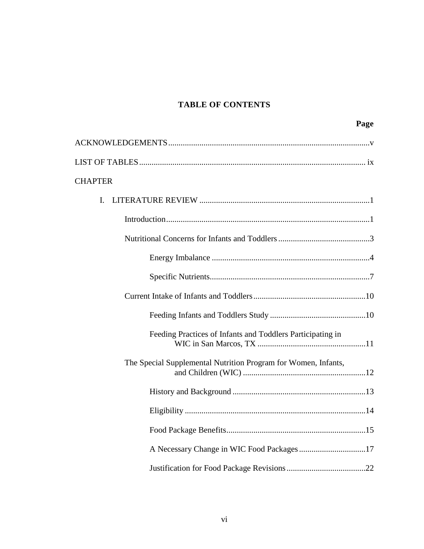# **TABLE OF CONTENTS**

| Page                                                           |
|----------------------------------------------------------------|
|                                                                |
|                                                                |
| <b>CHAPTER</b>                                                 |
| I.                                                             |
|                                                                |
|                                                                |
|                                                                |
|                                                                |
|                                                                |
|                                                                |
| Feeding Practices of Infants and Toddlers Participating in     |
| The Special Supplemental Nutrition Program for Women, Infants, |
|                                                                |
|                                                                |
|                                                                |
| A Necessary Change in WIC Food Packages 17                     |
|                                                                |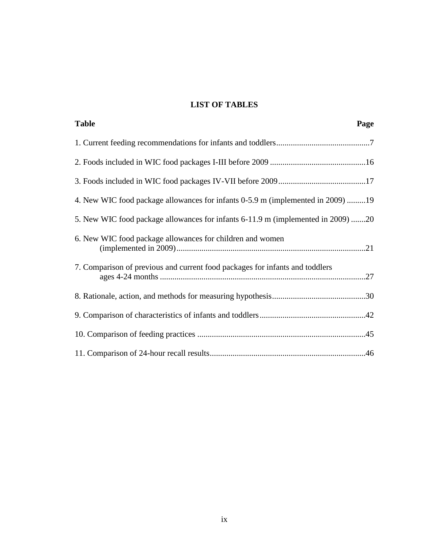# **LIST OF TABLES**

| <b>Table</b><br>Page                                                             |  |
|----------------------------------------------------------------------------------|--|
|                                                                                  |  |
|                                                                                  |  |
|                                                                                  |  |
| 4. New WIC food package allowances for infants 0-5.9 m (implemented in 2009) 19  |  |
| 5. New WIC food package allowances for infants 6-11.9 m (implemented in 2009) 20 |  |
| 6. New WIC food package allowances for children and women                        |  |
| 7. Comparison of previous and current food packages for infants and toddlers     |  |
|                                                                                  |  |
|                                                                                  |  |
|                                                                                  |  |
|                                                                                  |  |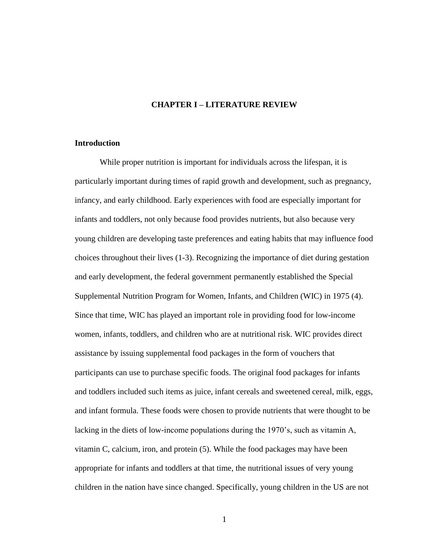#### **CHAPTER I – LITERATURE REVIEW**

#### **Introduction**

While proper nutrition is important for individuals across the lifespan, it is particularly important during times of rapid growth and development, such as pregnancy, infancy, and early childhood. Early experiences with food are especially important for infants and toddlers, not only because food provides nutrients, but also because very young children are developing taste preferences and eating habits that may influence food choices throughout their lives (1-3). Recognizing the importance of diet during gestation and early development, the federal government permanently established the Special Supplemental Nutrition Program for Women, Infants, and Children (WIC) in 1975 (4). Since that time, WIC has played an important role in providing food for low-income women, infants, toddlers, and children who are at nutritional risk. WIC provides direct assistance by issuing supplemental food packages in the form of vouchers that participants can use to purchase specific foods. The original food packages for infants and toddlers included such items as juice, infant cereals and sweetened cereal, milk, eggs, and infant formula. These foods were chosen to provide nutrients that were thought to be lacking in the diets of low-income populations during the 1970's, such as vitamin A, vitamin C, calcium, iron, and protein (5). While the food packages may have been appropriate for infants and toddlers at that time, the nutritional issues of very young children in the nation have since changed. Specifically, young children in the US are not

1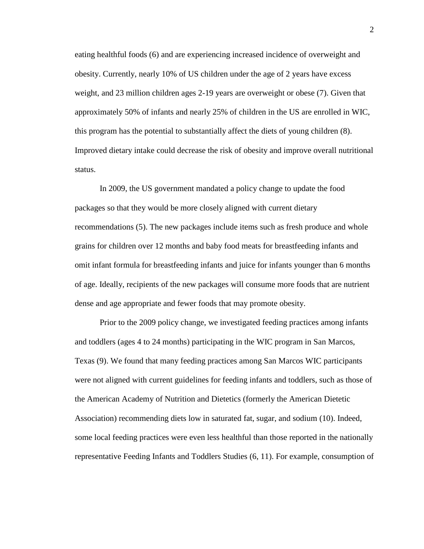eating healthful foods (6) and are experiencing increased incidence of overweight and obesity. Currently, nearly 10% of US children under the age of 2 years have excess weight, and 23 million children ages 2-19 years are overweight or obese (7). Given that approximately 50% of infants and nearly 25% of children in the US are enrolled in WIC, this program has the potential to substantially affect the diets of young children (8). Improved dietary intake could decrease the risk of obesity and improve overall nutritional status.

In 2009, the US government mandated a policy change to update the food packages so that they would be more closely aligned with current dietary recommendations (5). The new packages include items such as fresh produce and whole grains for children over 12 months and baby food meats for breastfeeding infants and omit infant formula for breastfeeding infants and juice for infants younger than 6 months of age. Ideally, recipients of the new packages will consume more foods that are nutrient dense and age appropriate and fewer foods that may promote obesity.

Prior to the 2009 policy change, we investigated feeding practices among infants and toddlers (ages 4 to 24 months) participating in the WIC program in San Marcos, Texas (9). We found that many feeding practices among San Marcos WIC participants were not aligned with current guidelines for feeding infants and toddlers, such as those of the American Academy of Nutrition and Dietetics (formerly the American Dietetic Association) recommending diets low in saturated fat, sugar, and sodium (10). Indeed, some local feeding practices were even less healthful than those reported in the nationally representative Feeding Infants and Toddlers Studies (6, 11). For example, consumption of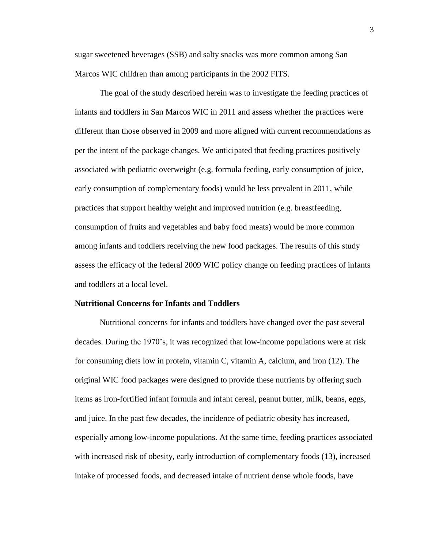sugar sweetened beverages (SSB) and salty snacks was more common among San Marcos WIC children than among participants in the 2002 FITS.

The goal of the study described herein was to investigate the feeding practices of infants and toddlers in San Marcos WIC in 2011 and assess whether the practices were different than those observed in 2009 and more aligned with current recommendations as per the intent of the package changes. We anticipated that feeding practices positively associated with pediatric overweight (e.g. formula feeding, early consumption of juice, early consumption of complementary foods) would be less prevalent in 2011, while practices that support healthy weight and improved nutrition (e.g. breastfeeding, consumption of fruits and vegetables and baby food meats) would be more common among infants and toddlers receiving the new food packages. The results of this study assess the efficacy of the federal 2009 WIC policy change on feeding practices of infants and toddlers at a local level.

#### **Nutritional Concerns for Infants and Toddlers**

Nutritional concerns for infants and toddlers have changed over the past several decades. During the 1970's, it was recognized that low-income populations were at risk for consuming diets low in protein, vitamin C, vitamin A, calcium, and iron (12). The original WIC food packages were designed to provide these nutrients by offering such items as iron-fortified infant formula and infant cereal, peanut butter, milk, beans, eggs, and juice. In the past few decades, the incidence of pediatric obesity has increased, especially among low-income populations. At the same time, feeding practices associated with increased risk of obesity, early introduction of complementary foods (13), increased intake of processed foods, and decreased intake of nutrient dense whole foods, have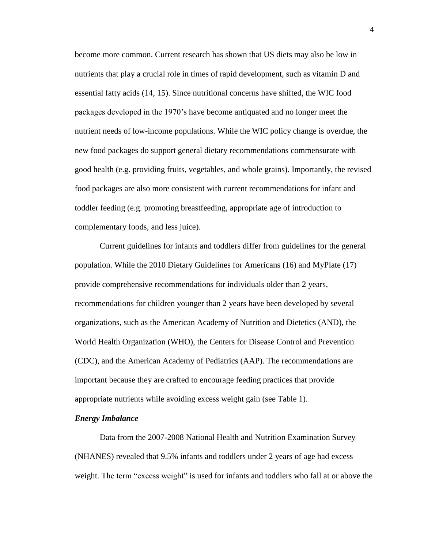become more common. Current research has shown that US diets may also be low in nutrients that play a crucial role in times of rapid development, such as vitamin D and essential fatty acids (14, 15). Since nutritional concerns have shifted, the WIC food packages developed in the 1970's have become antiquated and no longer meet the nutrient needs of low-income populations. While the WIC policy change is overdue, the new food packages do support general dietary recommendations commensurate with good health (e.g. providing fruits, vegetables, and whole grains). Importantly, the revised food packages are also more consistent with current recommendations for infant and toddler feeding (e.g. promoting breastfeeding, appropriate age of introduction to complementary foods, and less juice).

Current guidelines for infants and toddlers differ from guidelines for the general population. While the 2010 Dietary Guidelines for Americans (16) and MyPlate (17) provide comprehensive recommendations for individuals older than 2 years, recommendations for children younger than 2 years have been developed by several organizations, such as the American Academy of Nutrition and Dietetics (AND), the World Health Organization (WHO), the Centers for Disease Control and Prevention (CDC), and the American Academy of Pediatrics (AAP). The recommendations are important because they are crafted to encourage feeding practices that provide appropriate nutrients while avoiding excess weight gain (see Table 1).

#### *Energy Imbalance*

Data from the 2007-2008 National Health and Nutrition Examination Survey (NHANES) revealed that 9.5% infants and toddlers under 2 years of age had excess weight. The term "excess weight" is used for infants and toddlers who fall at or above the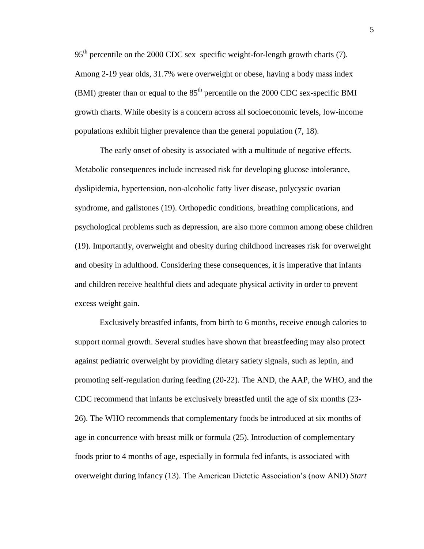$95<sup>th</sup>$  percentile on the 2000 CDC sex–specific weight-for-length growth charts (7). Among 2-19 year olds, 31.7% were overweight or obese, having a body mass index (BMI) greater than or equal to the  $85<sup>th</sup>$  percentile on the 2000 CDC sex-specific BMI growth charts. While obesity is a concern across all socioeconomic levels, low-income populations exhibit higher prevalence than the general population (7, 18).

The early onset of obesity is associated with a multitude of negative effects. Metabolic consequences include increased risk for developing glucose intolerance, dyslipidemia, hypertension, non-alcoholic fatty liver disease, polycystic ovarian syndrome, and gallstones (19). Orthopedic conditions, breathing complications, and psychological problems such as depression, are also more common among obese children (19). Importantly, overweight and obesity during childhood increases risk for overweight and obesity in adulthood. Considering these consequences, it is imperative that infants and children receive healthful diets and adequate physical activity in order to prevent excess weight gain.

Exclusively breastfed infants, from birth to 6 months, receive enough calories to support normal growth. Several studies have shown that breastfeeding may also protect against pediatric overweight by providing dietary satiety signals, such as leptin, and promoting self-regulation during feeding (20-22). The AND, the AAP, the WHO, and the CDC recommend that infants be exclusively breastfed until the age of six months (23- 26). The WHO recommends that complementary foods be introduced at six months of age in concurrence with breast milk or formula (25). Introduction of complementary foods prior to 4 months of age, especially in formula fed infants, is associated with overweight during infancy (13). The American Dietetic Association's (now AND) *Start*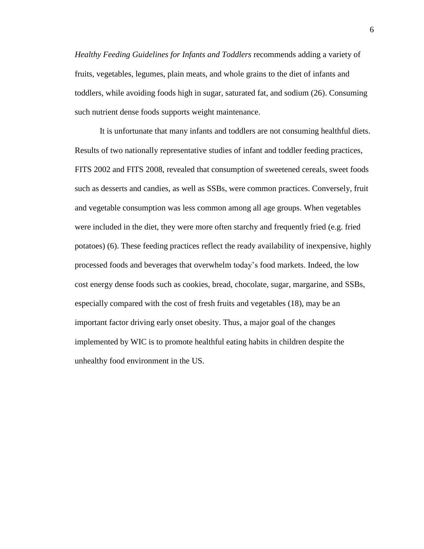*Healthy Feeding Guidelines for Infants and Toddlers* recommends adding a variety of fruits, vegetables, legumes, plain meats, and whole grains to the diet of infants and toddlers, while avoiding foods high in sugar, saturated fat, and sodium (26). Consuming such nutrient dense foods supports weight maintenance.

It is unfortunate that many infants and toddlers are not consuming healthful diets. Results of two nationally representative studies of infant and toddler feeding practices, FITS 2002 and FITS 2008, revealed that consumption of sweetened cereals, sweet foods such as desserts and candies, as well as SSBs, were common practices. Conversely, fruit and vegetable consumption was less common among all age groups. When vegetables were included in the diet, they were more often starchy and frequently fried (e.g. fried potatoes) (6). These feeding practices reflect the ready availability of inexpensive, highly processed foods and beverages that overwhelm today's food markets. Indeed, the low cost energy dense foods such as cookies, bread, chocolate, sugar, margarine, and SSBs, especially compared with the cost of fresh fruits and vegetables (18), may be an important factor driving early onset obesity. Thus, a major goal of the changes implemented by WIC is to promote healthful eating habits in children despite the unhealthy food environment in the US.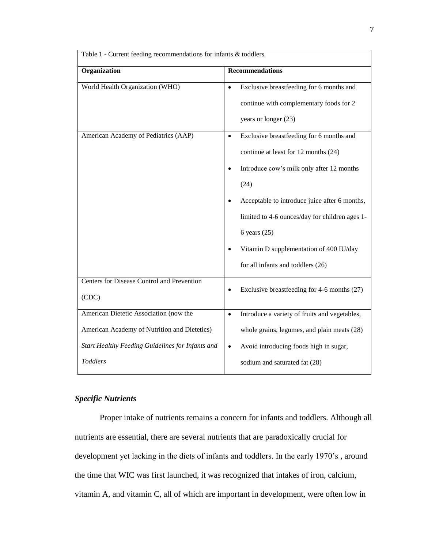| Table 1 - Current feeding recommendations for infants $\overline{\&}$ toddlers |                                                                                                                                                                                                                                                                                                                                                         |  |  |
|--------------------------------------------------------------------------------|---------------------------------------------------------------------------------------------------------------------------------------------------------------------------------------------------------------------------------------------------------------------------------------------------------------------------------------------------------|--|--|
| Organization                                                                   | <b>Recommendations</b>                                                                                                                                                                                                                                                                                                                                  |  |  |
| World Health Organization (WHO)                                                | Exclusive breastfeeding for 6 months and<br>$\bullet$<br>continue with complementary foods for 2<br>years or longer (23)                                                                                                                                                                                                                                |  |  |
| American Academy of Pediatrics (AAP)                                           | Exclusive breastfeeding for 6 months and<br>$\bullet$<br>continue at least for 12 months (24)<br>Introduce cow's milk only after 12 months<br>(24)<br>Acceptable to introduce juice after 6 months,<br>limited to 4-6 ounces/day for children ages 1-<br>6 years $(25)$<br>Vitamin D supplementation of 400 IU/day<br>for all infants and toddlers (26) |  |  |
| Centers for Disease Control and Prevention<br>(CDC)                            | Exclusive breastfeeding for 4-6 months (27)<br>$\bullet$                                                                                                                                                                                                                                                                                                |  |  |
| American Dietetic Association (now the                                         | Introduce a variety of fruits and vegetables,<br>$\bullet$                                                                                                                                                                                                                                                                                              |  |  |
| American Academy of Nutrition and Dietetics)                                   | whole grains, legumes, and plain meats (28)                                                                                                                                                                                                                                                                                                             |  |  |
| Start Healthy Feeding Guidelines for Infants and                               | Avoid introducing foods high in sugar,<br>$\bullet$                                                                                                                                                                                                                                                                                                     |  |  |
| <b>Toddlers</b>                                                                | sodium and saturated fat (28)                                                                                                                                                                                                                                                                                                                           |  |  |

# *Specific Nutrients*

Proper intake of nutrients remains a concern for infants and toddlers. Although all nutrients are essential, there are several nutrients that are paradoxically crucial for development yet lacking in the diets of infants and toddlers. In the early 1970's , around the time that WIC was first launched, it was recognized that intakes of iron, calcium, vitamin A, and vitamin C, all of which are important in development, were often low in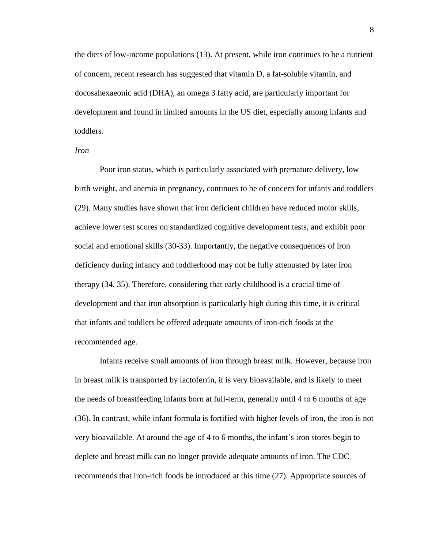the diets of low-income populations (13). At present, while iron continues to be a nutrient of concern, recent research has suggested that vitamin D, a fat-soluble vitamin, and docosahexaeonic acid (DHA), an omega 3 fatty acid, are particularly important for development and found in limited amounts in the US diet, especially among infants and toddlers.

#### *Iron*

Poor iron status, which is particularly associated with premature delivery, low birth weight, and anemia in pregnancy, continues to be of concern for infants and toddlers (29). Many studies have shown that iron deficient children have reduced motor skills, achieve lower test scores on standardized cognitive development tests, and exhibit poor social and emotional skills (30-33). Importantly, the negative consequences of iron deficiency during infancy and toddlerhood may not be fully attenuated by later iron therapy (34, 35). Therefore, considering that early childhood is a crucial time of development and that iron absorption is particularly high during this time, it is critical that infants and toddlers be offered adequate amounts of iron-rich foods at the recommended age.

Infants receive small amounts of iron through breast milk. However, because iron in breast milk is transported by lactoferrin, it is very bioavailable, and is likely to meet the needs of breastfeeding infants born at full-term, generally until 4 to 6 months of age (36). In contrast, while infant formula is fortified with higher levels of iron, the iron is not very bioavailable. At around the age of 4 to 6 months, the infant's iron stores begin to deplete and breast milk can no longer provide adequate amounts of iron. The CDC recommends that iron-rich foods be introduced at this time (27). Appropriate sources of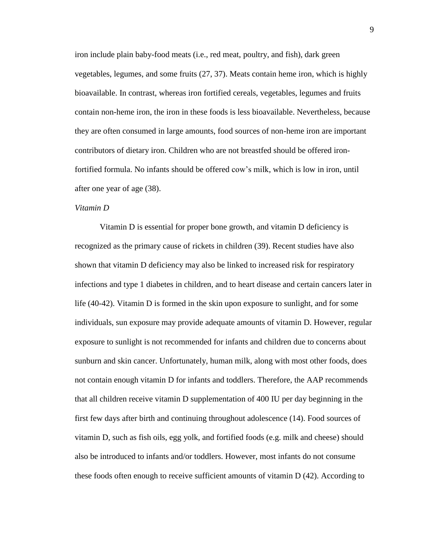iron include plain baby-food meats (i.e., red meat, poultry, and fish), dark green vegetables, legumes, and some fruits (27, 37). Meats contain heme iron, which is highly bioavailable. In contrast, whereas iron fortified cereals, vegetables, legumes and fruits contain non-heme iron, the iron in these foods is less bioavailable. Nevertheless, because they are often consumed in large amounts, food sources of non-heme iron are important contributors of dietary iron. Children who are not breastfed should be offered ironfortified formula. No infants should be offered cow's milk, which is low in iron, until after one year of age (38).

#### *Vitamin D*

Vitamin D is essential for proper bone growth, and vitamin D deficiency is recognized as the primary cause of rickets in children (39). Recent studies have also shown that vitamin D deficiency may also be linked to increased risk for respiratory infections and type 1 diabetes in children, and to heart disease and certain cancers later in life (40-42). Vitamin D is formed in the skin upon exposure to sunlight, and for some individuals, sun exposure may provide adequate amounts of vitamin D. However, regular exposure to sunlight is not recommended for infants and children due to concerns about sunburn and skin cancer. Unfortunately, human milk, along with most other foods, does not contain enough vitamin D for infants and toddlers. Therefore, the AAP recommends that all children receive vitamin D supplementation of 400 IU per day beginning in the first few days after birth and continuing throughout adolescence (14). Food sources of vitamin D, such as fish oils, egg yolk, and fortified foods (e.g. milk and cheese) should also be introduced to infants and/or toddlers. However, most infants do not consume these foods often enough to receive sufficient amounts of vitamin D (42). According to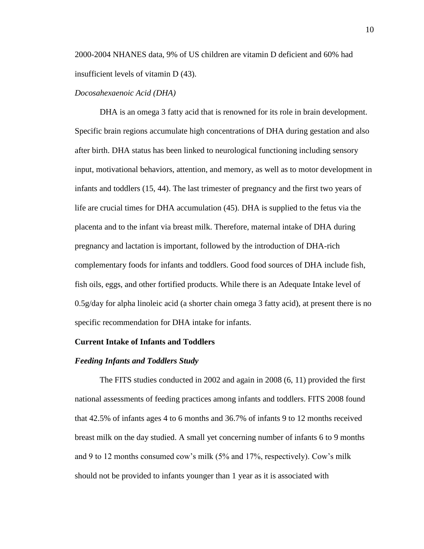2000-2004 NHANES data, 9% of US children are vitamin D deficient and 60% had insufficient levels of vitamin D (43).

#### *Docosahexaenoic Acid (DHA)*

DHA is an omega 3 fatty acid that is renowned for its role in brain development. Specific brain regions accumulate high concentrations of DHA during gestation and also after birth. DHA status has been linked to neurological functioning including sensory input, motivational behaviors, attention, and memory, as well as to motor development in infants and toddlers (15, 44). The last trimester of pregnancy and the first two years of life are crucial times for DHA accumulation (45). DHA is supplied to the fetus via the placenta and to the infant via breast milk. Therefore, maternal intake of DHA during pregnancy and lactation is important, followed by the introduction of DHA-rich complementary foods for infants and toddlers. Good food sources of DHA include fish, fish oils, eggs, and other fortified products. While there is an Adequate Intake level of 0.5g/day for alpha linoleic acid (a shorter chain omega 3 fatty acid), at present there is no specific recommendation for DHA intake for infants.

#### **Current Intake of Infants and Toddlers**

#### *Feeding Infants and Toddlers Study*

The FITS studies conducted in 2002 and again in 2008 (6, 11) provided the first national assessments of feeding practices among infants and toddlers. FITS 2008 found that 42.5% of infants ages 4 to 6 months and 36.7% of infants 9 to 12 months received breast milk on the day studied. A small yet concerning number of infants 6 to 9 months and 9 to 12 months consumed cow's milk (5% and 17%, respectively). Cow's milk should not be provided to infants younger than 1 year as it is associated with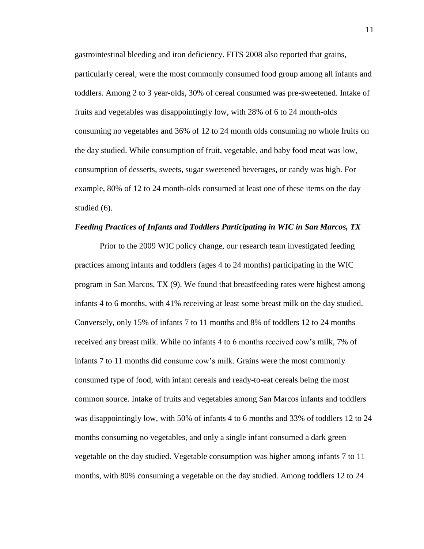gastrointestinal bleeding and iron deficiency. FITS 2008 also reported that grains, particularly cereal, were the most commonly consumed food group among all infants and toddlers. Among 2 to 3 year-olds, 30% of cereal consumed was pre-sweetened. Intake of fruits and vegetables was disappointingly low, with 28% of 6 to 24 month-olds consuming no vegetables and 36% of 12 to 24 month olds consuming no whole fruits on the day studied. While consumption of fruit, vegetable, and baby food meat was low, consumption of desserts, sweets, sugar sweetened beverages, or candy was high. For example, 80% of 12 to 24 month-olds consumed at least one of these items on the day studied (6).

#### *Feeding Practices of Infants and Toddlers Participating in WIC in San Marcos, TX*

Prior to the 2009 WIC policy change, our research team investigated feeding practices among infants and toddlers (ages 4 to 24 months) participating in the WIC program in San Marcos, TX (9). We found that breastfeeding rates were highest among infants 4 to 6 months, with 41% receiving at least some breast milk on the day studied. Conversely, only 15% of infants 7 to 11 months and 8% of toddlers 12 to 24 months received any breast milk. While no infants 4 to 6 months received cow's milk, 7% of infants 7 to 11 months did consume cow's milk. Grains were the most commonly consumed type of food, with infant cereals and ready-to-eat cereals being the most common source. Intake of fruits and vegetables among San Marcos infants and toddlers was disappointingly low, with 50% of infants 4 to 6 months and 33% of toddlers 12 to 24 months consuming no vegetables, and only a single infant consumed a dark green vegetable on the day studied. Vegetable consumption was higher among infants 7 to 11 months, with 80% consuming a vegetable on the day studied. Among toddlers 12 to 24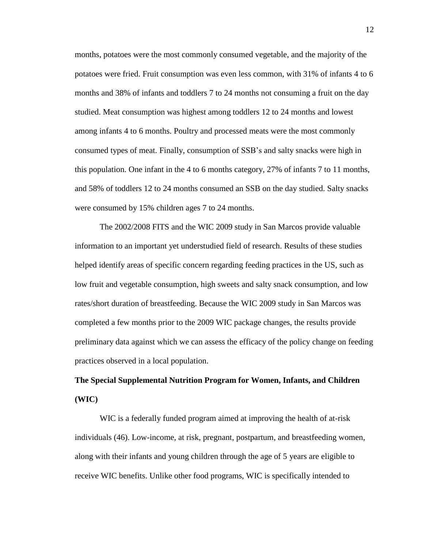months, potatoes were the most commonly consumed vegetable, and the majority of the potatoes were fried. Fruit consumption was even less common, with 31% of infants 4 to 6 months and 38% of infants and toddlers 7 to 24 months not consuming a fruit on the day studied. Meat consumption was highest among toddlers 12 to 24 months and lowest among infants 4 to 6 months. Poultry and processed meats were the most commonly consumed types of meat. Finally, consumption of SSB's and salty snacks were high in this population. One infant in the 4 to 6 months category, 27% of infants 7 to 11 months, and 58% of toddlers 12 to 24 months consumed an SSB on the day studied. Salty snacks were consumed by 15% children ages 7 to 24 months.

The 2002/2008 FITS and the WIC 2009 study in San Marcos provide valuable information to an important yet understudied field of research. Results of these studies helped identify areas of specific concern regarding feeding practices in the US, such as low fruit and vegetable consumption, high sweets and salty snack consumption, and low rates/short duration of breastfeeding. Because the WIC 2009 study in San Marcos was completed a few months prior to the 2009 WIC package changes, the results provide preliminary data against which we can assess the efficacy of the policy change on feeding practices observed in a local population.

# **The Special Supplemental Nutrition Program for Women, Infants, and Children (WIC)**

WIC is a federally funded program aimed at improving the health of at-risk individuals (46). Low-income, at risk, pregnant, postpartum, and breastfeeding women, along with their infants and young children through the age of 5 years are eligible to receive WIC benefits. Unlike other food programs, WIC is specifically intended to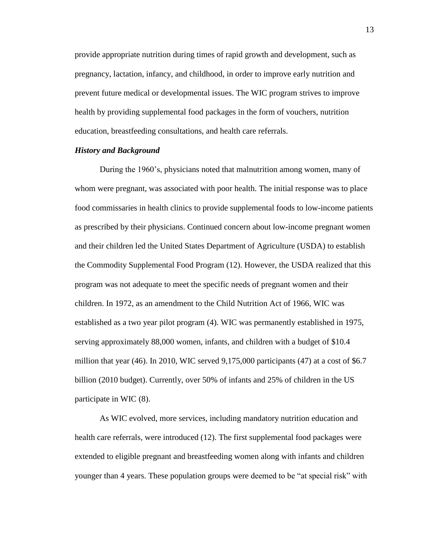provide appropriate nutrition during times of rapid growth and development, such as pregnancy, lactation, infancy, and childhood, in order to improve early nutrition and prevent future medical or developmental issues. The WIC program strives to improve health by providing supplemental food packages in the form of vouchers, nutrition education, breastfeeding consultations, and health care referrals.

#### *History and Background*

During the 1960's, physicians noted that malnutrition among women, many of whom were pregnant, was associated with poor health. The initial response was to place food commissaries in health clinics to provide supplemental foods to low-income patients as prescribed by their physicians. Continued concern about low-income pregnant women and their children led the United States Department of Agriculture (USDA) to establish the Commodity Supplemental Food Program (12). However, the USDA realized that this program was not adequate to meet the specific needs of pregnant women and their children. In 1972, as an amendment to the Child Nutrition Act of 1966, WIC was established as a two year pilot program (4). WIC was permanently established in 1975, serving approximately 88,000 women, infants, and children with a budget of \$10.4 million that year  $(46)$ . In 2010, WIC served  $9,175,000$  participants  $(47)$  at a cost of \$6.7 billion (2010 budget). Currently, over 50% of infants and 25% of children in the US participate in WIC (8).

As WIC evolved, more services, including mandatory nutrition education and health care referrals, were introduced (12). The first supplemental food packages were extended to eligible pregnant and breastfeeding women along with infants and children younger than 4 years. These population groups were deemed to be "at special risk" with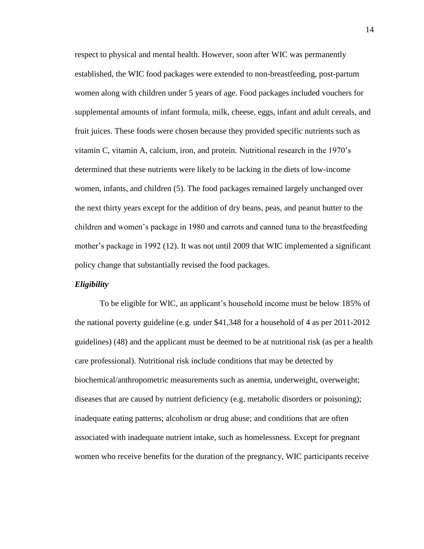respect to physical and mental health. However, soon after WIC was permanently established, the WIC food packages were extended to non-breastfeeding, post-partum women along with children under 5 years of age. Food packages included vouchers for supplemental amounts of infant formula, milk, cheese, eggs, infant and adult cereals, and fruit juices. These foods were chosen because they provided specific nutrients such as vitamin C, vitamin A, calcium, iron, and protein. Nutritional research in the 1970's determined that these nutrients were likely to be lacking in the diets of low-income women, infants, and children (5). The food packages remained largely unchanged over the next thirty years except for the addition of dry beans, peas, and peanut butter to the children and women's package in 1980 and carrots and canned tuna to the breastfeeding mother's package in 1992 (12). It was not until 2009 that WIC implemented a significant policy change that substantially revised the food packages.

#### *Eligibility*

To be eligible for WIC, an applicant's household income must be below 185% of the national poverty guideline (e.g. under \$41,348 for a household of 4 as per 2011-2012 guidelines) (48) and the applicant must be deemed to be at nutritional risk (as per a health care professional). Nutritional risk include conditions that may be detected by biochemical/anthropometric measurements such as anemia, underweight, overweight; diseases that are caused by nutrient deficiency (e.g. metabolic disorders or poisoning); inadequate eating patterns; alcoholism or drug abuse; and conditions that are often associated with inadequate nutrient intake, such as homelessness. Except for pregnant women who receive benefits for the duration of the pregnancy, WIC participants receive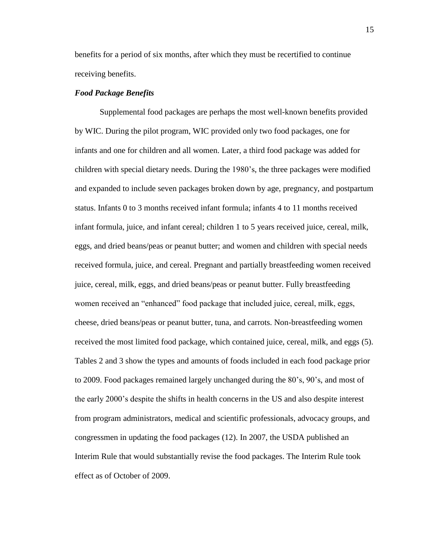benefits for a period of six months, after which they must be recertified to continue receiving benefits.

#### *Food Package Benefits*

Supplemental food packages are perhaps the most well-known benefits provided by WIC. During the pilot program, WIC provided only two food packages, one for infants and one for children and all women. Later, a third food package was added for children with special dietary needs. During the 1980's, the three packages were modified and expanded to include seven packages broken down by age, pregnancy, and postpartum status. Infants 0 to 3 months received infant formula; infants 4 to 11 months received infant formula, juice, and infant cereal; children 1 to 5 years received juice, cereal, milk, eggs, and dried beans/peas or peanut butter; and women and children with special needs received formula, juice, and cereal. Pregnant and partially breastfeeding women received juice, cereal, milk, eggs, and dried beans/peas or peanut butter. Fully breastfeeding women received an "enhanced" food package that included juice, cereal, milk, eggs, cheese, dried beans/peas or peanut butter, tuna, and carrots. Non-breastfeeding women received the most limited food package, which contained juice, cereal, milk, and eggs (5). Tables 2 and 3 show the types and amounts of foods included in each food package prior to 2009. Food packages remained largely unchanged during the 80's, 90's, and most of the early 2000's despite the shifts in health concerns in the US and also despite interest from program administrators, medical and scientific professionals, advocacy groups, and congressmen in updating the food packages (12). In 2007, the USDA published an Interim Rule that would substantially revise the food packages. The Interim Rule took effect as of October of 2009.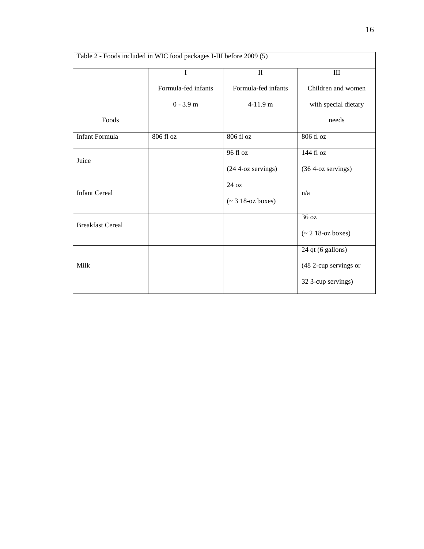| Table 2 - Foods included in WIC food packages I-III before 2009 (5) |                     |                           |                       |  |
|---------------------------------------------------------------------|---------------------|---------------------------|-----------------------|--|
|                                                                     | I                   | $\mathbf{I}$              | $\rm III$             |  |
|                                                                     | Formula-fed infants | Formula-fed infants       | Children and women    |  |
|                                                                     | $0 - 3.9$ m         | $4-11.9$ m                | with special dietary  |  |
| Foods                                                               |                     |                           | needs                 |  |
| <b>Infant Formula</b>                                               | 806 fl oz           | 806 fl oz                 | 806 fl oz             |  |
|                                                                     |                     | 96 fl oz                  | 144 fl oz             |  |
| Juice                                                               |                     | (24 4-oz servings)        | (36 4-oz servings)    |  |
|                                                                     |                     | 24 oz                     |                       |  |
| <b>Infant Cereal</b>                                                |                     | $($ $\sim$ 3 18-oz boxes) | n/a                   |  |
|                                                                     |                     |                           | 36 oz                 |  |
| <b>Breakfast Cereal</b>                                             |                     |                           | $($ ~ 2 18-oz boxes)  |  |
|                                                                     |                     |                           | 24 qt (6 gallons)     |  |
| Milk                                                                |                     |                           | (48 2-cup servings or |  |
|                                                                     |                     |                           | 32 3-cup servings)    |  |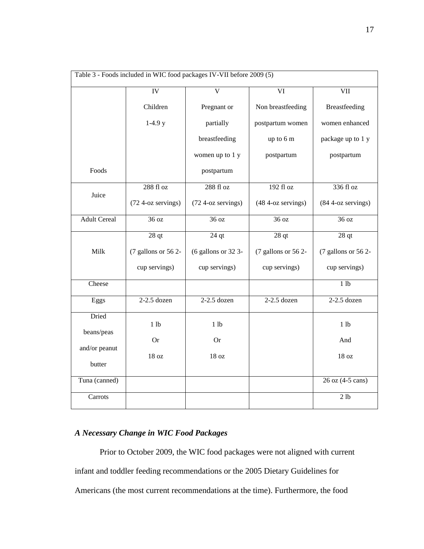| Table 3 - Foods included in WIC food packages IV-VII before 2009 (5) |                     |                         |                     |                      |
|----------------------------------------------------------------------|---------------------|-------------------------|---------------------|----------------------|
|                                                                      | <b>IV</b>           | $\overline{\mathsf{V}}$ | $\overline{VI}$     | <b>VII</b>           |
|                                                                      | Children            | Pregnant or             | Non breastfeeding   | <b>Breastfeeding</b> |
|                                                                      | $1-4.9y$            | partially               | postpartum women    | women enhanced       |
|                                                                      |                     | breastfeeding           | up to 6 m           | package up to 1 y    |
|                                                                      |                     | women up to 1 y         | postpartum          | postpartum           |
| Foods                                                                |                     | postpartum              |                     |                      |
| Juice                                                                | 288 fl oz           | 288 fl oz               | 192 fl oz           | 336 fl oz            |
|                                                                      | (72 4-oz servings)  | (72 4-oz servings)      | (48 4-oz servings)  | $(844$ -oz servings) |
| <b>Adult Cereal</b>                                                  | 36 oz               | 36 oz                   | 36 oz               | 36 oz                |
|                                                                      | 28 <sub>qt</sub>    | $24$ qt                 | 28 <sub>qt</sub>    | 28 <sub>qt</sub>     |
| Milk                                                                 | (7 gallons or 56 2- | (6 gallons or 32 3-     | (7 gallons or 56 2- | (7 gallons or 56 2-  |
|                                                                      | cup servings)       | cup servings)           | cup servings)       | cup servings)        |
| Cheese                                                               |                     |                         |                     | 1 lb                 |
| Eggs                                                                 | $2-2.5$ dozen       | $2-2.5$ dozen           | $2-2.5$ dozen       | $2-2.5$ dozen        |
| Dried                                                                | 1 <sub>1b</sub>     | 1 <sub>1b</sub>         |                     | 1 <sub>lb</sub>      |
| beans/peas                                                           | <b>Or</b>           | <b>Or</b>               |                     | And                  |
| and/or peanut                                                        | 18 oz               | 18 oz                   |                     | 18 oz                |
| butter                                                               |                     |                         |                     |                      |
| Tuna (canned)                                                        |                     |                         |                     | 26 oz (4-5 cans)     |
| Carrots                                                              |                     |                         |                     | 2 <sub>1b</sub>      |

## *A Necessary Change in WIC Food Packages*

Prior to October 2009, the WIC food packages were not aligned with current infant and toddler feeding recommendations or the 2005 Dietary Guidelines for Americans (the most current recommendations at the time). Furthermore, the food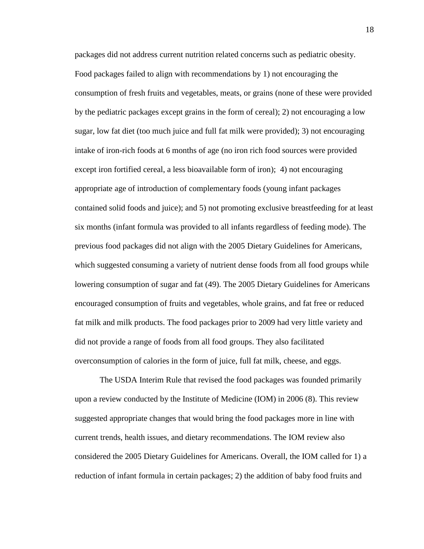packages did not address current nutrition related concerns such as pediatric obesity. Food packages failed to align with recommendations by 1) not encouraging the consumption of fresh fruits and vegetables, meats, or grains (none of these were provided by the pediatric packages except grains in the form of cereal); 2) not encouraging a low sugar, low fat diet (too much juice and full fat milk were provided); 3) not encouraging intake of iron-rich foods at 6 months of age (no iron rich food sources were provided except iron fortified cereal, a less bioavailable form of iron); 4) not encouraging appropriate age of introduction of complementary foods (young infant packages contained solid foods and juice); and 5) not promoting exclusive breastfeeding for at least six months (infant formula was provided to all infants regardless of feeding mode). The previous food packages did not align with the 2005 Dietary Guidelines for Americans, which suggested consuming a variety of nutrient dense foods from all food groups while lowering consumption of sugar and fat (49). The 2005 Dietary Guidelines for Americans encouraged consumption of fruits and vegetables, whole grains, and fat free or reduced fat milk and milk products. The food packages prior to 2009 had very little variety and did not provide a range of foods from all food groups. They also facilitated overconsumption of calories in the form of juice, full fat milk, cheese, and eggs.

The USDA Interim Rule that revised the food packages was founded primarily upon a review conducted by the Institute of Medicine (IOM) in 2006 (8). This review suggested appropriate changes that would bring the food packages more in line with current trends, health issues, and dietary recommendations. The IOM review also considered the 2005 Dietary Guidelines for Americans. Overall, the IOM called for 1) a reduction of infant formula in certain packages; 2) the addition of baby food fruits and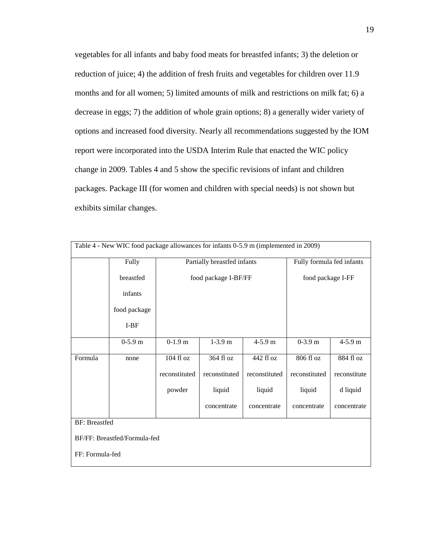vegetables for all infants and baby food meats for breastfed infants; 3) the deletion or reduction of juice; 4) the addition of fresh fruits and vegetables for children over 11.9 months and for all women; 5) limited amounts of milk and restrictions on milk fat; 6) a decrease in eggs; 7) the addition of whole grain options; 8) a generally wider variety of options and increased food diversity. Nearly all recommendations suggested by the IOM report were incorporated into the USDA Interim Rule that enacted the WIC policy change in 2009. Tables 4 and 5 show the specific revisions of infant and children packages. Package III (for women and children with special needs) is not shown but exhibits similar changes.

| Table 4 - New WIC food package allowances for infants 0-5.9 m (implemented in 2009) |              |               |                             |               |                           |              |
|-------------------------------------------------------------------------------------|--------------|---------------|-----------------------------|---------------|---------------------------|--------------|
|                                                                                     | Fully        |               | Partially breastfed infants |               | Fully formula fed infants |              |
|                                                                                     | breastfed    |               | food package I-BF/FF        |               | food package I-FF         |              |
|                                                                                     | infants      |               |                             |               |                           |              |
|                                                                                     | food package |               |                             |               |                           |              |
|                                                                                     | $I-BF$       |               |                             |               |                           |              |
|                                                                                     | $0-5.9$ m    | $0-1.9$ m     | $1-3.9m$                    | $4 - 5.9$ m   | $0-3.9$ m                 | 4-5.9 m      |
| Formula                                                                             | none         | 104 fl oz     | 364 fl oz                   | 442 fl oz     | 806 fl oz                 | 884 fl oz    |
|                                                                                     |              | reconstituted | reconstituted               | reconstituted | reconstituted             | reconstitute |
|                                                                                     |              | powder        | liquid                      | liquid        | liquid                    | d liquid     |
|                                                                                     |              |               | concentrate                 | concentrate   | concentrate               | concentrate  |
| <b>BF: Breastfed</b>                                                                |              |               |                             |               |                           |              |
| BF/FF: Breastfed/Formula-fed                                                        |              |               |                             |               |                           |              |
| FF: Formula-fed                                                                     |              |               |                             |               |                           |              |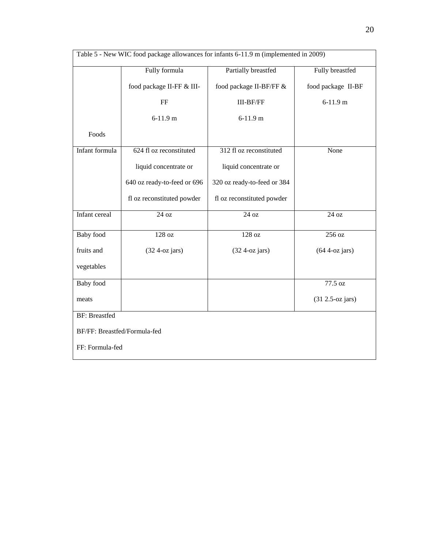| Table 5 - New WIC food package allowances for infants 6-11.9 m (implemented in 2009) |                             |                             |                     |  |
|--------------------------------------------------------------------------------------|-----------------------------|-----------------------------|---------------------|--|
|                                                                                      | Fully formula               | Partially breastfed         | Fully breastfed     |  |
|                                                                                      | food package II-FF & III-   | food package II-BF/FF &     | food package II-BF  |  |
|                                                                                      | FF                          | <b>III-BF/FF</b>            | $6-11.9 m$          |  |
|                                                                                      | $6-11.9$ m                  | $6-11.9 m$                  |                     |  |
| Foods                                                                                |                             |                             |                     |  |
| Infant formula                                                                       | 624 fl oz reconstituted     | 312 fl oz reconstituted     | None                |  |
|                                                                                      | liquid concentrate or       | liquid concentrate or       |                     |  |
|                                                                                      | 640 oz ready-to-feed or 696 | 320 oz ready-to-feed or 384 |                     |  |
|                                                                                      | fl oz reconstituted powder  | fl oz reconstituted powder  |                     |  |
| Infant cereal                                                                        | 24 oz                       | 24 oz                       | 24 oz               |  |
| <b>Baby</b> food                                                                     | 128 oz                      | 128 oz                      | 256 oz              |  |
| fruits and                                                                           | $(32 4-oz)$ jars)           | $(32 4-oz jars)$            | $(644$ -oz jars)    |  |
| vegetables                                                                           |                             |                             |                     |  |
| <b>Baby</b> food                                                                     |                             |                             | 77.5 oz             |  |
| meats                                                                                |                             |                             | $(31 2.5$ -oz jars) |  |
| <b>BF:</b> Breastfed                                                                 |                             |                             |                     |  |
| BF/FF: Breastfed/Formula-fed                                                         |                             |                             |                     |  |
| FF: Formula-fed                                                                      |                             |                             |                     |  |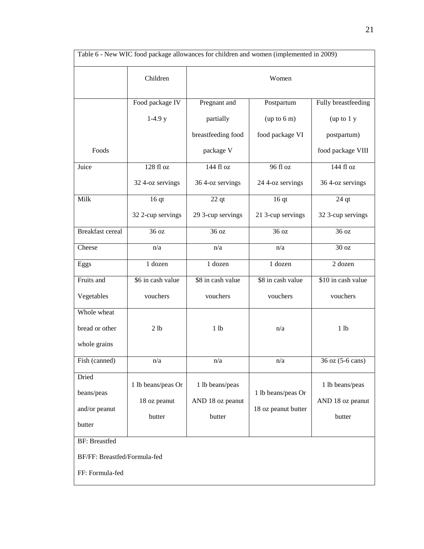| Table 6 - New WIC food package allowances for children and women (implemented in 2009) |                                              |                                               |                                           |                                               |
|----------------------------------------------------------------------------------------|----------------------------------------------|-----------------------------------------------|-------------------------------------------|-----------------------------------------------|
|                                                                                        | Children                                     | Women                                         |                                           |                                               |
|                                                                                        | Food package IV                              | Pregnant and                                  | Postpartum                                | Fully breastfeeding                           |
|                                                                                        | $1-4.9y$                                     | partially                                     | (up to 6 m)                               | (up to 1 y)                                   |
|                                                                                        |                                              | breastfeeding food                            | food package VI                           | postpartum)                                   |
| Foods                                                                                  |                                              | package V                                     |                                           | food package VIII                             |
| Juice                                                                                  | 128 fl oz                                    | 144 fl oz                                     | 96 fl oz                                  | 144 fl oz                                     |
|                                                                                        | 32 4-oz servings                             | 36 4-oz servings                              | 24 4-oz servings                          | 36 4-oz servings                              |
| Milk                                                                                   | $\overline{16}$ qt                           | $22$ qt                                       | 16 <sub>qt</sub>                          | $24$ qt                                       |
|                                                                                        | 32 2-cup servings                            | 29 3-cup servings                             | 21 3-cup servings                         | 32 3-cup servings                             |
| <b>Breakfast</b> cereal                                                                | 36 oz                                        | 36 oz                                         | 36 oz                                     | 36 oz                                         |
| Cheese                                                                                 | n/a                                          | n/a                                           | n/a                                       | 30 oz                                         |
| Eggs                                                                                   | 1 dozen                                      | 1 dozen                                       | 1 dozen                                   | 2 dozen                                       |
| Fruits and                                                                             | \$6 in cash value                            | \$8 in cash value                             | \$8 in cash value                         | \$10 in cash value                            |
| Vegetables                                                                             | vouchers                                     | vouchers                                      | vouchers                                  | vouchers                                      |
| Whole wheat                                                                            |                                              |                                               |                                           |                                               |
| bread or other                                                                         | 2 lb                                         | 1 <sub>1</sub> b                              | n/a                                       | 1 <sub>1</sub> b                              |
| whole grains                                                                           |                                              |                                               |                                           |                                               |
| Fish (canned)                                                                          | n/a                                          | n/a                                           | n/a                                       | 36 oz (5-6 cans)                              |
| Dried<br>beans/peas<br>and/or peanut<br>butter                                         | 1 lb beans/peas Or<br>18 oz peanut<br>butter | 1 lb beans/peas<br>AND 18 oz peanut<br>butter | 1 lb beans/peas Or<br>18 oz peanut butter | 1 lb beans/peas<br>AND 18 oz peanut<br>butter |
| <b>BF: Breastfed</b><br>BF/FF: Breastfed/Formula-fed<br>FF: Formula-fed                |                                              |                                               |                                           |                                               |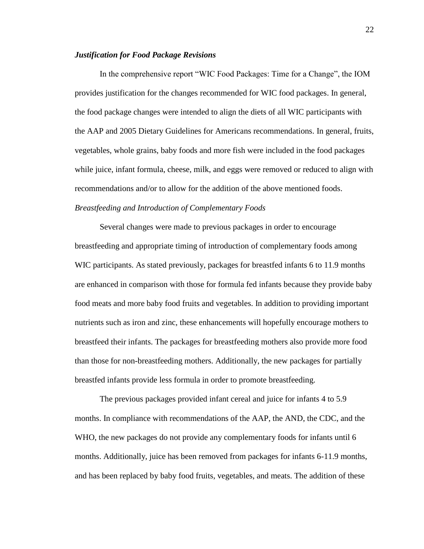#### *Justification for Food Package Revisions*

In the comprehensive report "WIC Food Packages: Time for a Change", the IOM provides justification for the changes recommended for WIC food packages. In general, the food package changes were intended to align the diets of all WIC participants with the AAP and 2005 Dietary Guidelines for Americans recommendations. In general, fruits, vegetables, whole grains, baby foods and more fish were included in the food packages while juice, infant formula, cheese, milk, and eggs were removed or reduced to align with recommendations and/or to allow for the addition of the above mentioned foods. *Breastfeeding and Introduction of Complementary Foods*

Several changes were made to previous packages in order to encourage breastfeeding and appropriate timing of introduction of complementary foods among WIC participants. As stated previously, packages for breastfed infants 6 to 11.9 months are enhanced in comparison with those for formula fed infants because they provide baby food meats and more baby food fruits and vegetables. In addition to providing important nutrients such as iron and zinc, these enhancements will hopefully encourage mothers to breastfeed their infants. The packages for breastfeeding mothers also provide more food than those for non-breastfeeding mothers. Additionally, the new packages for partially breastfed infants provide less formula in order to promote breastfeeding.

The previous packages provided infant cereal and juice for infants 4 to 5.9 months. In compliance with recommendations of the AAP, the AND, the CDC, and the WHO, the new packages do not provide any complementary foods for infants until 6 months. Additionally, juice has been removed from packages for infants 6-11.9 months, and has been replaced by baby food fruits, vegetables, and meats. The addition of these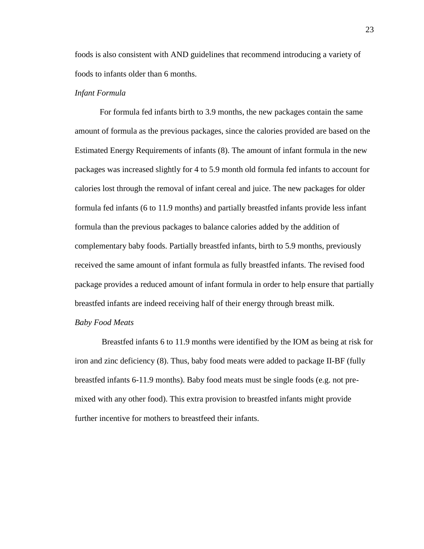foods is also consistent with AND guidelines that recommend introducing a variety of foods to infants older than 6 months.

#### *Infant Formula*

For formula fed infants birth to 3.9 months, the new packages contain the same amount of formula as the previous packages, since the calories provided are based on the Estimated Energy Requirements of infants (8). The amount of infant formula in the new packages was increased slightly for 4 to 5.9 month old formula fed infants to account for calories lost through the removal of infant cereal and juice. The new packages for older formula fed infants (6 to 11.9 months) and partially breastfed infants provide less infant formula than the previous packages to balance calories added by the addition of complementary baby foods. Partially breastfed infants, birth to 5.9 months, previously received the same amount of infant formula as fully breastfed infants. The revised food package provides a reduced amount of infant formula in order to help ensure that partially breastfed infants are indeed receiving half of their energy through breast milk.

#### *Baby Food Meats*

Breastfed infants 6 to 11.9 months were identified by the IOM as being at risk for iron and zinc deficiency (8). Thus, baby food meats were added to package II-BF (fully breastfed infants 6-11.9 months). Baby food meats must be single foods (e.g. not premixed with any other food). This extra provision to breastfed infants might provide further incentive for mothers to breastfeed their infants.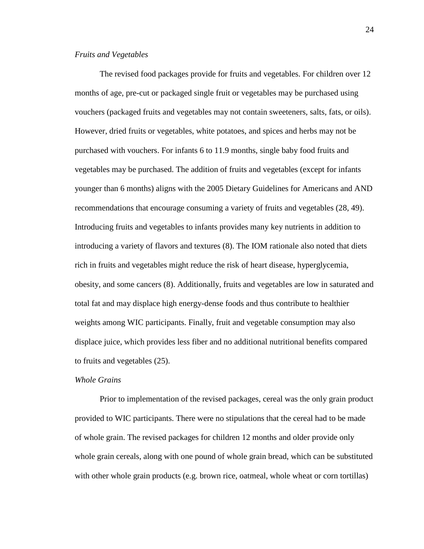#### *Fruits and Vegetables*

The revised food packages provide for fruits and vegetables. For children over 12 months of age, pre-cut or packaged single fruit or vegetables may be purchased using vouchers (packaged fruits and vegetables may not contain sweeteners, salts, fats, or oils). However, dried fruits or vegetables, white potatoes, and spices and herbs may not be purchased with vouchers. For infants 6 to 11.9 months, single baby food fruits and vegetables may be purchased. The addition of fruits and vegetables (except for infants younger than 6 months) aligns with the 2005 Dietary Guidelines for Americans and AND recommendations that encourage consuming a variety of fruits and vegetables (28, 49). Introducing fruits and vegetables to infants provides many key nutrients in addition to introducing a variety of flavors and textures (8). The IOM rationale also noted that diets rich in fruits and vegetables might reduce the risk of heart disease, hyperglycemia, obesity, and some cancers (8). Additionally, fruits and vegetables are low in saturated and total fat and may displace high energy-dense foods and thus contribute to healthier weights among WIC participants. Finally, fruit and vegetable consumption may also displace juice, which provides less fiber and no additional nutritional benefits compared to fruits and vegetables (25).

#### *Whole Grains*

Prior to implementation of the revised packages, cereal was the only grain product provided to WIC participants. There were no stipulations that the cereal had to be made of whole grain. The revised packages for children 12 months and older provide only whole grain cereals, along with one pound of whole grain bread, which can be substituted with other whole grain products (e.g. brown rice, oatmeal, whole wheat or corn tortillas)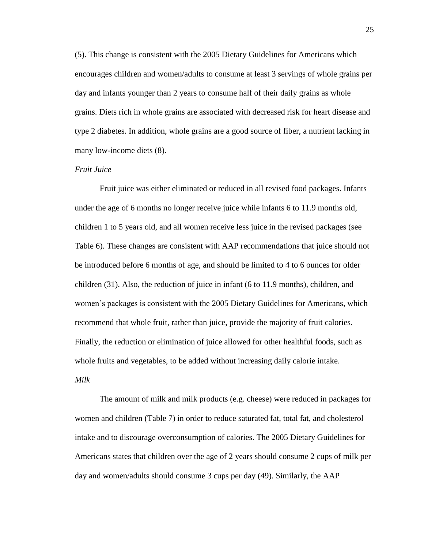(5). This change is consistent with the 2005 Dietary Guidelines for Americans which encourages children and women/adults to consume at least 3 servings of whole grains per day and infants younger than 2 years to consume half of their daily grains as whole grains. Diets rich in whole grains are associated with decreased risk for heart disease and type 2 diabetes. In addition, whole grains are a good source of fiber, a nutrient lacking in many low-income diets (8).

#### *Fruit Juice*

Fruit juice was either eliminated or reduced in all revised food packages. Infants under the age of 6 months no longer receive juice while infants 6 to 11.9 months old, children 1 to 5 years old, and all women receive less juice in the revised packages (see Table 6). These changes are consistent with AAP recommendations that juice should not be introduced before 6 months of age, and should be limited to 4 to 6 ounces for older children (31). Also, the reduction of juice in infant (6 to 11.9 months), children, and women's packages is consistent with the 2005 Dietary Guidelines for Americans, which recommend that whole fruit, rather than juice, provide the majority of fruit calories. Finally, the reduction or elimination of juice allowed for other healthful foods, such as whole fruits and vegetables, to be added without increasing daily calorie intake. *Milk*

The amount of milk and milk products (e.g. cheese) were reduced in packages for women and children (Table 7) in order to reduce saturated fat, total fat, and cholesterol intake and to discourage overconsumption of calories. The 2005 Dietary Guidelines for Americans states that children over the age of 2 years should consume 2 cups of milk per day and women/adults should consume 3 cups per day (49). Similarly, the AAP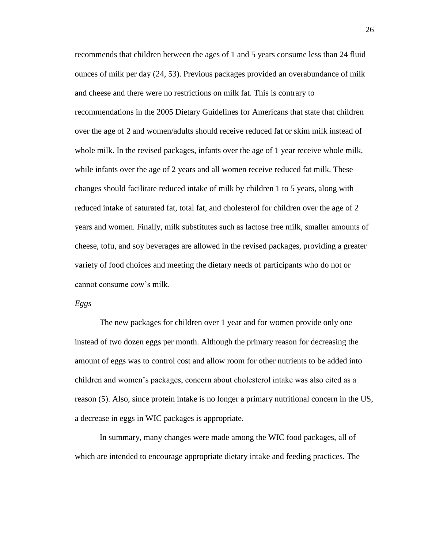recommends that children between the ages of 1 and 5 years consume less than 24 fluid ounces of milk per day (24, 53). Previous packages provided an overabundance of milk and cheese and there were no restrictions on milk fat. This is contrary to recommendations in the 2005 Dietary Guidelines for Americans that state that children over the age of 2 and women/adults should receive reduced fat or skim milk instead of whole milk. In the revised packages, infants over the age of 1 year receive whole milk, while infants over the age of 2 years and all women receive reduced fat milk. These changes should facilitate reduced intake of milk by children 1 to 5 years, along with reduced intake of saturated fat, total fat, and cholesterol for children over the age of 2 years and women. Finally, milk substitutes such as lactose free milk, smaller amounts of cheese, tofu, and soy beverages are allowed in the revised packages, providing a greater variety of food choices and meeting the dietary needs of participants who do not or cannot consume cow's milk.

#### *Eggs*

The new packages for children over 1 year and for women provide only one instead of two dozen eggs per month. Although the primary reason for decreasing the amount of eggs was to control cost and allow room for other nutrients to be added into children and women's packages, concern about cholesterol intake was also cited as a reason (5). Also, since protein intake is no longer a primary nutritional concern in the US, a decrease in eggs in WIC packages is appropriate.

In summary, many changes were made among the WIC food packages, all of which are intended to encourage appropriate dietary intake and feeding practices. The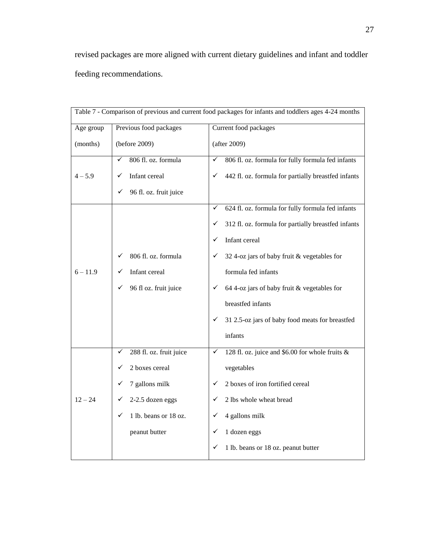revised packages are more aligned with current dietary guidelines and infant and toddler feeding recommendations.

| Table 7 - Comparison of previous and current food packages for infants and toddlers ages 4-24 months |                              |                                                                    |  |
|------------------------------------------------------------------------------------------------------|------------------------------|--------------------------------------------------------------------|--|
| Age group                                                                                            | Previous food packages       | Current food packages                                              |  |
| (months)                                                                                             | (before 2009)                | (after 2009)                                                       |  |
|                                                                                                      | 806 fl. oz. formula<br>✓     | 806 fl. oz. formula for fully formula fed infants<br>✓             |  |
| $4 - 5.9$                                                                                            | Infant cereal<br>✓           | 442 fl. oz. formula for partially breastfed infants<br>✓           |  |
|                                                                                                      | 96 fl. oz. fruit juice<br>✓  |                                                                    |  |
|                                                                                                      |                              | 624 fl. oz. formula for fully formula fed infants<br>✓             |  |
|                                                                                                      |                              | 312 fl. oz. formula for partially breastfed infants<br>✓           |  |
|                                                                                                      |                              | Infant cereal<br>✓                                                 |  |
|                                                                                                      | 806 fl. oz. formula<br>✓     | 32 4-oz jars of baby fruit & vegetables for<br>✓                   |  |
| $6 - 11.9$                                                                                           | Infant cereal                | formula fed infants                                                |  |
|                                                                                                      | 96 fl oz. fruit juice<br>✓   | 64 4-oz jars of baby fruit & vegetables for<br>✓                   |  |
|                                                                                                      |                              | breastfed infants                                                  |  |
|                                                                                                      |                              | 31 2.5-oz jars of baby food meats for breastfed<br>✓               |  |
|                                                                                                      |                              | infants                                                            |  |
|                                                                                                      | 288 fl. oz. fruit juice<br>✓ | $\checkmark$<br>128 fl. oz. juice and \$6.00 for whole fruits $\&$ |  |
|                                                                                                      | 2 boxes cereal<br>✓          | vegetables                                                         |  |
|                                                                                                      | 7 gallons milk<br>✓          | 2 boxes of iron fortified cereal<br>✓                              |  |
| $12 - 24$                                                                                            | 2-2.5 dozen eggs<br>✓        | 2 lbs whole wheat bread<br>✓                                       |  |
|                                                                                                      | 1 lb. beans or 18 oz.<br>✓   | 4 gallons milk<br>✓                                                |  |
|                                                                                                      | peanut butter                | 1 dozen eggs<br>✓                                                  |  |
|                                                                                                      |                              | 1 lb. beans or 18 oz. peanut butter<br>✓                           |  |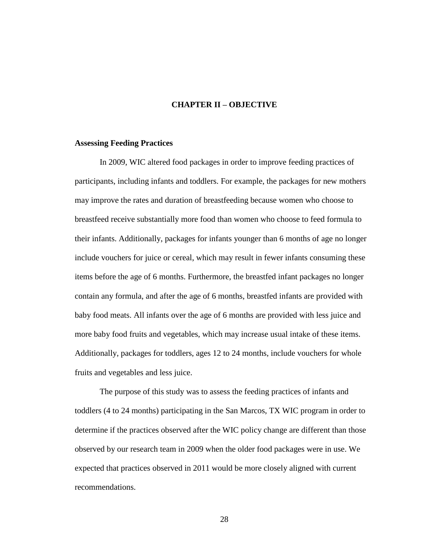### **CHAPTER II – OBJECTIVE**

#### **Assessing Feeding Practices**

In 2009, WIC altered food packages in order to improve feeding practices of participants, including infants and toddlers. For example, the packages for new mothers may improve the rates and duration of breastfeeding because women who choose to breastfeed receive substantially more food than women who choose to feed formula to their infants. Additionally, packages for infants younger than 6 months of age no longer include vouchers for juice or cereal, which may result in fewer infants consuming these items before the age of 6 months. Furthermore, the breastfed infant packages no longer contain any formula, and after the age of 6 months, breastfed infants are provided with baby food meats. All infants over the age of 6 months are provided with less juice and more baby food fruits and vegetables, which may increase usual intake of these items. Additionally, packages for toddlers, ages 12 to 24 months, include vouchers for whole fruits and vegetables and less juice.

The purpose of this study was to assess the feeding practices of infants and toddlers (4 to 24 months) participating in the San Marcos, TX WIC program in order to determine if the practices observed after the WIC policy change are different than those observed by our research team in 2009 when the older food packages were in use. We expected that practices observed in 2011 would be more closely aligned with current recommendations.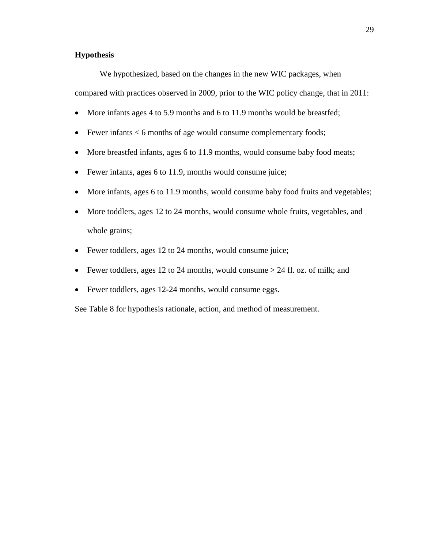# **Hypothesis**

We hypothesized, based on the changes in the new WIC packages, when

compared with practices observed in 2009, prior to the WIC policy change, that in 2011:

- More infants ages 4 to 5.9 months and 6 to 11.9 months would be breastfed;
- Eewer infants  $< 6$  months of age would consume complementary foods;
- More breastfed infants, ages 6 to 11.9 months, would consume baby food meats;
- Fewer infants, ages 6 to 11.9, months would consume juice;
- More infants, ages 6 to 11.9 months, would consume baby food fruits and vegetables;
- More toddlers, ages 12 to 24 months, would consume whole fruits, vegetables, and whole grains;
- Fewer toddlers, ages 12 to 24 months, would consume juice;
- Fewer toddlers, ages 12 to 24 months, would consume  $> 24$  fl. oz. of milk; and
- Fewer toddlers, ages 12-24 months, would consume eggs.

See Table 8 for hypothesis rationale, action, and method of measurement.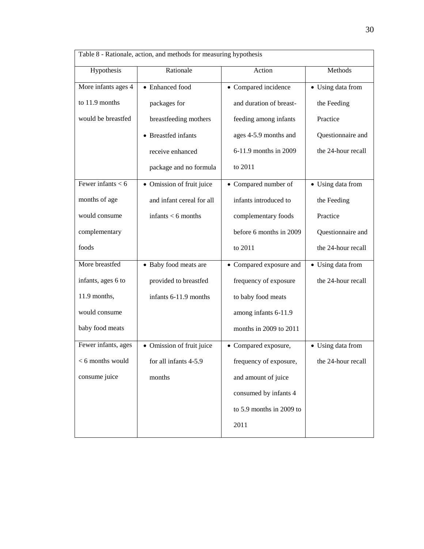| Table 8 - Rationale, action, and methods for measuring hypothesis |                           |                          |                    |  |
|-------------------------------------------------------------------|---------------------------|--------------------------|--------------------|--|
| Hypothesis                                                        | Rationale                 | Action                   | Methods            |  |
| More infants ages 4                                               | • Enhanced food           | • Compared incidence     | • Using data from  |  |
| to 11.9 months                                                    | packages for              | and duration of breast-  | the Feeding        |  |
| would be breastfed                                                | breastfeeding mothers     | feeding among infants    | Practice           |  |
|                                                                   | • Breastfed infants       | ages 4-5.9 months and    | Questionnaire and  |  |
|                                                                   | receive enhanced          | 6-11.9 months in 2009    | the 24-hour recall |  |
|                                                                   | package and no formula    | to 2011                  |                    |  |
| Fewer infants $< 6$                                               | • Omission of fruit juice | • Compared number of     | • Using data from  |  |
| months of age                                                     | and infant cereal for all | infants introduced to    | the Feeding        |  |
| would consume                                                     | infants $<$ 6 months      | complementary foods      | Practice           |  |
| complementary                                                     |                           | before 6 months in 2009  | Questionnaire and  |  |
| foods                                                             |                           | to 2011                  | the 24-hour recall |  |
| More breastfed                                                    | • Baby food meats are     | • Compared exposure and  | • Using data from  |  |
| infants, ages 6 to                                                | provided to breastfed     | frequency of exposure    | the 24-hour recall |  |
| 11.9 months,                                                      | infants 6-11.9 months     | to baby food meats       |                    |  |
| would consume                                                     |                           | among infants 6-11.9     |                    |  |
| baby food meats                                                   |                           | months in 2009 to 2011   |                    |  |
| Fewer infants, ages                                               | • Omission of fruit juice | • Compared exposure,     | • Using data from  |  |
| < 6 months would                                                  | for all infants 4-5.9     | frequency of exposure,   | the 24-hour recall |  |
| consume juice                                                     | months                    | and amount of juice      |                    |  |
|                                                                   |                           | consumed by infants 4    |                    |  |
|                                                                   |                           | to 5.9 months in 2009 to |                    |  |
|                                                                   |                           | 2011                     |                    |  |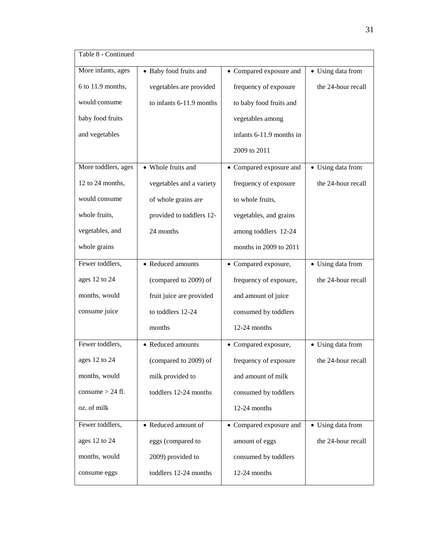| Table 8 - Continued |                          |                          |                    |
|---------------------|--------------------------|--------------------------|--------------------|
| More infants, ages  | • Baby food fruits and   | • Compared exposure and  | • Using data from  |
| 6 to 11.9 months,   | vegetables are provided  | frequency of exposure    | the 24-hour recall |
| would consume       | to infants 6-11.9 months | to baby food fruits and  |                    |
| baby food fruits    |                          | vegetables among         |                    |
| and vegetables      |                          | infants 6-11.9 months in |                    |
|                     |                          | 2009 to 2011             |                    |
| More toddlers, ages | • Whole fruits and       | • Compared exposure and  | • Using data from  |
| 12 to 24 months,    | vegetables and a variety | frequency of exposure    | the 24-hour recall |
| would consume       | of whole grains are      | to whole fruits,         |                    |
| whole fruits,       | provided to toddlers 12- | vegetables, and grains   |                    |
| vegetables, and     | 24 months                | among toddlers 12-24     |                    |
| whole grains        |                          | months in 2009 to 2011   |                    |
| Fewer toddlers,     | • Reduced amounts        | • Compared exposure,     | • Using data from  |
| ages 12 to 24       | (compared to 2009) of    | frequency of exposure,   | the 24-hour recall |
| months, would       | fruit juice are provided | and amount of juice      |                    |
| consume juice       | to toddlers 12-24        | consumed by toddlers     |                    |
|                     | months                   | 12-24 months             |                    |
| Fewer toddlers,     | • Reduced amounts        | • Compared exposure,     | • Using data from  |
| ages 12 to 24       | (compared to 2009) of    | frequency of exposure    | the 24-hour recall |
| months, would       | milk provided to         | and amount of milk       |                    |
| consume $> 24$ fl.  | toddlers 12-24 months    | consumed by toddlers     |                    |
| oz. of milk         |                          | 12-24 months             |                    |
| Fewer toddlers,     | • Reduced amount of      | • Compared exposure and  | • Using data from  |
| ages 12 to 24       | eggs (compared to        | amount of eggs           | the 24-hour recall |
| months, would       | 2009) provided to        | consumed by toddlers     |                    |
| consume eggs        | toddlers 12-24 months    | 12-24 months             |                    |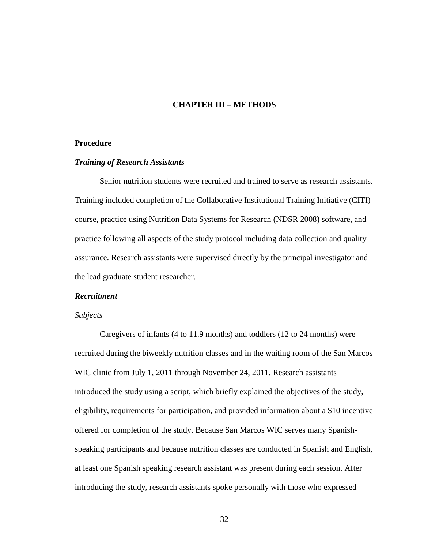### **CHAPTER III – METHODS**

### **Procedure**

### *Training of Research Assistants*

Senior nutrition students were recruited and trained to serve as research assistants. Training included completion of the Collaborative Institutional Training Initiative (CITI) course, practice using Nutrition Data Systems for Research (NDSR 2008) software, and practice following all aspects of the study protocol including data collection and quality assurance. Research assistants were supervised directly by the principal investigator and the lead graduate student researcher.

#### *Recruitment*

#### *Subjects*

Caregivers of infants (4 to 11.9 months) and toddlers (12 to 24 months) were recruited during the biweekly nutrition classes and in the waiting room of the San Marcos WIC clinic from July 1, 2011 through November 24, 2011. Research assistants introduced the study using a script, which briefly explained the objectives of the study, eligibility, requirements for participation, and provided information about a \$10 incentive offered for completion of the study. Because San Marcos WIC serves many Spanishspeaking participants and because nutrition classes are conducted in Spanish and English, at least one Spanish speaking research assistant was present during each session. After introducing the study, research assistants spoke personally with those who expressed

32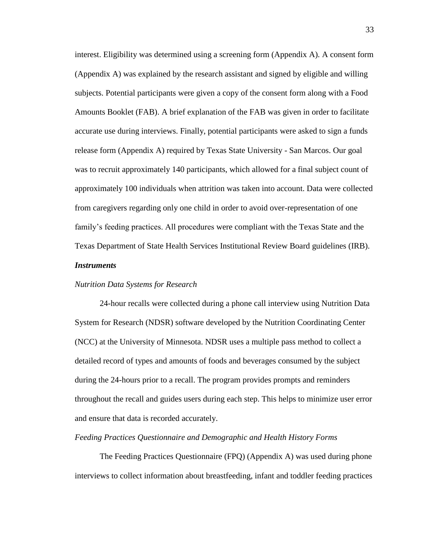interest. Eligibility was determined using a screening form (Appendix A). A consent form (Appendix A) was explained by the research assistant and signed by eligible and willing subjects. Potential participants were given a copy of the consent form along with a Food Amounts Booklet (FAB). A brief explanation of the FAB was given in order to facilitate accurate use during interviews. Finally, potential participants were asked to sign a funds release form (Appendix A) required by Texas State University - San Marcos. Our goal was to recruit approximately 140 participants, which allowed for a final subject count of approximately 100 individuals when attrition was taken into account. Data were collected from caregivers regarding only one child in order to avoid over-representation of one family's feeding practices. All procedures were compliant with the Texas State and the Texas Department of State Health Services Institutional Review Board guidelines (IRB).

### *Instruments*

### *Nutrition Data Systems for Research*

24-hour recalls were collected during a phone call interview using Nutrition Data System for Research (NDSR) software developed by the Nutrition Coordinating Center (NCC) at the University of Minnesota. NDSR uses a multiple pass method to collect a detailed record of types and amounts of foods and beverages consumed by the subject during the 24-hours prior to a recall. The program provides prompts and reminders throughout the recall and guides users during each step. This helps to minimize user error and ensure that data is recorded accurately.

### *Feeding Practices Questionnaire and Demographic and Health History Forms*

The Feeding Practices Questionnaire (FPQ) (Appendix A) was used during phone interviews to collect information about breastfeeding, infant and toddler feeding practices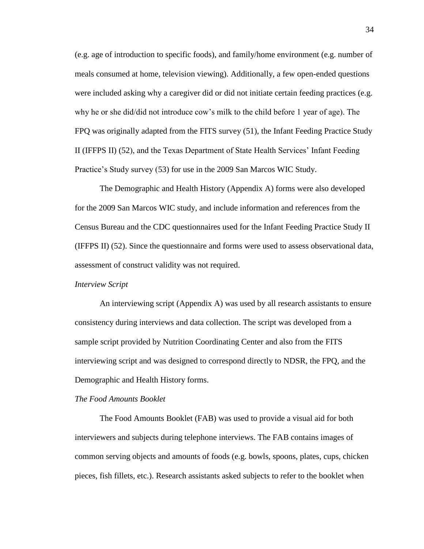(e.g. age of introduction to specific foods), and family/home environment (e.g. number of meals consumed at home, television viewing). Additionally, a few open-ended questions were included asking why a caregiver did or did not initiate certain feeding practices (e.g. why he or she did/did not introduce cow's milk to the child before 1 year of age). The FPQ was originally adapted from the FITS survey (51), the Infant Feeding Practice Study II (IFFPS II) (52), and the Texas Department of State Health Services' Infant Feeding Practice's Study survey (53) for use in the 2009 San Marcos WIC Study.

The Demographic and Health History (Appendix A) forms were also developed for the 2009 San Marcos WIC study, and include information and references from the Census Bureau and the CDC questionnaires used for the Infant Feeding Practice Study II (IFFPS II) (52). Since the questionnaire and forms were used to assess observational data, assessment of construct validity was not required.

### *Interview Script*

An interviewing script (Appendix A) was used by all research assistants to ensure consistency during interviews and data collection. The script was developed from a sample script provided by Nutrition Coordinating Center and also from the FITS interviewing script and was designed to correspond directly to NDSR, the FPQ, and the Demographic and Health History forms.

### *The Food Amounts Booklet*

The Food Amounts Booklet (FAB) was used to provide a visual aid for both interviewers and subjects during telephone interviews. The FAB contains images of common serving objects and amounts of foods (e.g. bowls, spoons, plates, cups, chicken pieces, fish fillets, etc.). Research assistants asked subjects to refer to the booklet when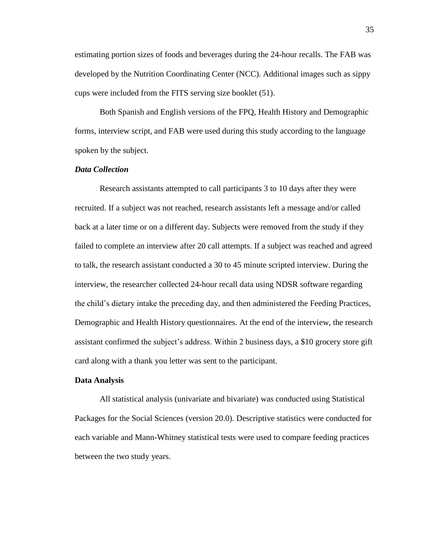estimating portion sizes of foods and beverages during the 24-hour recalls. The FAB was developed by the Nutrition Coordinating Center (NCC). Additional images such as sippy cups were included from the FITS serving size booklet (51).

Both Spanish and English versions of the FPQ, Health History and Demographic forms, interview script, and FAB were used during this study according to the language spoken by the subject.

## *Data Collection*

Research assistants attempted to call participants 3 to 10 days after they were recruited. If a subject was not reached, research assistants left a message and/or called back at a later time or on a different day. Subjects were removed from the study if they failed to complete an interview after 20 call attempts. If a subject was reached and agreed to talk, the research assistant conducted a 30 to 45 minute scripted interview. During the interview, the researcher collected 24-hour recall data using NDSR software regarding the child's dietary intake the preceding day, and then administered the Feeding Practices, Demographic and Health History questionnaires. At the end of the interview, the research assistant confirmed the subject's address. Within 2 business days, a \$10 grocery store gift card along with a thank you letter was sent to the participant.

#### **Data Analysis**

All statistical analysis (univariate and bivariate) was conducted using Statistical Packages for the Social Sciences (version 20.0). Descriptive statistics were conducted for each variable and Mann-Whitney statistical tests were used to compare feeding practices between the two study years.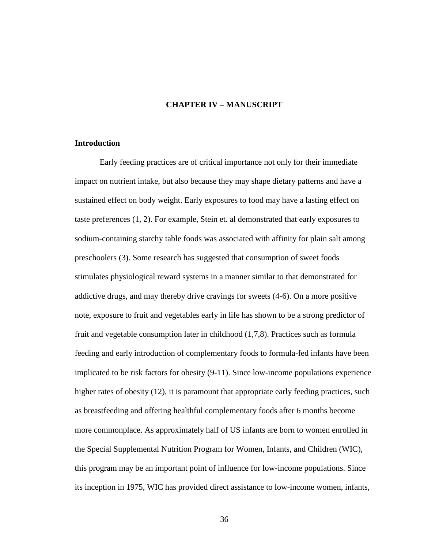# **CHAPTER IV – MANUSCRIPT**

### **Introduction**

Early feeding practices are of critical importance not only for their immediate impact on nutrient intake, but also because they may shape dietary patterns and have a sustained effect on body weight. Early exposures to food may have a lasting effect on taste preferences (1, 2). For example, Stein et. al demonstrated that early exposures to sodium-containing starchy table foods was associated with affinity for plain salt among preschoolers (3). Some research has suggested that consumption of sweet foods stimulates physiological reward systems in a manner similar to that demonstrated for addictive drugs, and may thereby drive cravings for sweets (4-6). On a more positive note, exposure to fruit and vegetables early in life has shown to be a strong predictor of fruit and vegetable consumption later in childhood (1,7,8). Practices such as formula feeding and early introduction of complementary foods to formula-fed infants have been implicated to be risk factors for obesity (9-11). Since low-income populations experience higher rates of obesity (12), it is paramount that appropriate early feeding practices, such as breastfeeding and offering healthful complementary foods after 6 months become more commonplace. As approximately half of US infants are born to women enrolled in the Special Supplemental Nutrition Program for Women, Infants, and Children (WIC), this program may be an important point of influence for low-income populations. Since its inception in 1975, WIC has provided direct assistance to low-income women, infants,

36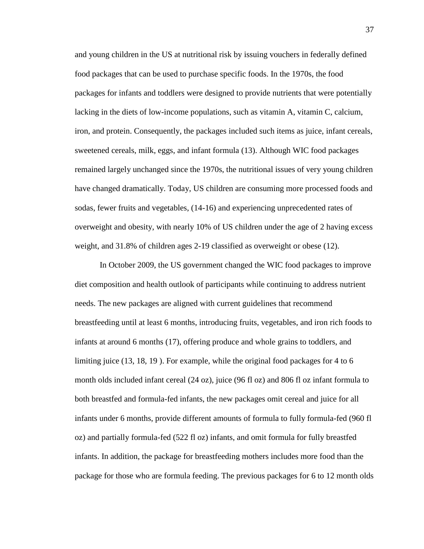and young children in the US at nutritional risk by issuing vouchers in federally defined food packages that can be used to purchase specific foods. In the 1970s, the food packages for infants and toddlers were designed to provide nutrients that were potentially lacking in the diets of low-income populations, such as vitamin A, vitamin C, calcium, iron, and protein. Consequently, the packages included such items as juice, infant cereals, sweetened cereals, milk, eggs, and infant formula (13). Although WIC food packages remained largely unchanged since the 1970s, the nutritional issues of very young children have changed dramatically. Today, US children are consuming more processed foods and sodas, fewer fruits and vegetables, (14-16) and experiencing unprecedented rates of overweight and obesity, with nearly 10% of US children under the age of 2 having excess weight, and 31.8% of children ages 2-19 classified as overweight or obese (12).

In October 2009, the US government changed the WIC food packages to improve diet composition and health outlook of participants while continuing to address nutrient needs. The new packages are aligned with current guidelines that recommend breastfeeding until at least 6 months, introducing fruits, vegetables, and iron rich foods to infants at around 6 months (17), offering produce and whole grains to toddlers, and limiting juice (13, 18, 19 ). For example, while the original food packages for 4 to 6 month olds included infant cereal (24 oz), juice (96 fl oz) and 806 fl oz infant formula to both breastfed and formula-fed infants, the new packages omit cereal and juice for all infants under 6 months, provide different amounts of formula to fully formula-fed (960 fl oz) and partially formula-fed (522 fl oz) infants, and omit formula for fully breastfed infants. In addition, the package for breastfeeding mothers includes more food than the package for those who are formula feeding. The previous packages for 6 to 12 month olds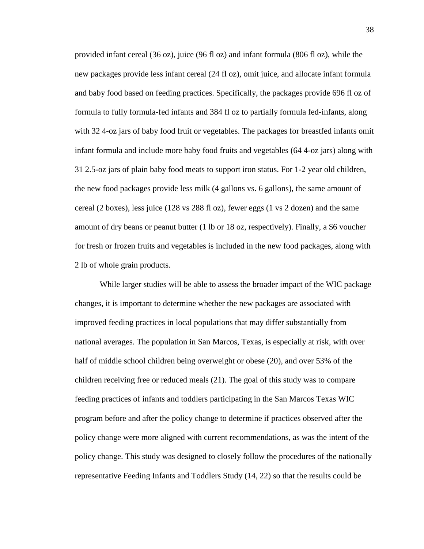provided infant cereal (36 oz), juice (96 fl oz) and infant formula (806 fl oz), while the new packages provide less infant cereal (24 fl oz), omit juice, and allocate infant formula and baby food based on feeding practices. Specifically, the packages provide 696 fl oz of formula to fully formula-fed infants and 384 fl oz to partially formula fed-infants, along with 32 4-oz jars of baby food fruit or vegetables. The packages for breastfed infants omit infant formula and include more baby food fruits and vegetables (64 4-oz jars) along with 31 2.5-oz jars of plain baby food meats to support iron status. For 1-2 year old children, the new food packages provide less milk (4 gallons vs. 6 gallons), the same amount of cereal (2 boxes), less juice (128 vs 288 fl oz), fewer eggs (1 vs 2 dozen) and the same amount of dry beans or peanut butter (1 lb or 18 oz, respectively). Finally, a \$6 voucher for fresh or frozen fruits and vegetables is included in the new food packages, along with 2 lb of whole grain products.

While larger studies will be able to assess the broader impact of the WIC package changes, it is important to determine whether the new packages are associated with improved feeding practices in local populations that may differ substantially from national averages. The population in San Marcos, Texas, is especially at risk, with over half of middle school children being overweight or obese (20), and over 53% of the children receiving free or reduced meals (21). The goal of this study was to compare feeding practices of infants and toddlers participating in the San Marcos Texas WIC program before and after the policy change to determine if practices observed after the policy change were more aligned with current recommendations, as was the intent of the policy change. This study was designed to closely follow the procedures of the nationally representative Feeding Infants and Toddlers Study (14, 22) so that the results could be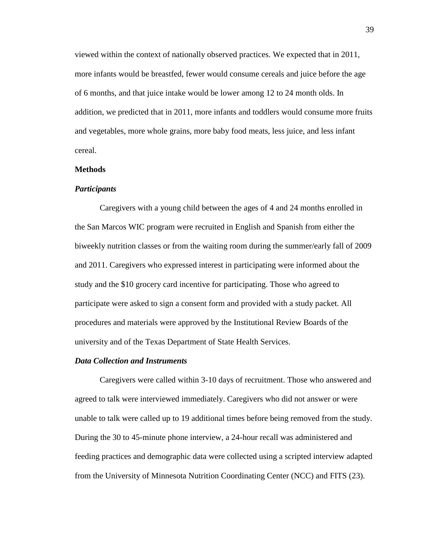viewed within the context of nationally observed practices. We expected that in 2011, more infants would be breastfed, fewer would consume cereals and juice before the age of 6 months, and that juice intake would be lower among 12 to 24 month olds. In addition, we predicted that in 2011, more infants and toddlers would consume more fruits and vegetables, more whole grains, more baby food meats, less juice, and less infant cereal.

### **Methods**

#### *Participants*

Caregivers with a young child between the ages of 4 and 24 months enrolled in the San Marcos WIC program were recruited in English and Spanish from either the biweekly nutrition classes or from the waiting room during the summer/early fall of 2009 and 2011. Caregivers who expressed interest in participating were informed about the study and the \$10 grocery card incentive for participating. Those who agreed to participate were asked to sign a consent form and provided with a study packet. All procedures and materials were approved by the Institutional Review Boards of the university and of the Texas Department of State Health Services.

### *Data Collection and Instruments*

Caregivers were called within 3-10 days of recruitment. Those who answered and agreed to talk were interviewed immediately. Caregivers who did not answer or were unable to talk were called up to 19 additional times before being removed from the study. During the 30 to 45-minute phone interview, a 24-hour recall was administered and feeding practices and demographic data were collected using a scripted interview adapted from the University of Minnesota Nutrition Coordinating Center (NCC) and FITS (23).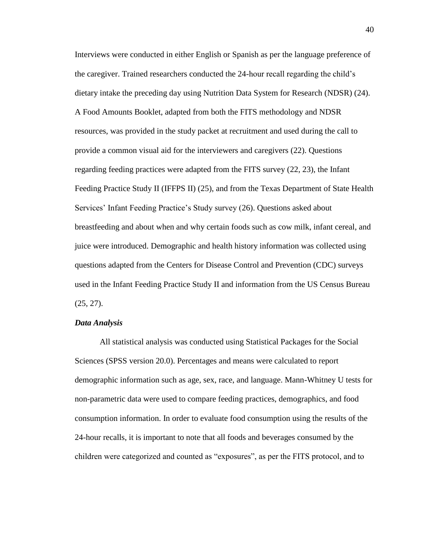Interviews were conducted in either English or Spanish as per the language preference of the caregiver. Trained researchers conducted the 24-hour recall regarding the child's dietary intake the preceding day using Nutrition Data System for Research (NDSR) (24). A Food Amounts Booklet, adapted from both the FITS methodology and NDSR resources, was provided in the study packet at recruitment and used during the call to provide a common visual aid for the interviewers and caregivers (22). Questions regarding feeding practices were adapted from the FITS survey (22, 23), the Infant Feeding Practice Study II (IFFPS II) (25), and from the Texas Department of State Health Services' Infant Feeding Practice's Study survey (26). Questions asked about breastfeeding and about when and why certain foods such as cow milk, infant cereal, and juice were introduced. Demographic and health history information was collected using questions adapted from the Centers for Disease Control and Prevention (CDC) surveys used in the Infant Feeding Practice Study II and information from the US Census Bureau  $(25, 27)$ .

### *Data Analysis*

All statistical analysis was conducted using Statistical Packages for the Social Sciences (SPSS version 20.0). Percentages and means were calculated to report demographic information such as age, sex, race, and language. Mann-Whitney U tests for non-parametric data were used to compare feeding practices, demographics, and food consumption information. In order to evaluate food consumption using the results of the 24-hour recalls, it is important to note that all foods and beverages consumed by the children were categorized and counted as "exposures", as per the FITS protocol, and to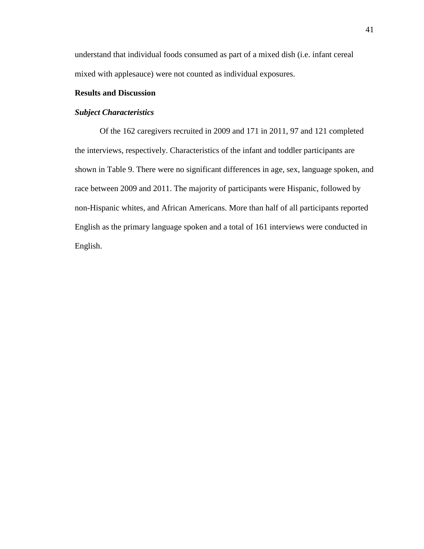understand that individual foods consumed as part of a mixed dish (i.e. infant cereal mixed with applesauce) were not counted as individual exposures.

# **Results and Discussion**

## *Subject Characteristics*

Of the 162 caregivers recruited in 2009 and 171 in 2011, 97 and 121 completed the interviews, respectively. Characteristics of the infant and toddler participants are shown in Table 9. There were no significant differences in age, sex, language spoken, and race between 2009 and 2011. The majority of participants were Hispanic, followed by non-Hispanic whites, and African Americans. More than half of all participants reported English as the primary language spoken and a total of 161 interviews were conducted in English.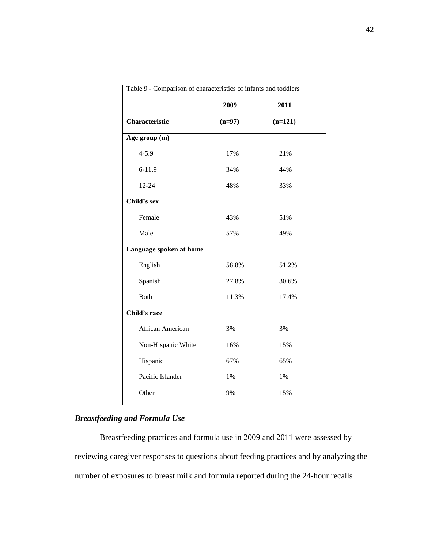| Table 9 - Comparison of characteristics of infants and toddlers |          |           |  |
|-----------------------------------------------------------------|----------|-----------|--|
|                                                                 | 2009     | 2011      |  |
| Characteristic                                                  | $(n=97)$ | $(n=121)$ |  |
| Age group (m)                                                   |          |           |  |
| $4 - 5.9$                                                       | 17%      | 21%       |  |
| $6 - 11.9$                                                      | 34%      | 44%       |  |
| 12-24                                                           | 48%      | 33%       |  |
| Child's sex                                                     |          |           |  |
| Female                                                          | 43%      | 51%       |  |
| Male                                                            | 57%      | 49%       |  |
| Language spoken at home                                         |          |           |  |
| English                                                         | 58.8%    | 51.2%     |  |
| Spanish                                                         | 27.8%    | 30.6%     |  |
| Both                                                            | 11.3%    | 17.4%     |  |
| Child's race                                                    |          |           |  |
| African American                                                | 3%       | 3%        |  |
| Non-Hispanic White                                              | 16%      | 15%       |  |
| Hispanic                                                        | 67%      | 65%       |  |
| Pacific Islander                                                | 1%       | 1%        |  |
| Other                                                           | 9%       | 15%       |  |
|                                                                 |          |           |  |

# *Breastfeeding and Formula Use*

Breastfeeding practices and formula use in 2009 and 2011 were assessed by reviewing caregiver responses to questions about feeding practices and by analyzing the number of exposures to breast milk and formula reported during the 24-hour recalls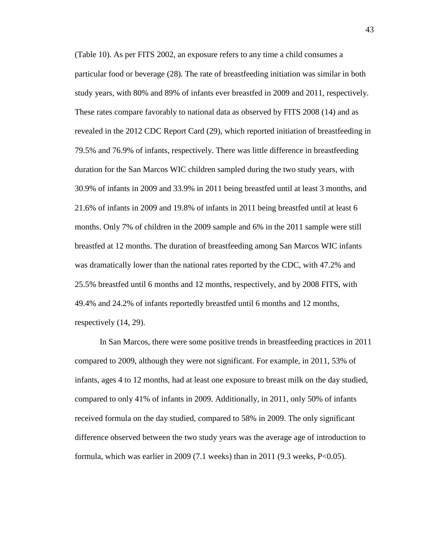(Table 10). As per FITS 2002, an exposure refers to any time a child consumes a particular food or beverage (28). The rate of breastfeeding initiation was similar in both study years, with 80% and 89% of infants ever breastfed in 2009 and 2011, respectively. These rates compare favorably to national data as observed by FITS 2008 (14) and as revealed in the 2012 CDC Report Card (29), which reported initiation of breastfeeding in 79.5% and 76.9% of infants, respectively. There was little difference in breastfeeding duration for the San Marcos WIC children sampled during the two study years, with 30.9% of infants in 2009 and 33.9% in 2011 being breastfed until at least 3 months, and 21.6% of infants in 2009 and 19.8% of infants in 2011 being breastfed until at least 6 months. Only 7% of children in the 2009 sample and 6% in the 2011 sample were still breastfed at 12 months. The duration of breastfeeding among San Marcos WIC infants was dramatically lower than the national rates reported by the CDC, with 47.2% and 25.5% breastfed until 6 months and 12 months, respectively, and by 2008 FITS, with 49.4% and 24.2% of infants reportedly breastfed until 6 months and 12 months, respectively (14, 29).

In San Marcos, there were some positive trends in breastfeeding practices in 2011 compared to 2009, although they were not significant. For example, in 2011, 53% of infants, ages 4 to 12 months, had at least one exposure to breast milk on the day studied, compared to only 41% of infants in 2009. Additionally, in 2011, only 50% of infants received formula on the day studied, compared to 58% in 2009. The only significant difference observed between the two study years was the average age of introduction to formula, which was earlier in 2009 (7.1 weeks) than in 2011 (9.3 weeks,  $P < 0.05$ ).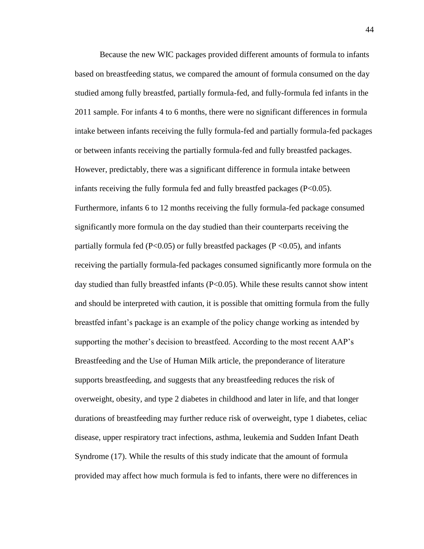Because the new WIC packages provided different amounts of formula to infants based on breastfeeding status, we compared the amount of formula consumed on the day studied among fully breastfed, partially formula-fed, and fully-formula fed infants in the 2011 sample. For infants 4 to 6 months, there were no significant differences in formula intake between infants receiving the fully formula-fed and partially formula-fed packages or between infants receiving the partially formula-fed and fully breastfed packages. However, predictably, there was a significant difference in formula intake between infants receiving the fully formula fed and fully breastfed packages  $(P<0.05)$ . Furthermore, infants 6 to 12 months receiving the fully formula-fed package consumed significantly more formula on the day studied than their counterparts receiving the partially formula fed ( $P<0.05$ ) or fully breastfed packages ( $P<0.05$ ), and infants receiving the partially formula-fed packages consumed significantly more formula on the day studied than fully breastfed infants (P<0.05). While these results cannot show intent and should be interpreted with caution, it is possible that omitting formula from the fully breastfed infant's package is an example of the policy change working as intended by supporting the mother's decision to breastfeed. According to the most recent AAP's Breastfeeding and the Use of Human Milk article, the preponderance of literature supports breastfeeding, and suggests that any breastfeeding reduces the risk of overweight, obesity, and type 2 diabetes in childhood and later in life, and that longer durations of breastfeeding may further reduce risk of overweight, type 1 diabetes, celiac disease, upper respiratory tract infections, asthma, leukemia and Sudden Infant Death Syndrome (17). While the results of this study indicate that the amount of formula provided may affect how much formula is fed to infants, there were no differences in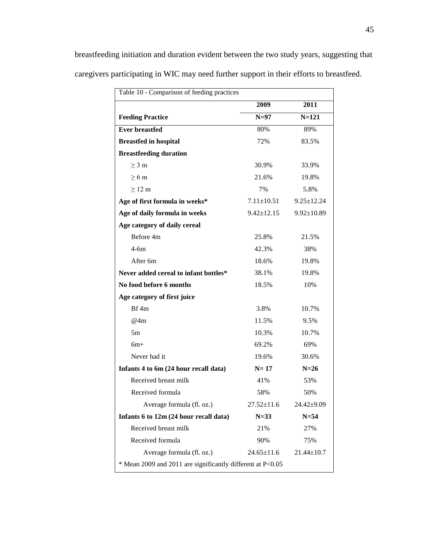breastfeeding initiation and duration evident between the two study years, suggesting that caregivers participating in WIC may need further support in their efforts to breastfeed.

| Table 10 - Comparison of feeding practices                 |                  |                  |
|------------------------------------------------------------|------------------|------------------|
|                                                            | 2009             | 2011             |
| <b>Feeding Practice</b>                                    | $N=97$           | $N = 121$        |
| <b>Ever breastfed</b>                                      | 80%              | 89%              |
| <b>Breastfed in hospital</b>                               | 72%              | 83.5%            |
| <b>Breastfeeding duration</b>                              |                  |                  |
| $\geq$ 3 m                                                 | 30.9%            | 33.9%            |
| $>6 \text{ m}$                                             | 21.6%            | 19.8%            |
| $\geq$ 12 m                                                | 7%               | 5.8%             |
| Age of first formula in weeks*                             | $7.11 \pm 10.51$ | $9.25 \pm 12.24$ |
| Age of daily formula in weeks                              | $9.42 \pm 12.15$ | $9.92 \pm 10.89$ |
| Age category of daily cereal                               |                  |                  |
| Before 4m                                                  | 25.8%            | 21.5%            |
| $4-6m$                                                     | 42.3%            | 38%              |
| After <sub>6m</sub>                                        | 18.6%            | 19.8%            |
| Never added cereal to infant bottles*                      | 38.1%            | 19.8%            |
| No food before 6 months                                    | 18.5%            | 10%              |
| Age category of first juice                                |                  |                  |
| Bf4m                                                       | 3.8%             | 10.7%            |
| @4m                                                        | 11.5%            | 9.5%             |
| 5m                                                         | 10.3%            | 10.7%            |
| $6m+$                                                      | 69.2%            | 69%              |
| Never had it                                               | 19.6%            | 30.6%            |
| Infants 4 to 6m (24 hour recall data)                      | $N=17$           | $N=26$           |
| Received breast milk                                       | 41%              | 53%              |
| Received formula                                           | 58%              | 50%              |
| Average formula (fl. oz.)                                  | $27.52 \pm 11.6$ | 24.42±9.09       |
| Infants 6 to 12m (24 hour recall data)                     | $N = 33$         | $N = 54$         |
| Received breast milk                                       | 21%              | 27%              |
| Received formula                                           | 90%              | 75%              |
| Average formula (fl. oz.)                                  | $24.65 \pm 11.6$ | $21.44 \pm 10.7$ |
| * Mean 2009 and 2011 are significantly different at P<0.05 |                  |                  |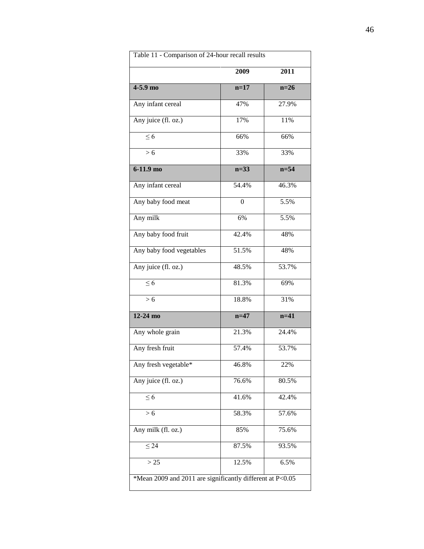| Table 11 - Comparison of 24-hour recall results           |          |          |  |
|-----------------------------------------------------------|----------|----------|--|
|                                                           | 2009     | 2011     |  |
| $4-5.9$ mo                                                | $n=17$   | $n=26$   |  |
| Any infant cereal                                         | 47%      | 27.9%    |  |
| Any juice (fl. oz.)                                       | 17%      | 11%      |  |
| $\leq 6$                                                  | 66%      | 66%      |  |
| > 6                                                       | 33%      | 33%      |  |
| $6-11.9$ mo                                               | $n=33$   | $n = 54$ |  |
| Any infant cereal                                         | 54.4%    | 46.3%    |  |
| Any baby food meat                                        | $\theta$ | 5.5%     |  |
| Any milk                                                  | 6%       | 5.5%     |  |
| Any baby food fruit                                       | 42.4%    | 48%      |  |
| Any baby food vegetables                                  | 51.5%    | 48%      |  |
| Any juice (fl. oz.)                                       | 48.5%    | 53.7%    |  |
| $\leq 6$                                                  | 81.3%    | 69%      |  |
| > 6                                                       | 18.8%    | 31%      |  |
| $12-24$ mo                                                | $n=47$   | $n=41$   |  |
| Any whole grain                                           | 21.3%    | 24.4%    |  |
| Any fresh fruit                                           | 57.4%    | 53.7%    |  |
| Any fresh vegetable*                                      | 46.8%    | 22%      |  |
| Any juice (fl. oz.)                                       | 76.6%    | 80.5%    |  |
| $\leq 6$                                                  | 41.6%    | 42.4%    |  |
| > 6                                                       | 58.3%    | 57.6%    |  |
| Any milk (fl. oz.)                                        | 85%      | 75.6%    |  |
| $\leq 24$                                                 | 87.5%    | 93.5%    |  |
| > 25                                                      | 12.5%    | 6.5%     |  |
| *Mean 2009 and 2011 are significantly different at P<0.05 |          |          |  |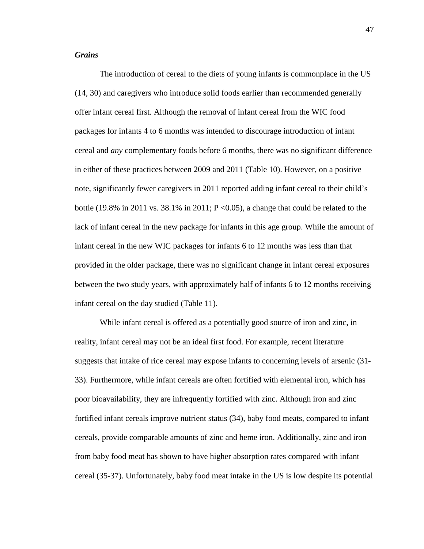# *Grains*

The introduction of cereal to the diets of young infants is commonplace in the US (14, 30) and caregivers who introduce solid foods earlier than recommended generally offer infant cereal first. Although the removal of infant cereal from the WIC food packages for infants 4 to 6 months was intended to discourage introduction of infant cereal and *any* complementary foods before 6 months, there was no significant difference in either of these practices between 2009 and 2011 (Table 10). However, on a positive note, significantly fewer caregivers in 2011 reported adding infant cereal to their child's bottle (19.8% in 2011 vs. 38.1% in 2011;  $P \le 0.05$ ), a change that could be related to the lack of infant cereal in the new package for infants in this age group. While the amount of infant cereal in the new WIC packages for infants 6 to 12 months was less than that provided in the older package, there was no significant change in infant cereal exposures between the two study years, with approximately half of infants 6 to 12 months receiving infant cereal on the day studied (Table 11).

While infant cereal is offered as a potentially good source of iron and zinc, in reality, infant cereal may not be an ideal first food. For example, recent literature suggests that intake of rice cereal may expose infants to concerning levels of arsenic (31- 33). Furthermore, while infant cereals are often fortified with elemental iron, which has poor bioavailability, they are infrequently fortified with zinc. Although iron and zinc fortified infant cereals improve nutrient status (34), baby food meats, compared to infant cereals, provide comparable amounts of zinc and heme iron. Additionally, zinc and iron from baby food meat has shown to have higher absorption rates compared with infant cereal (35-37). Unfortunately, baby food meat intake in the US is low despite its potential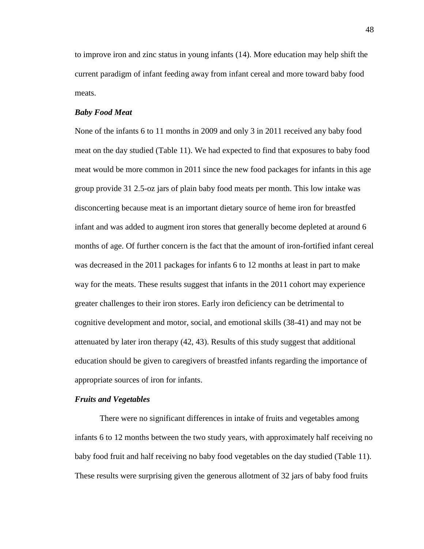to improve iron and zinc status in young infants (14). More education may help shift the current paradigm of infant feeding away from infant cereal and more toward baby food meats.

### *Baby Food Meat*

None of the infants 6 to 11 months in 2009 and only 3 in 2011 received any baby food meat on the day studied (Table 11). We had expected to find that exposures to baby food meat would be more common in 2011 since the new food packages for infants in this age group provide 31 2.5-oz jars of plain baby food meats per month. This low intake was disconcerting because meat is an important dietary source of heme iron for breastfed infant and was added to augment iron stores that generally become depleted at around 6 months of age. Of further concern is the fact that the amount of iron-fortified infant cereal was decreased in the 2011 packages for infants 6 to 12 months at least in part to make way for the meats. These results suggest that infants in the 2011 cohort may experience greater challenges to their iron stores. Early iron deficiency can be detrimental to cognitive development and motor, social, and emotional skills (38-41) and may not be attenuated by later iron therapy (42, 43). Results of this study suggest that additional education should be given to caregivers of breastfed infants regarding the importance of appropriate sources of iron for infants.

#### *Fruits and Vegetables*

There were no significant differences in intake of fruits and vegetables among infants 6 to 12 months between the two study years, with approximately half receiving no baby food fruit and half receiving no baby food vegetables on the day studied (Table 11). These results were surprising given the generous allotment of 32 jars of baby food fruits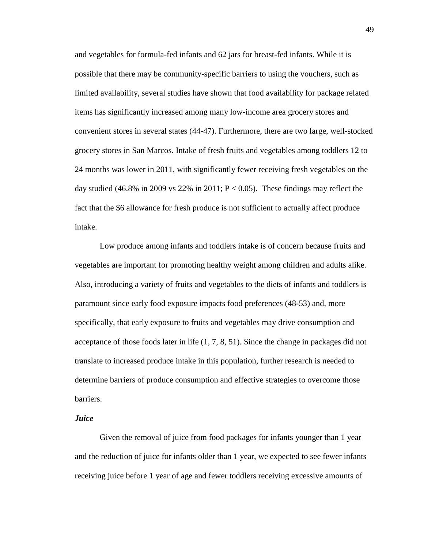and vegetables for formula-fed infants and 62 jars for breast-fed infants. While it is possible that there may be community-specific barriers to using the vouchers, such as limited availability, several studies have shown that food availability for package related items has significantly increased among many low-income area grocery stores and convenient stores in several states (44-47). Furthermore, there are two large, well-stocked grocery stores in San Marcos. Intake of fresh fruits and vegetables among toddlers 12 to 24 months was lower in 2011, with significantly fewer receiving fresh vegetables on the day studied (46.8% in 2009 vs 22% in 2011;  $P < 0.05$ ). These findings may reflect the fact that the \$6 allowance for fresh produce is not sufficient to actually affect produce intake.

Low produce among infants and toddlers intake is of concern because fruits and vegetables are important for promoting healthy weight among children and adults alike. Also, introducing a variety of fruits and vegetables to the diets of infants and toddlers is paramount since early food exposure impacts food preferences (48-53) and, more specifically, that early exposure to fruits and vegetables may drive consumption and acceptance of those foods later in life (1, 7, 8, 51). Since the change in packages did not translate to increased produce intake in this population, further research is needed to determine barriers of produce consumption and effective strategies to overcome those barriers.

### *Juice*

Given the removal of juice from food packages for infants younger than 1 year and the reduction of juice for infants older than 1 year, we expected to see fewer infants receiving juice before 1 year of age and fewer toddlers receiving excessive amounts of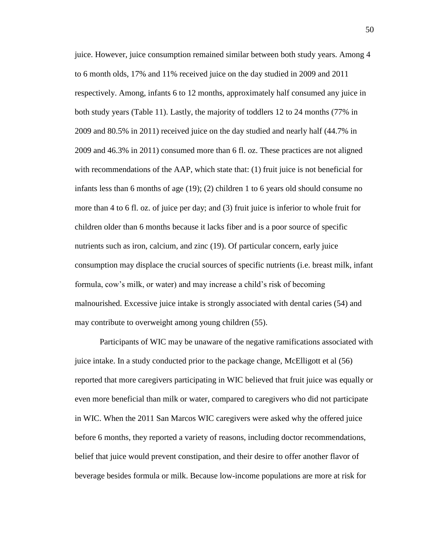juice. However, juice consumption remained similar between both study years. Among 4 to 6 month olds, 17% and 11% received juice on the day studied in 2009 and 2011 respectively. Among, infants 6 to 12 months, approximately half consumed any juice in both study years (Table 11). Lastly, the majority of toddlers 12 to 24 months (77% in 2009 and 80.5% in 2011) received juice on the day studied and nearly half (44.7% in 2009 and 46.3% in 2011) consumed more than 6 fl. oz. These practices are not aligned with recommendations of the AAP, which state that: (1) fruit juice is not beneficial for infants less than 6 months of age (19); (2) children 1 to 6 years old should consume no more than 4 to 6 fl. oz. of juice per day; and (3) fruit juice is inferior to whole fruit for children older than 6 months because it lacks fiber and is a poor source of specific nutrients such as iron, calcium, and zinc (19). Of particular concern, early juice consumption may displace the crucial sources of specific nutrients (i.e. breast milk, infant formula, cow's milk, or water) and may increase a child's risk of becoming malnourished. Excessive juice intake is strongly associated with dental caries (54) and may contribute to overweight among young children (55).

Participants of WIC may be unaware of the negative ramifications associated with juice intake. In a study conducted prior to the package change, McElligott et al (56) reported that more caregivers participating in WIC believed that fruit juice was equally or even more beneficial than milk or water, compared to caregivers who did not participate in WIC. When the 2011 San Marcos WIC caregivers were asked why the offered juice before 6 months, they reported a variety of reasons, including doctor recommendations, belief that juice would prevent constipation, and their desire to offer another flavor of beverage besides formula or milk. Because low-income populations are more at risk for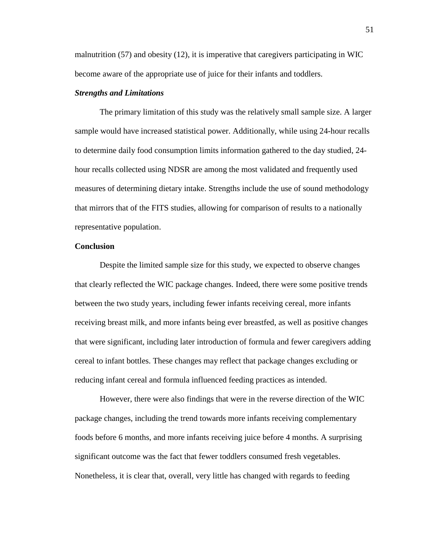malnutrition (57) and obesity (12), it is imperative that caregivers participating in WIC become aware of the appropriate use of juice for their infants and toddlers.

### *Strengths and Limitations*

The primary limitation of this study was the relatively small sample size. A larger sample would have increased statistical power. Additionally, while using 24-hour recalls to determine daily food consumption limits information gathered to the day studied, 24 hour recalls collected using NDSR are among the most validated and frequently used measures of determining dietary intake. Strengths include the use of sound methodology that mirrors that of the FITS studies, allowing for comparison of results to a nationally representative population.

### **Conclusion**

Despite the limited sample size for this study, we expected to observe changes that clearly reflected the WIC package changes. Indeed, there were some positive trends between the two study years, including fewer infants receiving cereal, more infants receiving breast milk, and more infants being ever breastfed, as well as positive changes that were significant, including later introduction of formula and fewer caregivers adding cereal to infant bottles. These changes may reflect that package changes excluding or reducing infant cereal and formula influenced feeding practices as intended.

However, there were also findings that were in the reverse direction of the WIC package changes, including the trend towards more infants receiving complementary foods before 6 months, and more infants receiving juice before 4 months. A surprising significant outcome was the fact that fewer toddlers consumed fresh vegetables. Nonetheless, it is clear that, overall, very little has changed with regards to feeding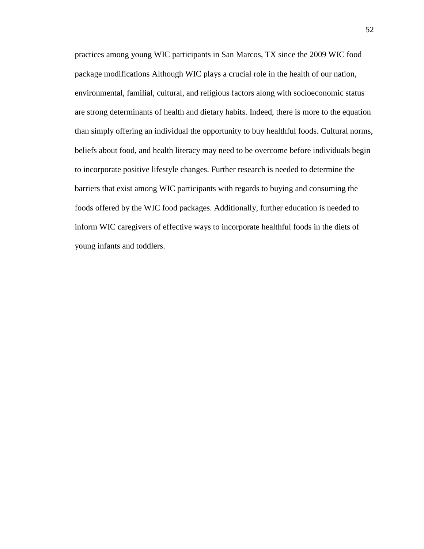practices among young WIC participants in San Marcos, TX since the 2009 WIC food package modifications Although WIC plays a crucial role in the health of our nation, environmental, familial, cultural, and religious factors along with socioeconomic status are strong determinants of health and dietary habits. Indeed, there is more to the equation than simply offering an individual the opportunity to buy healthful foods. Cultural norms, beliefs about food, and health literacy may need to be overcome before individuals begin to incorporate positive lifestyle changes. Further research is needed to determine the barriers that exist among WIC participants with regards to buying and consuming the foods offered by the WIC food packages. Additionally, further education is needed to inform WIC caregivers of effective ways to incorporate healthful foods in the diets of young infants and toddlers.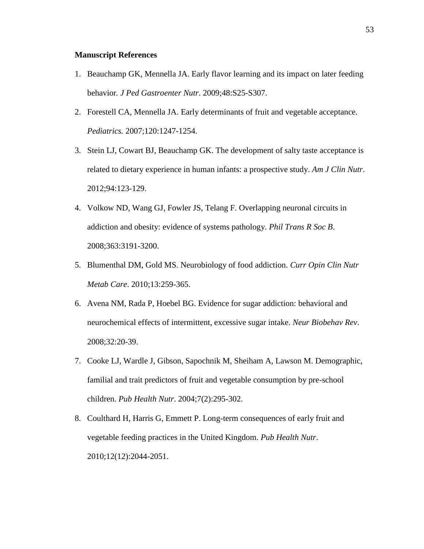### **Manuscript References**

- 1. Beauchamp GK, Mennella JA. Early flavor learning and its impact on later feeding behavior*. J Ped Gastroenter Nutr*. 2009;48:S25-S307.
- 2. Forestell CA, Mennella JA. Early determinants of fruit and vegetable acceptance. *Pediatrics.* 2007;120:1247-1254.
- 3. Stein LJ, Cowart BJ, Beauchamp GK. The development of salty taste acceptance is related to dietary experience in human infants: a prospective study. *Am J Clin Nutr*. 2012;94:123-129.
- 4. Volkow ND, Wang GJ, Fowler JS, Telang F. Overlapping neuronal circuits in addiction and obesity: evidence of systems pathology. *Phil Trans R Soc B*. 2008;363:3191-3200.
- 5. Blumenthal DM, Gold MS. Neurobiology of food addiction. *Curr Opin Clin Nutr Metab Care*. 2010;13:259-365.
- 6. Avena NM, Rada P, Hoebel BG. Evidence for sugar addiction: behavioral and neurochemical effects of intermittent, excessive sugar intake. *Neur Biobehav Rev*. 2008;32:20-39.
- 7. Cooke LJ, Wardle J, Gibson, Sapochnik M, Sheiham A, Lawson M. Demographic, familial and trait predictors of fruit and vegetable consumption by pre-school children. *Pub Health Nutr*. 2004;7(2):295-302.
- 8. Coulthard H, Harris G, Emmett P. Long-term consequences of early fruit and vegetable feeding practices in the United Kingdom. *Pub Health Nutr*. 2010;12(12):2044-2051.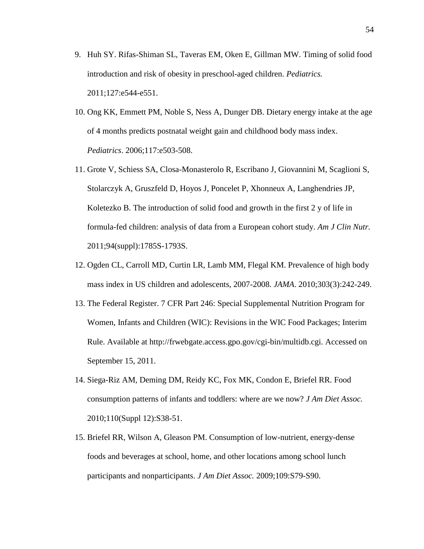- 9. Huh SY. Rifas-Shiman SL, Taveras EM, Oken E, Gillman MW. Timing of solid food introduction and risk of obesity in preschool-aged children. *Pediatrics.* 2011;127:e544-e551.
- 10. Ong KK, Emmett PM, Noble S, Ness A, Dunger DB. Dietary energy intake at the age of 4 months predicts postnatal weight gain and childhood body mass index. *Pediatrics*. 2006;117:e503-508.
- 11. Grote V, Schiess SA, Closa-Monasterolo R, Escribano J, Giovannini M, Scaglioni S, Stolarczyk A, Gruszfeld D, Hoyos J, Poncelet P, Xhonneux A, Langhendries JP, Koletezko B. The introduction of solid food and growth in the first 2 y of life in formula-fed children: analysis of data from a European cohort study. *Am J Clin Nutr.* 2011;94(suppl):1785S-1793S.
- 12. Ogden CL, Carroll MD, Curtin LR, Lamb MM, Flegal KM. Prevalence of high body mass index in US children and adolescents, 2007-2008. *JAMA*. 2010;303(3):242-249.
- 13. The Federal Register. 7 CFR Part 246: Special Supplemental Nutrition Program for Women, Infants and Children (WIC): Revisions in the WIC Food Packages; Interim Rule. Available at http://frwebgate.access.gpo.gov/cgi-bin/multidb.cgi. Accessed on September 15, 2011.
- 14. Siega-Riz AM, Deming DM, Reidy KC, Fox MK, Condon E, Briefel RR. Food consumption patterns of infants and toddlers: where are we now? *J Am Diet Assoc.* 2010;110(Suppl 12):S38-51.
- 15. Briefel RR, Wilson A, Gleason PM. Consumption of low-nutrient, energy-dense foods and beverages at school, home, and other locations among school lunch participants and nonparticipants. *J Am Diet Assoc.* 2009;109:S79-S90.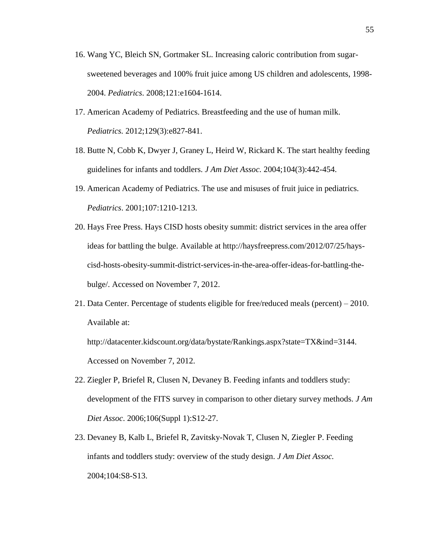- 16. Wang YC, Bleich SN, Gortmaker SL. Increasing caloric contribution from sugarsweetened beverages and 100% fruit juice among US children and adolescents, 1998- 2004. *Pediatrics*. 2008;121:e1604-1614.
- 17. American Academy of Pediatrics. Breastfeeding and the use of human milk. *Pediatrics.* 2012;129(3):e827-841.
- 18. Butte N, Cobb K, Dwyer J, Graney L, Heird W, Rickard K. The start healthy feeding guidelines for infants and toddlers. *J Am Diet Assoc.* 2004;104(3):442-454.
- 19. American Academy of Pediatrics. The use and misuses of fruit juice in pediatrics. *Pediatrics*. 2001;107:1210-1213.
- 20. Hays Free Press. Hays CISD hosts obesity summit: district services in the area offer ideas for battling the bulge. Available at http://haysfreepress.com/2012/07/25/hayscisd-hosts-obesity-summit-district-services-in-the-area-offer-ideas-for-battling-thebulge/. Accessed on November 7, 2012.
- 21. Data Center. Percentage of students eligible for free/reduced meals (percent) 2010. Available at:

http://datacenter.kidscount.org/data/bystate/Rankings.aspx?state=TX&ind=3144. Accessed on November 7, 2012.

- 22. Ziegler P, Briefel R, Clusen N, Devaney B. Feeding infants and toddlers study: development of the FITS survey in comparison to other dietary survey methods. *J Am Diet Assoc*. 2006;106(Suppl 1):S12-27.
- 23. Devaney B, Kalb L, Briefel R, Zavitsky-Novak T, Clusen N, Ziegler P. Feeding infants and toddlers study: overview of the study design. *J Am Diet Assoc.* 2004;104:S8-S13.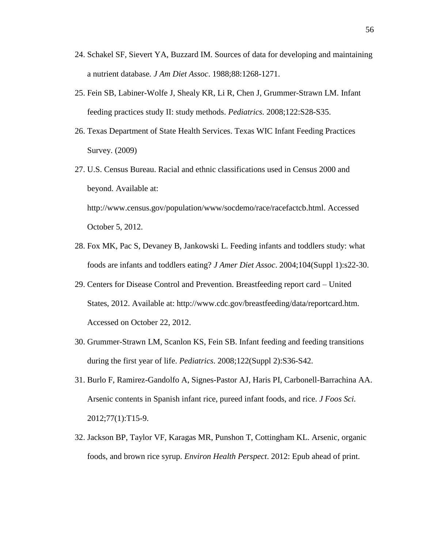- 24. Schakel SF, Sievert YA, Buzzard IM. Sources of data for developing and maintaining a nutrient database*. J Am Diet Assoc*. 1988;88:1268-1271.
- 25. Fein SB, Labiner-Wolfe J, Shealy KR, Li R, Chen J, Grummer-Strawn LM. Infant feeding practices study II: study methods. *Pediatrics.* 2008;122:S28-S35.
- 26. Texas Department of State Health Services. Texas WIC Infant Feeding Practices Survey. (2009)
- 27. U.S. Census Bureau. Racial and ethnic classifications used in Census 2000 and beyond. Available at: http://www.census.gov/population/www/socdemo/race/racefactcb.html. Accessed October 5, 2012.
- 28. Fox MK, Pac S, Devaney B, Jankowski L. Feeding infants and toddlers study: what foods are infants and toddlers eating? *J Amer Diet Assoc*. 2004;104(Suppl 1):s22-30.
- 29. Centers for Disease Control and Prevention. Breastfeeding report card United States, 2012. Available at: http://www.cdc.gov/breastfeeding/data/reportcard.htm. Accessed on October 22, 2012.
- 30. Grummer-Strawn LM, Scanlon KS, Fein SB. Infant feeding and feeding transitions during the first year of life. *Pediatrics*. 2008;122(Suppl 2):S36-S42.
- 31. Burlo F, Ramirez-Gandolfo A, Signes-Pastor AJ, Haris PI, Carbonell-Barrachina AA. Arsenic contents in Spanish infant rice, pureed infant foods, and rice. *J Foos Sci.* 2012;77(1):T15-9.
- 32. Jackson BP, Taylor VF, Karagas MR, Punshon T, Cottingham KL. Arsenic, organic foods, and brown rice syrup. *Environ Health Perspect*. 2012: Epub ahead of print.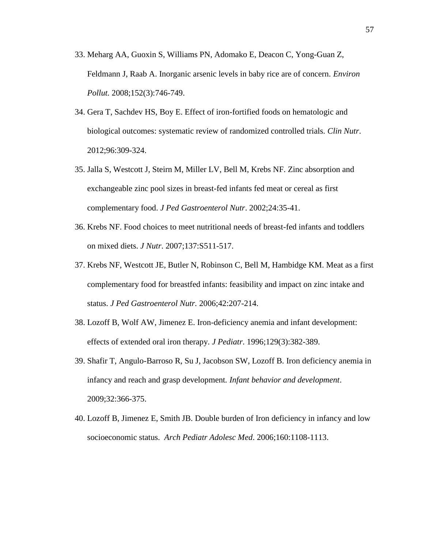- 33. Meharg AA, Guoxin S, Williams PN, Adomako E, Deacon C, Yong-Guan Z, Feldmann J, Raab A. Inorganic arsenic levels in baby rice are of concern. *Environ Pollut.* 2008;152(3):746-749.
- 34. Gera T, Sachdev HS, Boy E. Effect of iron-fortified foods on hematologic and biological outcomes: systematic review of randomized controlled trials. *Clin Nutr*. 2012;96:309-324.
- 35. Jalla S, Westcott J, Steirn M, Miller LV, Bell M, Krebs NF. Zinc absorption and exchangeable zinc pool sizes in breast-fed infants fed meat or cereal as first complementary food. *J Ped Gastroenterol Nutr*. 2002;24:35-41.
- 36. Krebs NF. Food choices to meet nutritional needs of breast-fed infants and toddlers on mixed diets. *J Nutr*. 2007;137:S511-517.
- 37. Krebs NF, Westcott JE, Butler N, Robinson C, Bell M, Hambidge KM. Meat as a first complementary food for breastfed infants: feasibility and impact on zinc intake and status. *J Ped Gastroenterol Nutr.* 2006;42:207-214.
- 38. Lozoff B, Wolf AW, Jimenez E. Iron-deficiency anemia and infant development: effects of extended oral iron therapy. *J Pediatr*. 1996;129(3):382-389.
- 39. Shafir T, Angulo-Barroso R, Su J, Jacobson SW, Lozoff B. Iron deficiency anemia in infancy and reach and grasp development*. Infant behavior and development*. 2009;32:366-375.
- 40. Lozoff B, Jimenez E, Smith JB. Double burden of Iron deficiency in infancy and low socioeconomic status. *Arch Pediatr Adolesc Med*. 2006;160:1108-1113.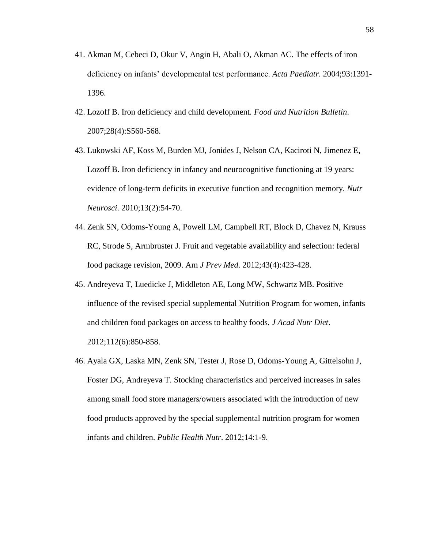- 41. Akman M, Cebeci D, Okur V, Angin H, Abali O, Akman AC. The effects of iron deficiency on infants' developmental test performance. *Acta Paediatr*. 2004;93:1391- 1396.
- 42. Lozoff B. Iron deficiency and child development. *Food and Nutrition Bulletin*. 2007;28(4):S560-568.
- 43. Lukowski AF, Koss M, Burden MJ, Jonides J, Nelson CA, Kaciroti N, Jimenez E, Lozoff B. Iron deficiency in infancy and neurocognitive functioning at 19 years: evidence of long-term deficits in executive function and recognition memory. *Nutr Neurosci*. 2010;13(2):54-70.
- 44. Zenk SN, Odoms-Young A, Powell LM, Campbell RT, Block D, Chavez N, Krauss RC, Strode S, Armbruster J. Fruit and vegetable availability and selection: federal food package revision, 2009. Am *J Prev Med*. 2012;43(4):423-428.
- 45. Andreyeva T, Luedicke J, Middleton AE, Long MW, Schwartz MB. Positive influence of the revised special supplemental Nutrition Program for women, infants and children food packages on access to healthy foods. *J Acad Nutr Diet*. 2012;112(6):850-858.
- 46. Ayala GX, Laska MN, Zenk SN, Tester J, Rose D, Odoms-Young A, Gittelsohn J, Foster DG, Andreyeva T. Stocking characteristics and perceived increases in sales among small food store managers/owners associated with the introduction of new food products approved by the special supplemental nutrition program for women infants and children. *Public Health Nutr*. 2012;14:1-9.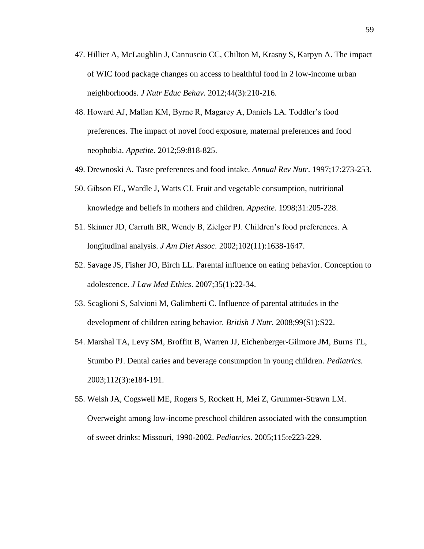- 47. Hillier A, McLaughlin J, Cannuscio CC, Chilton M, Krasny S, Karpyn A. The impact of WIC food package changes on access to healthful food in 2 low-income urban neighborhoods. *J Nutr Educ Behav*. 2012;44(3):210-216.
- 48. Howard AJ, Mallan KM, Byrne R, Magarey A, Daniels LA. Toddler's food preferences. The impact of novel food exposure, maternal preferences and food neophobia. *Appetite*. 2012;59:818-825.
- 49. Drewnoski A. Taste preferences and food intake. *Annual Rev Nutr*. 1997;17:273-253.
- 50. Gibson EL, Wardle J, Watts CJ. Fruit and vegetable consumption, nutritional knowledge and beliefs in mothers and children. *Appetite*. 1998;31:205-228.
- 51. Skinner JD, Carruth BR, Wendy B, Zielger PJ. Children's food preferences. A longitudinal analysis. *J Am Diet Assoc.* 2002;102(11):1638-1647.
- 52. Savage JS, Fisher JO, Birch LL. Parental influence on eating behavior. Conception to adolescence. *J Law Med Ethics*. 2007;35(1):22-34.
- 53. Scaglioni S, Salvioni M, Galimberti C. Influence of parental attitudes in the development of children eating behavior. *British J Nutr.* 2008;99(S1):S22.
- 54. Marshal TA, Levy SM, Broffitt B, Warren JJ, Eichenberger-Gilmore JM, Burns TL, Stumbo PJ. Dental caries and beverage consumption in young children. *Pediatrics.*  2003;112(3):e184-191.
- 55. Welsh JA, Cogswell ME, Rogers S, Rockett H, Mei Z, Grummer-Strawn LM. Overweight among low-income preschool children associated with the consumption of sweet drinks: Missouri, 1990-2002. *Pediatrics*. 2005;115:e223-229.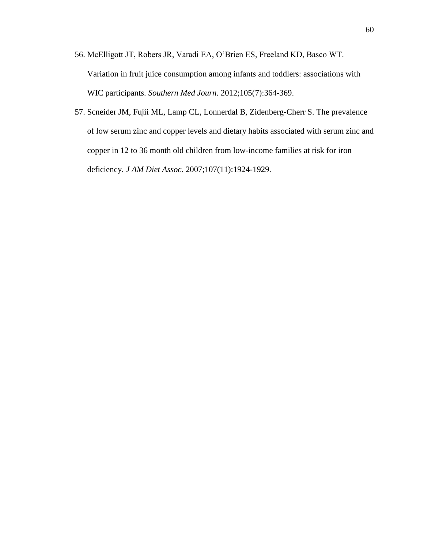- 56. McElligott JT, Robers JR, Varadi EA, O'Brien ES, Freeland KD, Basco WT. Variation in fruit juice consumption among infants and toddlers: associations with WIC participants. *Southern Med Journ.* 2012;105(7):364-369.
- 57. Scneider JM, Fujii ML, Lamp CL, Lonnerdal B, Zidenberg-Cherr S. The prevalence of low serum zinc and copper levels and dietary habits associated with serum zinc and copper in 12 to 36 month old children from low-income families at risk for iron deficiency. *J AM Diet Assoc*. 2007;107(11):1924-1929.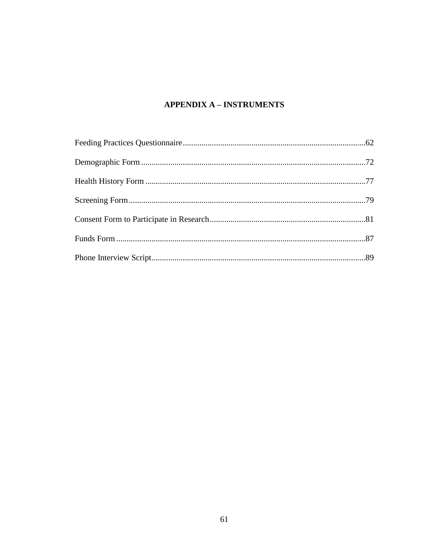# **APPENDIX A - INSTRUMENTS**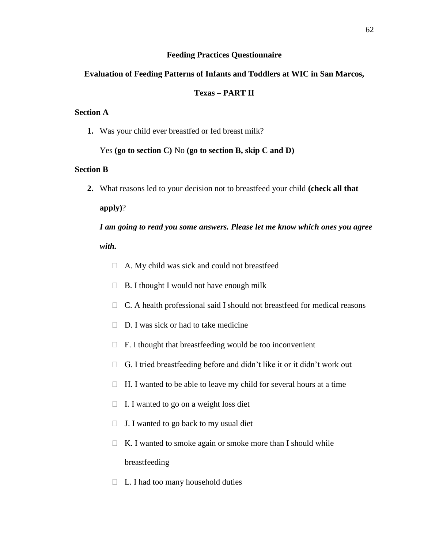# **Feeding Practices Questionnaire**

# **Evaluation of Feeding Patterns of Infants and Toddlers at WIC in San Marcos,**

# **Texas – PART II**

# **Section A**

**1.** Was your child ever breastfed or fed breast milk?

Yes **(go to section C)** No **(go to section B, skip C and D)**

# **Section B**

**2.** What reasons led to your decision not to breastfeed your child **(check all that** 

**apply)**?

*I am going to read you some answers. Please let me know which ones you agree with.*

- $\Box$  A. My child was sick and could not breastfeed
- $\Box$  B. I thought I would not have enough milk
- $\Box$  C. A health professional said I should not breastfeed for medical reasons
- $\Box$  D. I was sick or had to take medicine
- $\Box$  F. I thought that breastfeeding would be too inconvenient
- $\Box$  G. I tried breastfeeding before and didn't like it or it didn't work out
- $\Box$  H. I wanted to be able to leave my child for several hours at a time
- $\Box$  I. I wanted to go on a weight loss diet
- $\Box$  J. I wanted to go back to my usual diet
- $\Box$  K. I wanted to smoke again or smoke more than I should while breastfeeding
- $\Box$  L. I had too many household duties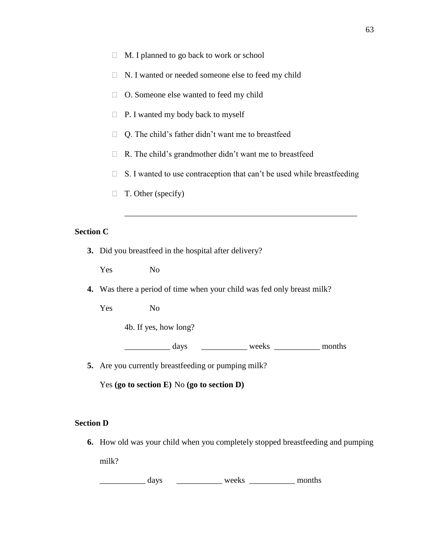- $\Box$  M. I planned to go back to work or school
- $\Box$  N. I wanted or needed someone else to feed my child
- O. Someone else wanted to feed my child
- $\Box$  P. I wanted my body back to myself
- $\Box$  Q. The child's father didn't want me to breastfeed
- $\Box$  R. The child's grandmother didn't want me to breastfeed
- $\Box$  S. I wanted to use contraception that can't be used while breastfeeding

\_\_\_\_\_\_\_\_\_\_\_\_\_\_\_\_\_\_\_\_\_\_\_\_\_\_\_\_\_\_\_\_\_\_\_\_\_\_\_\_\_\_\_\_\_\_\_\_\_\_\_\_\_\_\_\_

 $\Box$  T. Other (specify)

### **Section C**

**3.** Did you breastfeed in the hospital after delivery?

Yes No

**4.** Was there a period of time when your child was fed only breast milk?

Yes No

4b. If yes, how long?

\_\_\_\_\_\_\_\_\_\_\_\_\_ days \_\_\_\_\_\_\_\_\_\_\_\_\_ weeks \_\_\_\_\_\_\_\_\_\_\_\_ months

**5.** Are you currently breastfeeding or pumping milk?

Yes **(go to section E)** No **(go to section D)**

# **Section D**

**6.** How old was your child when you completely stopped breastfeeding and pumping milk?

\_\_\_\_\_\_\_\_\_\_\_ days \_\_\_\_\_\_\_\_\_\_\_ weeks \_\_\_\_\_\_\_\_\_\_\_ months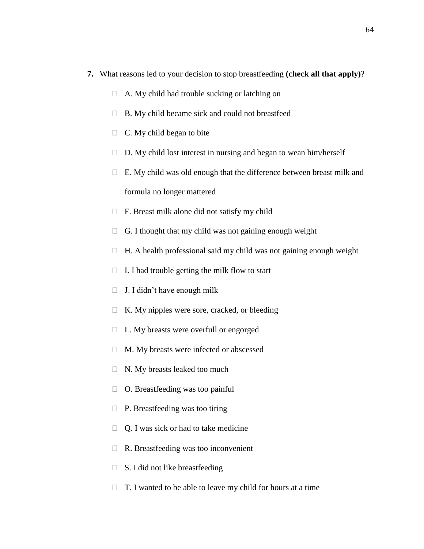- **7.** What reasons led to your decision to stop breastfeeding **(check all that apply)**?
	- $\Box$  A. My child had trouble sucking or latching on
	- $\Box$  B. My child became sick and could not breastfeed
	- $\Box$  C. My child began to bite
	- $\Box$  D. My child lost interest in nursing and began to wean him/herself
	- $\Box$  E. My child was old enough that the difference between breast milk and formula no longer mattered
	- $\Box$  F. Breast milk alone did not satisfy my child
	- $\Box$  G. I thought that my child was not gaining enough weight
	- $\Box$  H. A health professional said my child was not gaining enough weight
	- $\Box$  I. I had trouble getting the milk flow to start
	- $\Box$  J. I didn't have enough milk
	- $\Box$  K. My nipples were sore, cracked, or bleeding
	- $\Box$  L. My breasts were overfull or engorged
	- M. My breasts were infected or abscessed
	- $\Box$  N. My breasts leaked too much
	- $\Box$  O. Breastfeeding was too painful
	- $\Box$  P. Breastfeeding was too tiring
	- $\Box$  Q. I was sick or had to take medicine
	- $\Box$  R. Breastfeeding was too inconvenient
	- $\Box$  S. I did not like breastfeeding
	- $\Box$  T. I wanted to be able to leave my child for hours at a time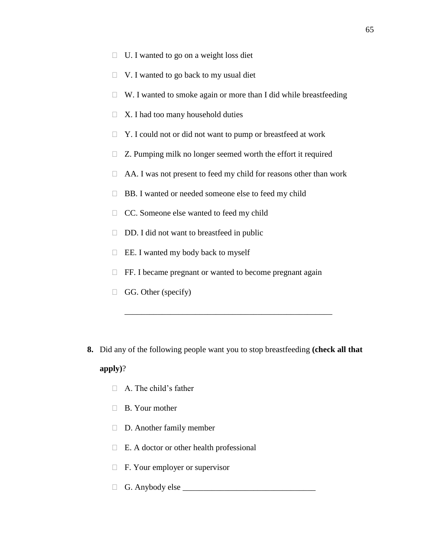- $\Box$  U. I wanted to go on a weight loss diet
- $\Box$  V. I wanted to go back to my usual diet
- $\Box$  W. I wanted to smoke again or more than I did while breastfeeding
- $\Box$  X. I had too many household duties
- $\Box$  Y. I could not or did not want to pump or breastfeed at work
- $\Box$  Z. Pumping milk no longer seemed worth the effort it required
- $\Box$  AA. I was not present to feed my child for reasons other than work
- BB. I wanted or needed someone else to feed my child
- □ CC. Someone else wanted to feed my child
- $\Box$  DD. I did not want to breastfeed in public
- $\Box$  EE. I wanted my body back to myself
- $\Box$  FF. I became pregnant or wanted to become pregnant again
- $\Box$  GG. Other (specify)
- **8.** Did any of the following people want you to stop breastfeeding **(check all that**

\_\_\_\_\_\_\_\_\_\_\_\_\_\_\_\_\_\_\_\_\_\_\_\_\_\_\_\_\_\_\_\_\_\_\_\_\_\_\_\_\_\_\_\_\_\_\_\_\_\_

# **apply)**?

- $\Box$  A. The child's father
- □ B. Your mother
- D. Another family member
- $\Box$  E. A doctor or other health professional
- $\Box$  F. Your employer or supervisor
- $\Box$  G. Anybody else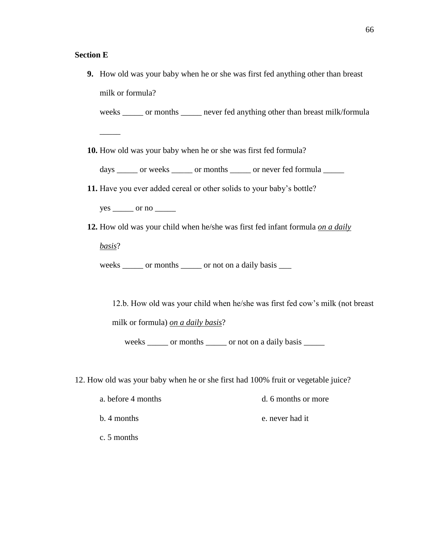### **Section E**

**9.** How old was your baby when he or she was first fed anything other than breast milk or formula?

weeks \_\_\_\_\_ or months \_\_\_\_\_ never fed anything other than breast milk/formula

**10.** How old was your baby when he or she was first fed formula?

days \_\_\_\_\_ or weeks \_\_\_\_\_ or months \_\_\_\_\_ or never fed formula \_\_\_\_\_

**11.** Have you ever added cereal or other solids to your baby's bottle?

 $yes \_\_\_$  or no  $\_\_\_\_$ 

**12.** How old was your child when he/she was first fed infant formula *on a daily* 

*basis*?

\_\_\_\_\_

weeks \_\_\_\_\_ or months \_\_\_\_\_ or not on a daily basis \_\_\_

12.b. How old was your child when he/she was first fed cow's milk (not breast milk or formula) *on a daily basis*?

weeks \_\_\_\_\_ or months \_\_\_\_\_ or not on a daily basis \_\_\_\_\_

12. How old was your baby when he or she first had 100% fruit or vegetable juice?

| a. before 4 months | d. 6 months or more |
|--------------------|---------------------|
| b. 4 months        | e. never had it     |
| c. 5 months        |                     |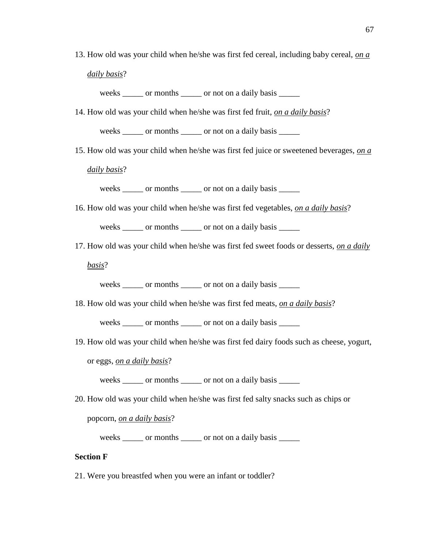13. How old was your child when he/she was first fed cereal, including baby cereal, *on a daily basis*?

weeks or months or not on a daily basis

14. How old was your child when he/she was first fed fruit, *on a daily basis*?

weeks \_\_\_\_\_ or months \_\_\_\_\_ or not on a daily basis \_\_\_\_\_

15. How old was your child when he/she was first fed juice or sweetened beverages, *on a* 

*daily basis*?

weeks \_\_\_\_\_ or months \_\_\_\_\_ or not on a daily basis \_\_\_\_\_

16. How old was your child when he/she was first fed vegetables, *on a daily basis*?

weeks \_\_\_\_\_ or months \_\_\_\_\_ or not on a daily basis \_\_\_\_\_

17. How old was your child when he/she was first fed sweet foods or desserts, *on a daily* 

*basis*?

weeks \_\_\_\_\_ or months \_\_\_\_\_ or not on a daily basis \_\_\_\_\_

18. How old was your child when he/she was first fed meats, *on a daily basis*?

weeks \_\_\_\_\_ or months \_\_\_\_\_ or not on a daily basis \_\_\_\_\_

19. How old was your child when he/she was first fed dairy foods such as cheese, yogurt,

or eggs, *on a daily basis*?

weeks \_\_\_\_\_ or months \_\_\_\_\_ or not on a daily basis \_\_\_\_\_

20. How old was your child when he/she was first fed salty snacks such as chips or

popcorn, *on a daily basis*?

weeks \_\_\_\_\_ or months \_\_\_\_\_ or not on a daily basis \_\_\_\_\_

### **Section F**

21. Were you breastfed when you were an infant or toddler?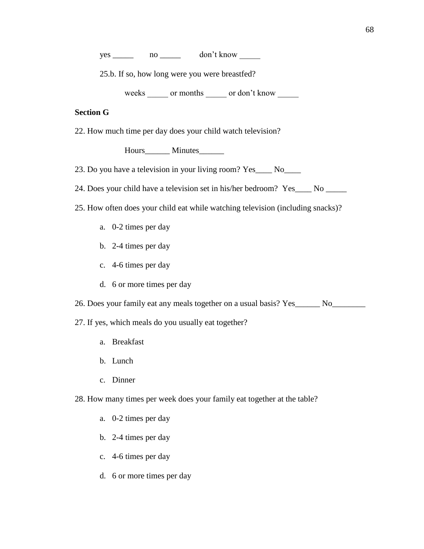$yes \_\_ no \_\_ don't know$ 

25.b. If so, how long were you were breastfed?

weeks \_\_\_\_\_ or months \_\_\_\_\_ or don't know \_\_\_\_\_

### **Section G**

22. How much time per day does your child watch television?

Hours\_\_\_\_\_\_\_ Minutes\_\_\_\_\_\_\_

23. Do you have a television in your living room? Yes\_\_\_\_ No\_\_\_\_

24. Does your child have a television set in his/her bedroom? Yes\_\_\_\_ No \_\_\_\_\_

- 25. How often does your child eat while watching television (including snacks)?
	- a. 0-2 times per day
	- b. 2-4 times per day
	- c. 4-6 times per day
	- d. 6 or more times per day

26. Does your family eat any meals together on a usual basis? Yes\_\_\_\_\_\_ No\_\_\_\_\_\_\_\_

27. If yes, which meals do you usually eat together?

- a. Breakfast
- b. Lunch
- c. Dinner

28. How many times per week does your family eat together at the table?

- a. 0-2 times per day
- b. 2-4 times per day
- c. 4-6 times per day
- d. 6 or more times per day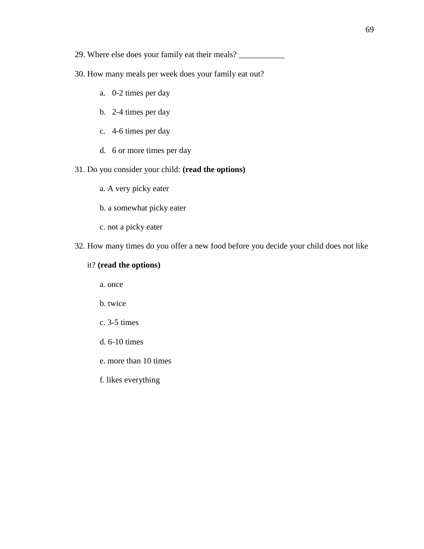29. Where else does your family eat their meals? \_\_\_\_\_\_\_\_\_\_\_\_\_\_\_\_\_\_\_\_\_\_\_\_\_\_\_\_\_\_\_\_

- 30. How many meals per week does your family eat out?
	- a. 0-2 times per day
	- b. 2-4 times per day
	- c. 4-6 times per day
	- d. 6 or more times per day
- 31. Do you consider your child: **(read the options)**
	- a. A very picky eater
	- b. a somewhat picky eater
	- c. not a picky eater
- 32. How many times do you offer a new food before you decide your child does not like

# it? **(read the options)**

a. once

- b. twice
- c. 3-5 times
- d. 6-10 times
- e. more than 10 times
- f. likes everything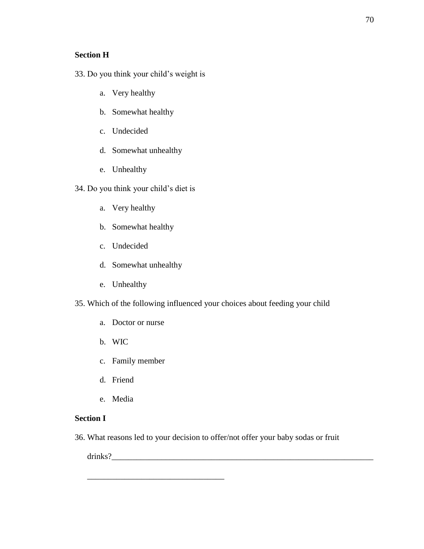### **Section H**

- 33. Do you think your child's weight is
	- a. Very healthy
	- b. Somewhat healthy
	- c. Undecided
	- d. Somewhat unhealthy
	- e. Unhealthy
- 34. Do you think your child's diet is
	- a. Very healthy
	- b. Somewhat healthy
	- c. Undecided
	- d. Somewhat unhealthy
	- e. Unhealthy
- 35. Which of the following influenced your choices about feeding your child
	- a. Doctor or nurse
	- b. WIC
	- c. Family member

\_\_\_\_\_\_\_\_\_\_\_\_\_\_\_\_\_\_\_\_\_\_\_\_\_\_\_\_\_\_\_\_\_

- d. Friend
- e. Media

### **Section I**

36. What reasons led to your decision to offer/not offer your baby sodas or fruit

drinks?\_\_\_\_\_\_\_\_\_\_\_\_\_\_\_\_\_\_\_\_\_\_\_\_\_\_\_\_\_\_\_\_\_\_\_\_\_\_\_\_\_\_\_\_\_\_\_\_\_\_\_\_\_\_\_\_\_\_\_\_\_\_\_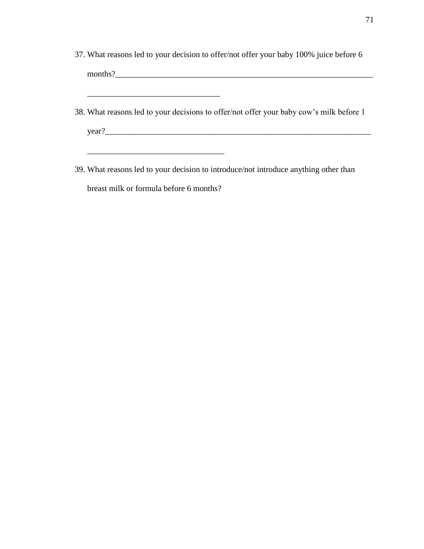37. What reasons led to your decision to offer/not offer your baby 100% juice before 6 months?\_\_\_\_\_\_\_\_\_\_\_\_\_\_\_\_\_\_\_\_\_\_\_\_\_\_\_\_\_\_\_\_\_\_\_\_\_\_\_\_\_\_\_\_\_\_\_\_\_\_\_\_\_\_\_\_\_\_\_\_\_\_

\_\_\_\_\_\_\_\_\_\_\_\_\_\_\_\_\_\_\_\_\_\_\_\_\_\_\_\_\_\_\_\_

\_\_\_\_\_\_\_\_\_\_\_\_\_\_\_\_\_\_\_\_\_\_\_\_\_\_\_\_\_\_\_\_\_

- 38. What reasons led to your decisions to offer/not offer your baby cow's milk before 1  $year?$
- 39. What reasons led to your decision to introduce/not introduce anything other than breast milk or formula before 6 months?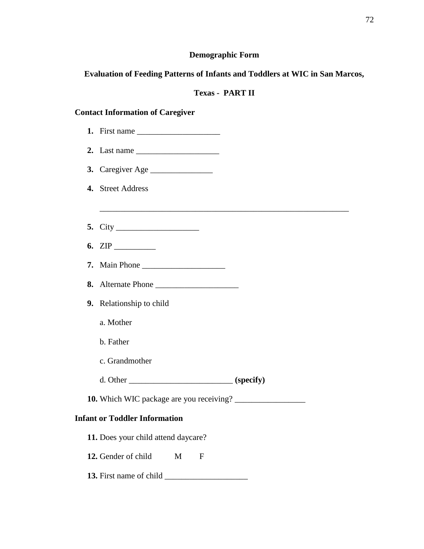# **Demographic Form**

# **Evaluation of Feeding Patterns of Infants and Toddlers at WIC in San Marcos,**

# **Texas - PART II**

# **Contact Information of Caregiver**

| 2. Last name $\frac{1}{\sqrt{1-\frac{1}{2}}}\left\lfloor \frac{1}{2} \right\rfloor$ |
|-------------------------------------------------------------------------------------|
| 3. Caregiver Age                                                                    |
| 4. Street Address                                                                   |
|                                                                                     |
|                                                                                     |
|                                                                                     |
|                                                                                     |
| 8. Alternate Phone                                                                  |
| 9. Relationship to child                                                            |
| a. Mother                                                                           |
| b. Father                                                                           |
| c. Grandmother                                                                      |
| d. Other __________________________________ (specify)                               |
|                                                                                     |
| <b>Infant or Toddler Information</b>                                                |
| 11. Does your child attend daycare?                                                 |
| 12. Gender of child<br>M<br>$\mathbf{F}$                                            |
| 13. First name of child                                                             |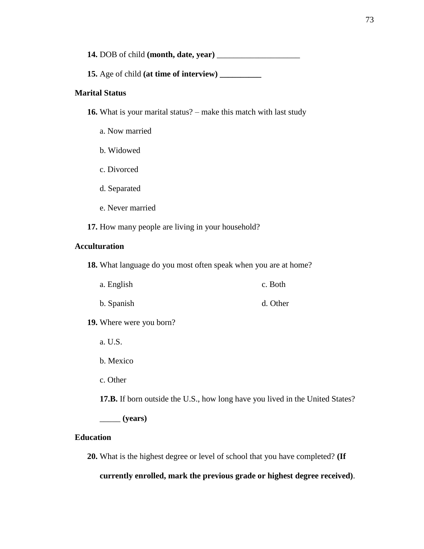**14.** DOB of child **(month, date, year)** \_\_\_\_\_\_\_\_\_\_\_\_\_\_\_\_\_\_\_\_

**15.** Age of child **(at time of interview) \_\_\_\_\_\_\_\_\_\_**

### **Marital Status**

**16.** What is your marital status? – make this match with last study

- a. Now married
- b. Widowed
- c. Divorced
- d. Separated
- e. Never married
- **17.** How many people are living in your household?

## **Acculturation**

**18.** What language do you most often speak when you are at home?

| a. English | c. Both  |
|------------|----------|
| b. Spanish | d. Other |

**19.** Where were you born?

- a. U.S.
- b. Mexico
- c. Other

**17.B.** If born outside the U.S., how long have you lived in the United States?

\_\_\_\_\_ **(years)**

#### **Education**

**20.** What is the highest degree or level of school that you have completed? **(If** 

**currently enrolled, mark the previous grade or highest degree received)**.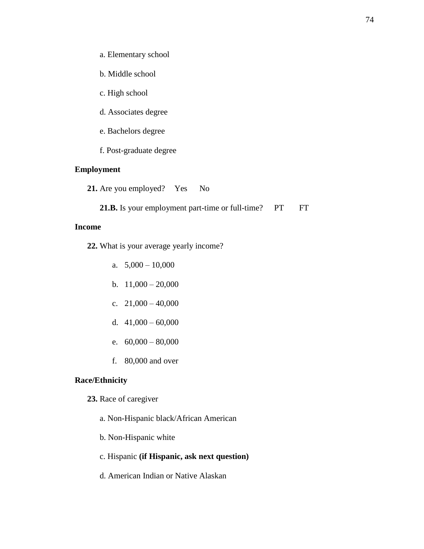- a. Elementary school
- b. Middle school
- c. High school
- d. Associates degree
- e. Bachelors degree
- f. Post-graduate degree

# **Employment**

- 21. Are you employed? Yes No
	- 21.B. Is your employment part-time or full-time? PT FT

### **Income**

- **22.** What is your average yearly income?
	- a.  $5,000 10,000$
	- b.  $11,000 20,000$
	- c.  $21,000 40,000$
	- d.  $41,000 60,000$
	- e.  $60,000 80,000$
	- f. 80,000 and over

# **Race/Ethnicity**

- **23.** Race of caregiver
	- a. Non-Hispanic black/African American
	- b. Non-Hispanic white
	- c. Hispanic **(if Hispanic, ask next question)**
	- d. American Indian or Native Alaskan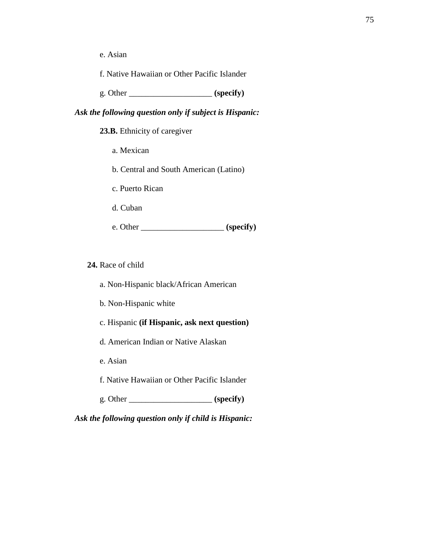e. Asian

f. Native Hawaiian or Other Pacific Islander

g. Other \_\_\_\_\_\_\_\_\_\_\_\_\_\_\_\_\_\_\_\_ **(specify)**

### *Ask the following question only if subject is Hispanic:*

**23.B.** Ethnicity of caregiver

a. Mexican

b. Central and South American (Latino)

c. Puerto Rican

d. Cuban

e. Other \_\_\_\_\_\_\_\_\_\_\_\_\_\_\_\_\_\_\_\_ **(specify)**

**24.** Race of child

a. Non-Hispanic black/African American

b. Non-Hispanic white

c. Hispanic **(if Hispanic, ask next question)**

d. American Indian or Native Alaskan

e. Asian

f. Native Hawaiian or Other Pacific Islander

g. Other \_\_\_\_\_\_\_\_\_\_\_\_\_\_\_\_\_\_\_\_ **(specify)**

*Ask the following question only if child is Hispanic:*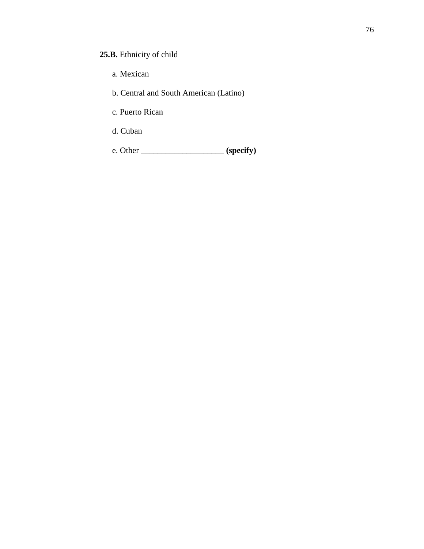# **25.B.** Ethnicity of child

- a. Mexican
- b. Central and South American (Latino)
- c. Puerto Rican
- d. Cuban

e. Other \_\_\_\_\_\_\_\_\_\_\_\_\_\_\_\_\_\_\_\_ **(specify)**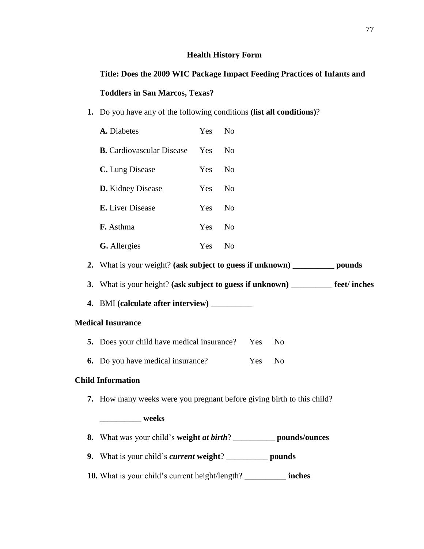### **Health History Form**

**Title: Does the 2009 WIC Package Impact Feeding Practices of Infants and Toddlers in San Marcos, Texas?**

**1.** Do you have any of the following conditions **(list all conditions)**?

| A. Diabetes                      | Yes        | $N_{\Omega}$   |
|----------------------------------|------------|----------------|
| <b>B.</b> Cardiovascular Disease | Yes        | N <sub>0</sub> |
| C. Lung Disease                  | Yes.       | $\overline{N}$ |
| <b>D.</b> Kidney Disease         | Yes        | $\rm No$       |
| <b>E.</b> Liver Disease          | Yes.       | $\rm No$       |
| <b>F.</b> Asthma                 | Yes        | $N_{\Omega}$   |
| <b>G.</b> Allergies              | <b>Yes</b> | Nο             |

**2.** What is your weight? **(ask subject to guess if unknown)** \_\_\_\_\_\_\_\_\_\_ **pounds**

**3.** What is your height? **(ask subject to guess if unknown)** \_\_\_\_\_\_\_\_\_\_ **feet/ inches**

**4.** BMI **(calculate after interview)** \_\_\_\_\_\_\_\_\_\_

## **Medical Insurance**

- **5.** Does your child have medical insurance? Yes No
- **6.** Do you have medical insurance? Yes No

# **Child Information**

**7.** How many weeks were you pregnant before giving birth to this child?

# \_\_\_\_\_\_\_\_\_\_ **weeks**

- **8.** What was your child's **weight** *at birth*? \_\_\_\_\_\_\_\_\_\_ **pounds/ounces**
- **9.** What is your child's *current* **weight**? \_\_\_\_\_\_\_\_\_\_ **pounds**
- **10.** What is your child's current height/length? \_\_\_\_\_\_\_\_\_\_ **inches**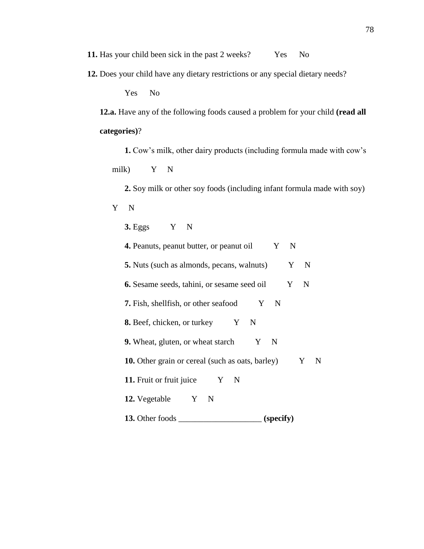**11.** Has your child been sick in the past 2 weeks? Yes No

**12.** Does your child have any dietary restrictions or any special dietary needs?

Yes No

**12.a.** Have any of the following foods caused a problem for your child **(read all categories)**?

**1.** Cow's milk, other dairy products (including formula made with cow's milk) Y N

**2.** Soy milk or other soy foods (including infant formula made with soy) Y N

**3.** Eggs Y N **4.** Peanuts, peanut butter, or peanut oil Y N **5.** Nuts (such as almonds, pecans, walnuts)  $Y \times N$ **6.** Sesame seeds, tahini, or sesame seed oil Y N **7.** Fish, shellfish, or other seafood Y N **8.** Beef, chicken, or turkey  $Y \quad N$ **9.** Wheat, gluten, or wheat starch  $Y \times N$ **10.** Other grain or cereal (such as oats, barley) Y N **11.** Fruit or fruit juice  $Y \times N$ **12.** Vegetable Y N **13.** Other foods \_\_\_\_\_\_\_\_\_\_\_\_\_\_\_\_\_\_\_\_ **(specify)**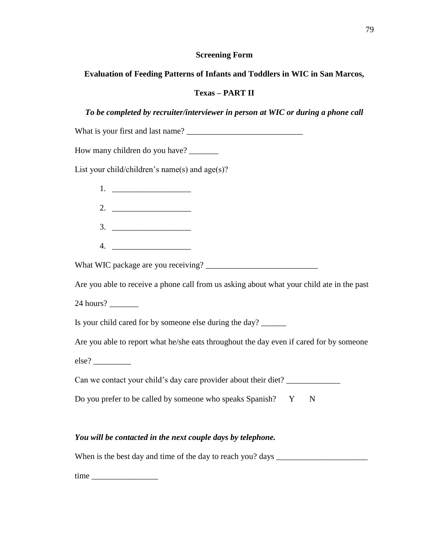# **Screening Form**

# **Evaluation of Feeding Patterns of Infants and Toddlers in WIC in San Marcos,**

# **Texas – PART II**

# *To be completed by recruiter/interviewer in person at WIC or during a phone call*

# *You will be contacted in the next couple days by telephone.*

When is the best day and time of the day to reach you? days \_\_\_\_\_\_\_\_\_\_\_\_\_\_\_\_\_\_\_\_\_\_

time \_\_\_\_\_\_\_\_\_\_\_\_\_\_\_\_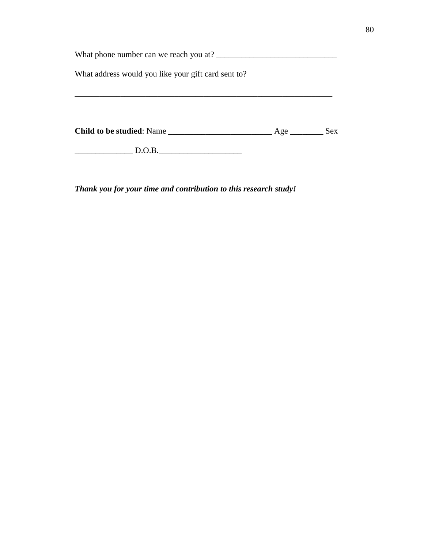| What phone number can we reach you at?              |            |            |
|-----------------------------------------------------|------------|------------|
| What address would you like your gift card sent to? |            |            |
|                                                     |            |            |
|                                                     |            |            |
|                                                     |            |            |
| <b>Child to be studied:</b> Name                    | Age $\_\_$ | <b>Sex</b> |

 $\qquad \qquad$  D.O.B.

*Thank you for your time and contribution to this research study!*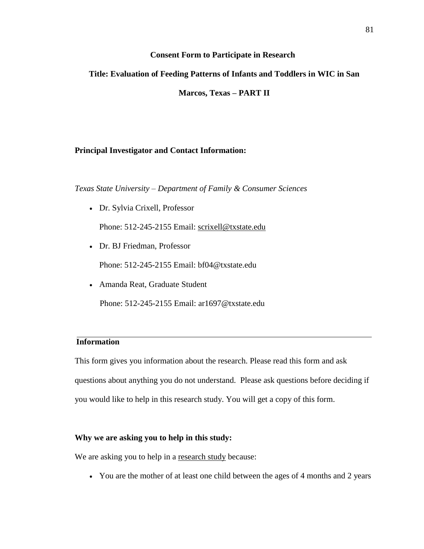### **Consent Form to Participate in Research**

# **Title: Evaluation of Feeding Patterns of Infants and Toddlers in WIC in San**

**Marcos, Texas – PART II**

# **Principal Investigator and Contact Information:**

*Texas State University – Department of Family & Consumer Sciences*

Dr. Sylvia Crixell, Professor

Phone: 512-245-2155 Email: [scrixell@txstate.edu](mailto:scrixell@txstate.edu)

Dr. BJ Friedman, Professor

Phone: 512-245-2155 Email: bf04@txstate.edu

Amanda Reat, Graduate Student

Phone: 512-245-2155 Email: ar1697@txstate.edu

## **Information**

This form gives you information about the research. Please read this form and ask questions about anything you do not understand. Please ask questions before deciding if you would like to help in this research study. You will get a copy of this form.

## **Why we are asking you to help in this study:**

We are asking you to help in a research study because:

You are the mother of at least one child between the ages of 4 months and 2 years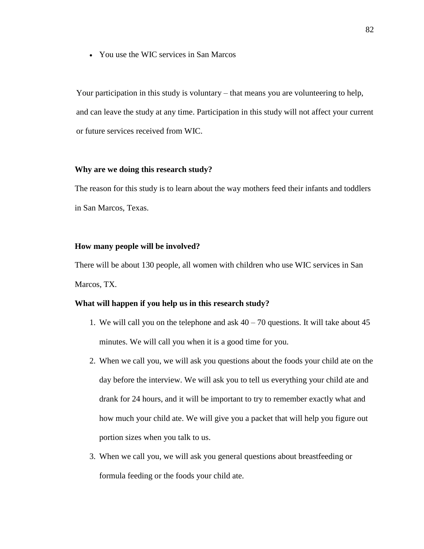You use the WIC services in San Marcos

Your participation in this study is voluntary – that means you are volunteering to help, and can leave the study at any time. Participation in this study will not affect your current or future services received from WIC.

### **Why are we doing this research study?**

The reason for this study is to learn about the way mothers feed their infants and toddlers in San Marcos, Texas.

#### **How many people will be involved?**

There will be about 130 people, all women with children who use WIC services in San Marcos, TX.

### **What will happen if you help us in this research study?**

- 1. We will call you on the telephone and ask  $40 70$  questions. It will take about  $45$ minutes. We will call you when it is a good time for you.
- 2. When we call you, we will ask you questions about the foods your child ate on the day before the interview. We will ask you to tell us everything your child ate and drank for 24 hours, and it will be important to try to remember exactly what and how much your child ate. We will give you a packet that will help you figure out portion sizes when you talk to us.
- 3. When we call you, we will ask you general questions about breastfeeding or formula feeding or the foods your child ate.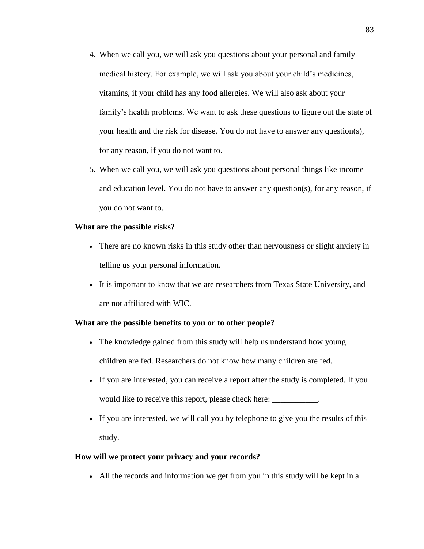- 4. When we call you, we will ask you questions about your personal and family medical history. For example, we will ask you about your child's medicines, vitamins, if your child has any food allergies. We will also ask about your family's health problems. We want to ask these questions to figure out the state of your health and the risk for disease. You do not have to answer any question(s), for any reason, if you do not want to.
- 5. When we call you, we will ask you questions about personal things like income and education level. You do not have to answer any question(s), for any reason, if you do not want to.

### **What are the possible risks?**

- There are no known risks in this study other than nervousness or slight anxiety in telling us your personal information.
- It is important to know that we are researchers from Texas State University, and are not affiliated with WIC.

## **What are the possible benefits to you or to other people?**

- The knowledge gained from this study will help us understand how young children are fed. Researchers do not know how many children are fed.
- If you are interested, you can receive a report after the study is completed. If you would like to receive this report, please check here: \_\_\_\_\_\_\_\_\_\_\_.
- If you are interested, we will call you by telephone to give you the results of this study.

## **How will we protect your privacy and your records?**

All the records and information we get from you in this study will be kept in a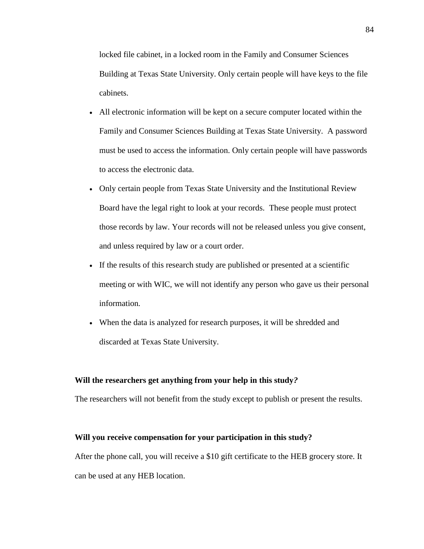locked file cabinet, in a locked room in the Family and Consumer Sciences Building at Texas State University. Only certain people will have keys to the file cabinets.

- All electronic information will be kept on a secure computer located within the Family and Consumer Sciences Building at Texas State University. A password must be used to access the information. Only certain people will have passwords to access the electronic data.
- Only certain people from Texas State University and the Institutional Review Board have the legal right to look at your records. These people must protect those records by law. Your records will not be released unless you give consent, and unless required by law or a court order.
- If the results of this research study are published or presented at a scientific meeting or with WIC, we will not identify any person who gave us their personal information*.*
- When the data is analyzed for research purposes, it will be shredded and discarded at Texas State University.

#### **Will the researchers get anything from your help in this study***?*

The researchers will not benefit from the study except to publish or present the results.

#### **Will you receive compensation for your participation in this study?**

After the phone call, you will receive a \$10 gift certificate to the HEB grocery store. It can be used at any HEB location.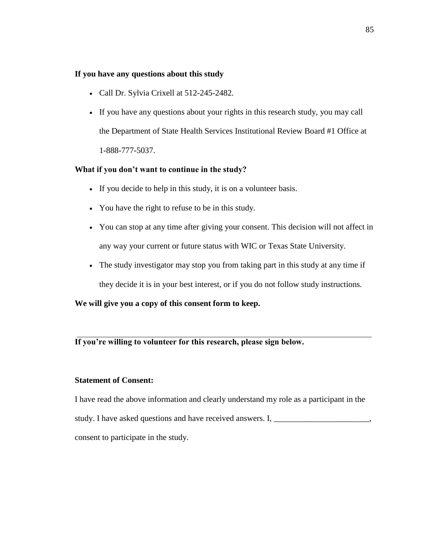### **If you have any questions about this study**

- Call Dr. Sylvia Crixell at 512-245-2482.
- If you have any questions about your rights in this research study, you may call the Department of State Health Services Institutional Review Board #1 Office at 1-888-777-5037.

## **What if you don't want to continue in the study?**

- If you decide to help in this study, it is on a volunteer basis.
- You have the right to refuse to be in this study.
- You can stop at any time after giving your consent. This decision will not affect in any way your current or future status with WIC or Texas State University.
- The study investigator may stop you from taking part in this study at any time if they decide it is in your best interest, or if you do not follow study instructions.

## **We will give you a copy of this consent form to keep.**

## **If you're willing to volunteer for this research, please sign below.**

### **Statement of Consent:**

I have read the above information and clearly understand my role as a participant in the study. I have asked questions and have received answers. I, \_\_\_\_\_\_\_\_\_\_\_\_\_\_\_\_\_\_\_\_ consent to participate in the study.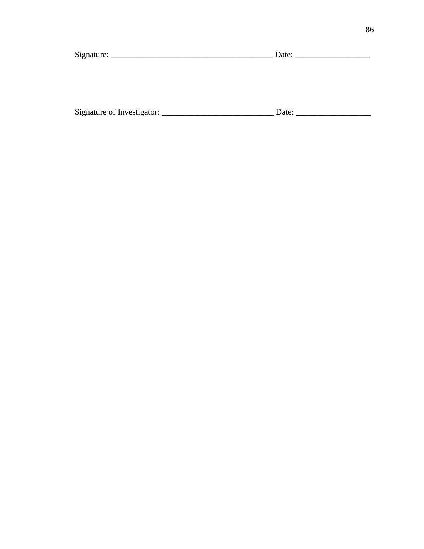| Signature: | Date: |
|------------|-------|
|            |       |
|            |       |

| Signature of Investigator: |  |
|----------------------------|--|
|----------------------------|--|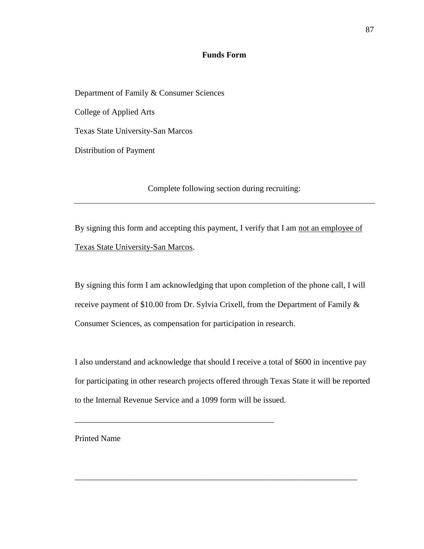## **Funds Form**

Department of Family & Consumer Sciences

College of Applied Arts

Texas State University-San Marcos

Distribution of Payment

Complete following section during recruiting:

By signing this form and accepting this payment, I verify that I am not an employee of Texas State University-San Marcos.

By signing this form I am acknowledging that upon completion of the phone call, I will receive payment of \$10.00 from Dr. Sylvia Crixell, from the Department of Family & Consumer Sciences, as compensation for participation in research.

I also understand and acknowledge that should I receive a total of \$600 in incentive pay for participating in other research projects offered through Texas State it will be reported to the Internal Revenue Service and a 1099 form will be issued.

\_\_\_\_\_\_\_\_\_\_\_\_\_\_\_\_\_\_\_\_\_\_\_\_\_\_\_\_\_\_\_\_\_\_\_\_\_\_\_\_\_\_\_\_\_\_\_\_\_\_\_\_\_\_\_\_\_\_\_\_\_\_\_\_\_\_\_\_

\_\_\_\_\_\_\_\_\_\_\_\_\_\_\_\_\_\_\_\_\_\_\_\_\_\_\_\_\_\_\_\_\_\_\_\_\_\_\_\_\_\_\_\_\_\_\_\_

Printed Name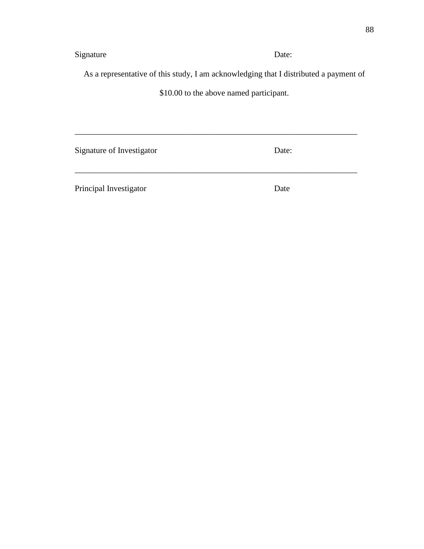Signature Date:

As a representative of this study, I am acknowledging that I distributed a payment of

\$10.00 to the above named participant.

\_\_\_\_\_\_\_\_\_\_\_\_\_\_\_\_\_\_\_\_\_\_\_\_\_\_\_\_\_\_\_\_\_\_\_\_\_\_\_\_\_\_\_\_\_\_\_\_\_\_\_\_\_\_\_\_\_\_\_\_\_\_\_\_\_\_\_\_

\_\_\_\_\_\_\_\_\_\_\_\_\_\_\_\_\_\_\_\_\_\_\_\_\_\_\_\_\_\_\_\_\_\_\_\_\_\_\_\_\_\_\_\_\_\_\_\_\_\_\_\_\_\_\_\_\_\_\_\_\_\_\_\_\_\_\_\_

Signature of Investigator Date:

Principal Investigator Date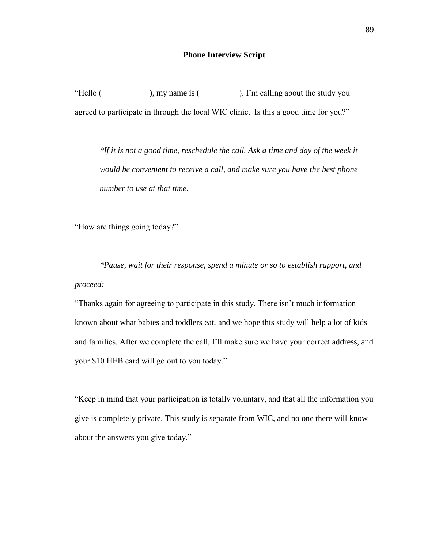### **Phone Interview Script**

"Hello (), my name is (). I'm calling about the study you agreed to participate in through the local WIC clinic. Is this a good time for you?"

*\*If it is not a good time, reschedule the call. Ask a time and day of the week it would be convenient to receive a call, and make sure you have the best phone number to use at that time.*

"How are things going today?"

*\*Pause, wait for their response, spend a minute or so to establish rapport, and proceed:*

"Thanks again for agreeing to participate in this study. There isn't much information known about what babies and toddlers eat, and we hope this study will help a lot of kids and families. After we complete the call, I'll make sure we have your correct address, and your \$10 HEB card will go out to you today."

"Keep in mind that your participation is totally voluntary, and that all the information you give is completely private. This study is separate from WIC, and no one there will know about the answers you give today."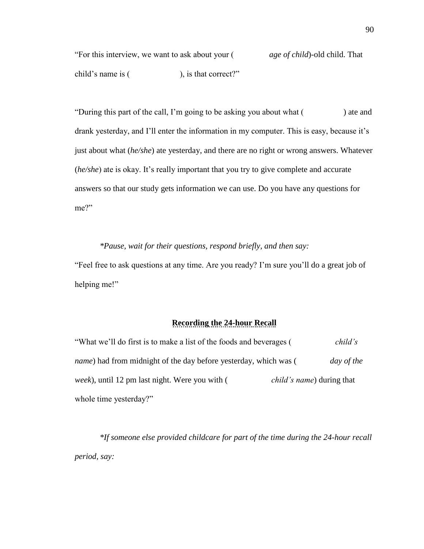"For this interview, we want to ask about your ( *age of child*)-old child. That child's name is (
i.e.  $\frac{1}{2}$ ), is that correct?"

"During this part of the call, I'm going to be asking you about what () ate and drank yesterday, and I'll enter the information in my computer. This is easy, because it's just about what (*he/she*) ate yesterday, and there are no right or wrong answers. Whatever (*he/she*) ate is okay. It's really important that you try to give complete and accurate answers so that our study gets information we can use. Do you have any questions for me?"

*\*Pause, wait for their questions, respond briefly, and then say:* "Feel free to ask questions at any time. Are you ready? I'm sure you'll do a great job of helping me!"

# **Recording the 24-hour Recall**

"What we'll do first is to make a list of the foods and beverages ( *child's name*) had from midnight of the day before yesterday, which was (*day of the week*), until 12 pm last night. Were you with ( *child's name*) during that whole time yesterday?"

*\*If someone else provided childcare for part of the time during the 24-hour recall period, say:*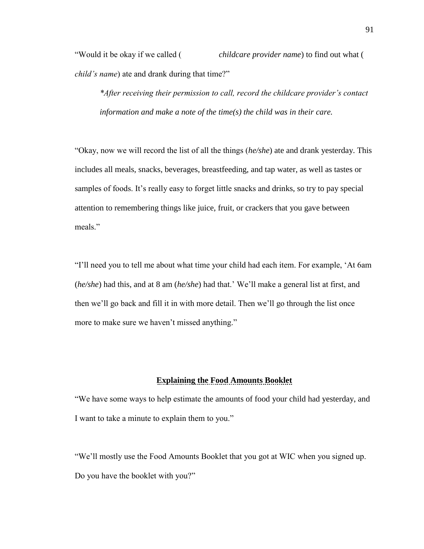"Would it be okay if we called ( *childcare provider name*) to find out what ( *child's name*) ate and drank during that time?"

*\*After receiving their permission to call, record the childcare provider's contact information and make a note of the time(s) the child was in their care.*

"Okay, now we will record the list of all the things (*he/she*) ate and drank yesterday. This includes all meals, snacks, beverages, breastfeeding, and tap water, as well as tastes or samples of foods. It's really easy to forget little snacks and drinks, so try to pay special attention to remembering things like juice, fruit, or crackers that you gave between meals."

"I'll need you to tell me about what time your child had each item. For example, 'At 6am (*he/she*) had this, and at 8 am (*he/she*) had that.' We'll make a general list at first, and then we'll go back and fill it in with more detail. Then we'll go through the list once more to make sure we haven't missed anything."

## **Explaining the Food Amounts Booklet**

"We have some ways to help estimate the amounts of food your child had yesterday, and I want to take a minute to explain them to you."

"We'll mostly use the Food Amounts Booklet that you got at WIC when you signed up. Do you have the booklet with you?"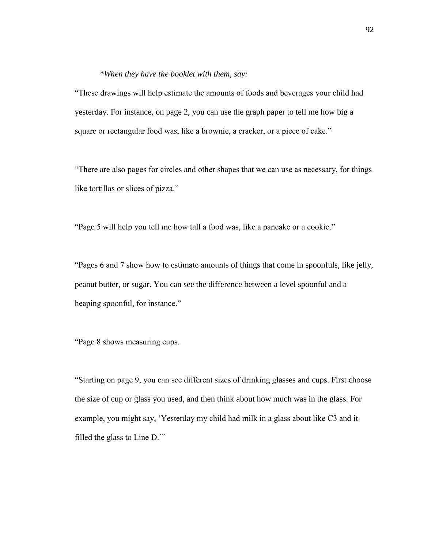### *\*When they have the booklet with them, say:*

"These drawings will help estimate the amounts of foods and beverages your child had yesterday. For instance, on page 2, you can use the graph paper to tell me how big a square or rectangular food was, like a brownie, a cracker, or a piece of cake."

"There are also pages for circles and other shapes that we can use as necessary, for things like tortillas or slices of pizza."

"Page 5 will help you tell me how tall a food was, like a pancake or a cookie."

"Pages 6 and 7 show how to estimate amounts of things that come in spoonfuls, like jelly, peanut butter, or sugar. You can see the difference between a level spoonful and a heaping spoonful, for instance."

"Page 8 shows measuring cups.

"Starting on page 9, you can see different sizes of drinking glasses and cups. First choose the size of cup or glass you used, and then think about how much was in the glass. For example, you might say, 'Yesterday my child had milk in a glass about like C3 and it filled the glass to Line D.'"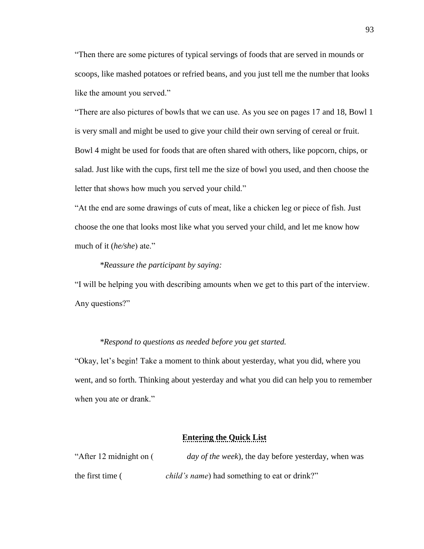"Then there are some pictures of typical servings of foods that are served in mounds or scoops, like mashed potatoes or refried beans, and you just tell me the number that looks like the amount you served."

"There are also pictures of bowls that we can use. As you see on pages 17 and 18, Bowl 1 is very small and might be used to give your child their own serving of cereal or fruit. Bowl 4 might be used for foods that are often shared with others, like popcorn, chips, or salad. Just like with the cups, first tell me the size of bowl you used, and then choose the letter that shows how much you served your child."

"At the end are some drawings of cuts of meat, like a chicken leg or piece of fish. Just choose the one that looks most like what you served your child, and let me know how much of it (*he/she*) ate."

### *\*Reassure the participant by saying:*

"I will be helping you with describing amounts when we get to this part of the interview. Any questions?"

### *\*Respond to questions as needed before you get started.*

"Okay, let's begin! Take a moment to think about yesterday, what you did, where you went, and so forth. Thinking about yesterday and what you did can help you to remember when you ate or drank."

### **Entering the Quick List**

| "After 12 midnight on ( | <i>day of the week</i> ), the day before yesterday, when was |
|-------------------------|--------------------------------------------------------------|
| the first time (        | <i>child's name</i> ) had something to eat or drink?"        |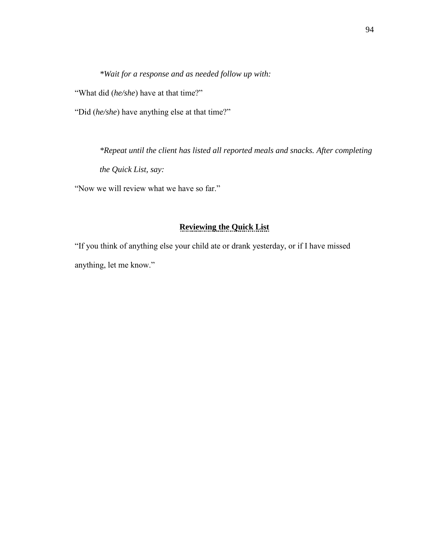*\*Wait for a response and as needed follow up with:*

"What did (*he/she*) have at that time?"

"Did (*he/she*) have anything else at that time?"

*\*Repeat until the client has listed all reported meals and snacks. After completing the Quick List, say:*

"Now we will review what we have so far."

# **Reviewing the Quick List**

"If you think of anything else your child ate or drank yesterday, or if I have missed anything, let me know."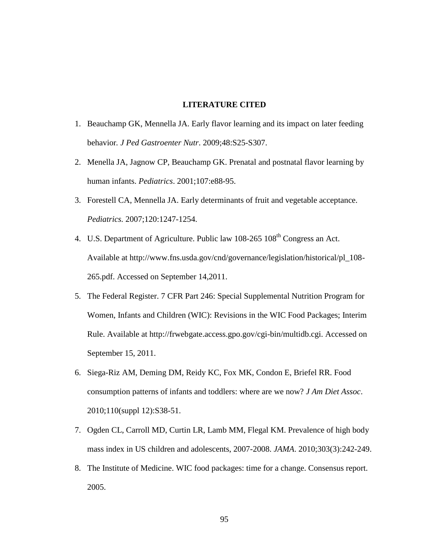#### **LITERATURE CITED**

- 1. Beauchamp GK, Mennella JA. Early flavor learning and its impact on later feeding behavior*. J Ped Gastroenter Nutr*. 2009;48:S25-S307.
- 2. Menella JA, Jagnow CP, Beauchamp GK. Prenatal and postnatal flavor learning by human infants. *Pediatrics*. 2001;107:e88-95.
- 3. Forestell CA, Mennella JA. Early determinants of fruit and vegetable acceptance. *Pediatrics.* 2007;120:1247-1254.
- 4. U.S. Department of Agriculture. Public law 108-265 108<sup>th</sup> Congress an Act. Available at http://www.fns.usda.gov/cnd/governance/legislation/historical/pl\_108- 265.pdf. Accessed on September 14,2011.
- 5. The Federal Register. 7 CFR Part 246: Special Supplemental Nutrition Program for Women, Infants and Children (WIC): Revisions in the WIC Food Packages; Interim Rule. Available at http://frwebgate.access.gpo.gov/cgi-bin/multidb.cgi. Accessed on September 15, 2011.
- 6. Siega-Riz AM, Deming DM, Reidy KC, Fox MK, Condon E, Briefel RR. Food consumption patterns of infants and toddlers: where are we now? *J Am Diet Assoc*. 2010;110(suppl 12):S38-51.
- 7. Ogden CL, Carroll MD, Curtin LR, Lamb MM, Flegal KM. Prevalence of high body mass index in US children and adolescents, 2007-2008. *JAMA*. 2010;303(3):242-249.
- 8. The Institute of Medicine. WIC food packages: time for a change. Consensus report. 2005.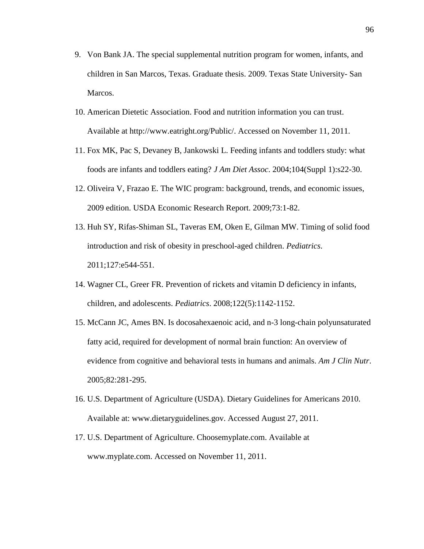- 9. Von Bank JA. The special supplemental nutrition program for women, infants, and children in San Marcos, Texas. Graduate thesis. 2009. Texas State University- San Marcos.
- 10. American Dietetic Association. Food and nutrition information you can trust. Available at http://www.eatright.org/Public/. Accessed on November 11, 2011.
- 11. Fox MK, Pac S, Devaney B, Jankowski L. Feeding infants and toddlers study: what foods are infants and toddlers eating? *J Am Diet Assoc*. 2004;104(Suppl 1):s22-30.
- 12. Oliveira V, Frazao E. The WIC program: background, trends, and economic issues, 2009 edition. USDA Economic Research Report. 2009;73:1-82.
- 13. Huh SY, Rifas-Shiman SL, Taveras EM, Oken E, Gilman MW. Timing of solid food introduction and risk of obesity in preschool-aged children. *Pediatrics*. 2011;127:e544-551.
- 14. Wagner CL, Greer FR. Prevention of rickets and vitamin D deficiency in infants, children, and adolescents. *Pediatrics*. 2008;122(5):1142-1152.
- 15. McCann JC, Ames BN. Is docosahexaenoic acid, and n-3 long-chain polyunsaturated fatty acid, required for development of normal brain function: An overview of evidence from cognitive and behavioral tests in humans and animals. *Am J Clin Nutr*. 2005;82:281-295.
- 16. U.S. Department of Agriculture (USDA). Dietary Guidelines for Americans 2010. Available at: www.dietaryguidelines.gov. Accessed August 27, 2011.
- 17. U.S. Department of Agriculture. Choosemyplate.com. Available at www.myplate.com. Accessed on November 11, 2011.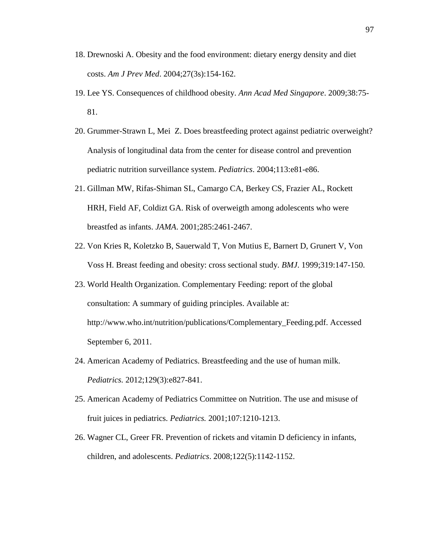- 18. Drewnoski A. Obesity and the food environment: dietary energy density and diet costs. *Am J Prev Med*. 2004;27(3s):154-162.
- 19. Lee YS. Consequences of childhood obesity. *Ann Acad Med Singapore*. 2009;38:75- 81.
- 20. Grummer-Strawn L, Mei Z. Does breastfeeding protect against pediatric overweight? Analysis of longitudinal data from the center for disease control and prevention pediatric nutrition surveillance system. *Pediatrics*. 2004;113:e81-e86.
- 21. Gillman MW, Rifas-Shiman SL, Camargo CA, Berkey CS, Frazier AL, Rockett HRH, Field AF, Coldizt GA. Risk of overweigth among adolescents who were breastfed as infants. *JAMA*. 2001;285:2461-2467.
- 22. Von Kries R, Koletzko B, Sauerwald T, Von Mutius E, Barnert D, Grunert V, Von Voss H. Breast feeding and obesity: cross sectional study. *BMJ*. 1999;319:147-150.
- 23. World Health Organization. Complementary Feeding: report of the global consultation: A summary of guiding principles. Available at: http://www.who.int/nutrition/publications/Complementary\_Feeding.pdf. Accessed September 6, 2011.
- 24. American Academy of Pediatrics. Breastfeeding and the use of human milk. *Pediatrics.* 2012;129(3):e827-841.
- 25. American Academy of Pediatrics Committee on Nutrition. The use and misuse of fruit juices in pediatrics. *Pediatrics.* 2001;107:1210-1213.
- 26. Wagner CL, Greer FR. Prevention of rickets and vitamin D deficiency in infants, children, and adolescents. *Pediatrics*. 2008;122(5):1142-1152.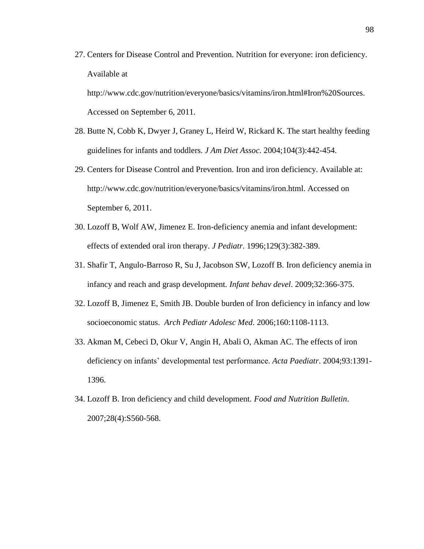27. Centers for Disease Control and Prevention. Nutrition for everyone: iron deficiency. Available at

http://www.cdc.gov/nutrition/everyone/basics/vitamins/iron.html#Iron%20Sources. Accessed on September 6, 2011.

- 28. Butte N, Cobb K, Dwyer J, Graney L, Heird W, Rickard K. The start healthy feeding guidelines for infants and toddlers. *J Am Diet Assoc.* 2004;104(3):442-454.
- 29. Centers for Disease Control and Prevention. Iron and iron deficiency. Available at: http://www.cdc.gov/nutrition/everyone/basics/vitamins/iron.html. Accessed on September 6, 2011.
- 30. Lozoff B, Wolf AW, Jimenez E. Iron-deficiency anemia and infant development: effects of extended oral iron therapy. *J Pediatr*. 1996;129(3):382-389.
- 31. Shafir T, Angulo-Barroso R, Su J, Jacobson SW, Lozoff B. Iron deficiency anemia in infancy and reach and grasp development*. Infant behav devel*. 2009;32:366-375.
- 32. Lozoff B, Jimenez E, Smith JB. Double burden of Iron deficiency in infancy and low socioeconomic status. *Arch Pediatr Adolesc Med*. 2006;160:1108-1113.
- 33. Akman M, Cebeci D, Okur V, Angin H, Abali O, Akman AC. The effects of iron deficiency on infants' developmental test performance. *Acta Paediatr*. 2004;93:1391- 1396.
- 34. Lozoff B. Iron deficiency and child development. *Food and Nutrition Bulletin*. 2007;28(4):S560-568.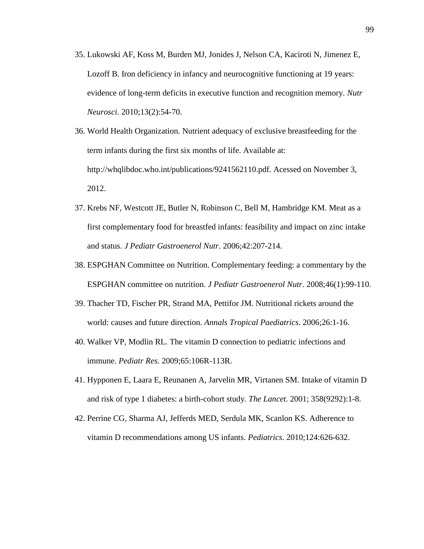- 35. Lukowski AF, Koss M, Burden MJ, Jonides J, Nelson CA, Kaciroti N, Jimenez E, Lozoff B. Iron deficiency in infancy and neurocognitive functioning at 19 years: evidence of long-term deficits in executive function and recognition memory. *Nutr Neurosci*. 2010;13(2):54-70.
- 36. World Health Organization. Nutrient adequacy of exclusive breastfeeding for the term infants during the first six months of life. Available at: http://whqlibdoc.who.int/publications/9241562110.pdf. Acessed on November 3, 2012.
- 37. Krebs NF, Westcott JE, Butler N, Robinson C, Bell M, Hambridge KM. Meat as a first complementary food for breastfed infants: feasibility and impact on zinc intake and status. *J Pediatr Gastroenerol Nutr*. 2006;42:207-214.
- 38. ESPGHAN Committee on Nutrition. Complementary feeding: a commentary by the ESPGHAN committee on nutrition. *J Pediatr Gastroenerol Nutr*. 2008;46(1):99-110.
- 39. Thacher TD, Fischer PR, Strand MA, Pettifor JM. Nutritional rickets around the world: causes and future direction. *Annals Tropical Paediatrics*. 2006;26:1-16.
- 40. Walker VP, Modlin RL. The vitamin D connection to pediatric infections and immune. *Pediatr Res*. 2009;65:106R-113R.
- 41. Hypponen E, Laara E, Reunanen A, Jarvelin MR, Virtanen SM. Intake of vitamin D and risk of type 1 diabetes: a birth-cohort study*. The Lancet*. 2001; 358(9292):1-8.
- 42. Perrine CG, Sharma AJ, Jefferds MED, Serdula MK, Scanlon KS. Adherence to vitamin D recommendations among US infants. *Pediatrics*. 2010;124:626-632.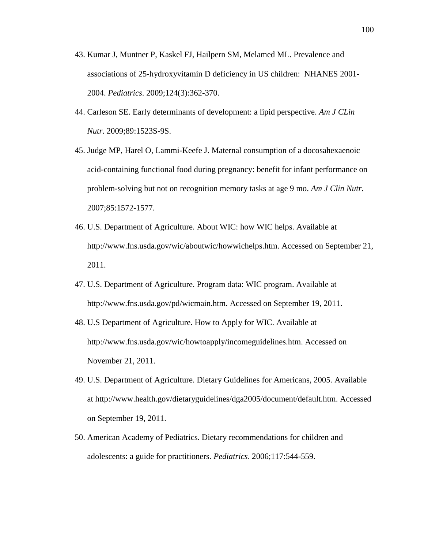- 43. Kumar J, Muntner P, Kaskel FJ, Hailpern SM, Melamed ML. Prevalence and associations of 25-hydroxyvitamin D deficiency in US children: NHANES 2001- 2004. *Pediatrics*. 2009;124(3):362-370.
- 44. Carleson SE. Early determinants of development: a lipid perspective. *Am J CLin Nutr*. 2009;89:1523S-9S.
- 45. Judge MP, Harel O, Lammi-Keefe J. Maternal consumption of a docosahexaenoic acid-containing functional food during pregnancy: benefit for infant performance on problem-solving but not on recognition memory tasks at age 9 mo. *Am J Clin Nutr.* 2007;85:1572-1577.
- 46. U.S. Department of Agriculture. About WIC: how WIC helps. Available at http://www.fns.usda.gov/wic/aboutwic/howwichelps.htm. Accessed on September 21, 2011.
- 47. U.S. Department of Agriculture. Program data: WIC program. Available at http://www.fns.usda.gov/pd/wicmain.htm. Accessed on September 19, 2011.
- 48. U.S Department of Agriculture. How to Apply for WIC. Available at http://www.fns.usda.gov/wic/howtoapply/incomeguidelines.htm. Accessed on November 21, 2011.
- 49. U.S. Department of Agriculture. Dietary Guidelines for Americans, 2005. Available at http://www.health.gov/dietaryguidelines/dga2005/document/default.htm. Accessed on September 19, 2011.
- 50. American Academy of Pediatrics. Dietary recommendations for children and adolescents: a guide for practitioners. *Pediatrics*. 2006;117:544-559.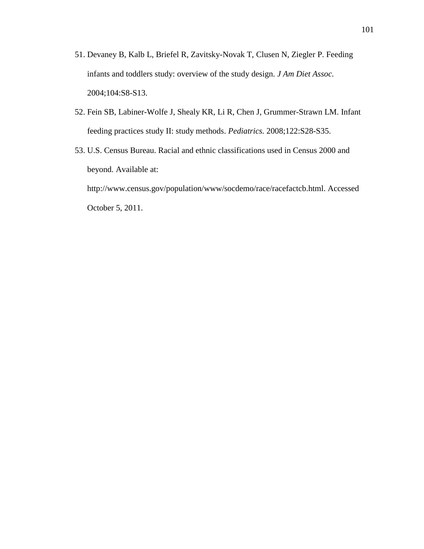- 51. Devaney B, Kalb L, Briefel R, Zavitsky-Novak T, Clusen N, Ziegler P. Feeding infants and toddlers study: overview of the study design. *J Am Diet Assoc.* 2004;104:S8-S13.
- 52. Fein SB, Labiner-Wolfe J, Shealy KR, Li R, Chen J, Grummer-Strawn LM. Infant feeding practices study II: study methods. *Pediatrics.* 2008;122:S28-S35.
- 53. U.S. Census Bureau. Racial and ethnic classifications used in Census 2000 and beyond. Available at:

http://www.census.gov/population/www/socdemo/race/racefactcb.html. Accessed October 5, 2011.